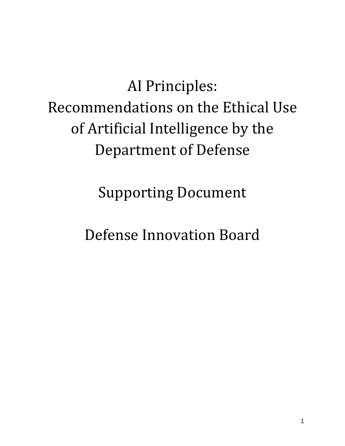AI Principles: Recommendations on the Ethical Use of Artificial Intelligence by the Department of Defense

Supporting Document

Defense Innovation Board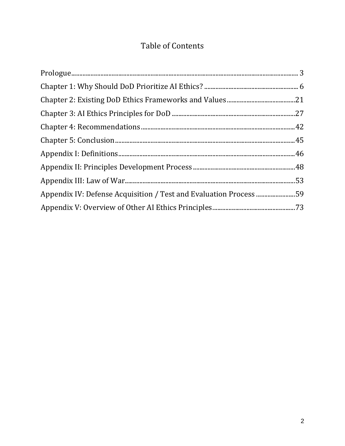### **Table of Contents**

| Appendix IV: Defense Acquisition / Test and Evaluation Process 59 |  |
|-------------------------------------------------------------------|--|
|                                                                   |  |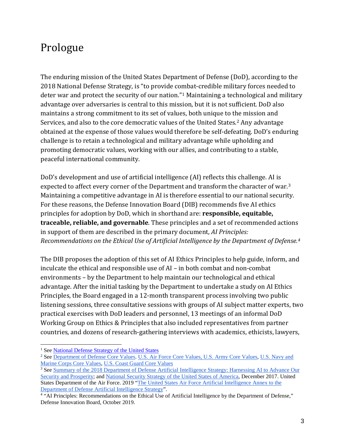## <span id="page-2-0"></span>Prologue

The enduring mission of the United States Department of Defense (DoD), according to the 2018 National Defense Strategy, is "to provide combat-credible military forces needed to deter war and protect the security of our nation."[1](#page-2-1) Maintaining a technological and military advantage over adversaries is central to this mission, but it is not sufficient. DoD also maintains a strong commitment to its set of values, both unique to the mission and Services, and also to the core democratic values of the United States.<sup>2</sup> Any advantage obtained at the expense of those values would therefore be self-defeating. DoD's enduring challenge is to retain a technological and military advantage while upholding and promoting democratic values, working with our allies, and contributing to a stable, peaceful international community.

DoD's development and use of artificial intelligence (AI) reflects this challenge. AI is expected to affect every corner of the Department and transform the character of war.<sup>[3](#page-2-3)</sup> Maintaining a competitive advantage in AI is therefore essential to our national security. For these reasons, the Defense Innovation Board (DIB) recommends five AI ethics principles for adoption by DoD, which in shorthand are: **responsible, equitable, traceable, reliable, and governable**. These principles and a set of recommended actions in support of them are described in the primary document, *AI Principles: Recommendations on the Ethical Use of Artificial Intelligence by the Department of Defense. [4](#page-2-4)*

The DIB proposes the adoption of this set of AI Ethics Principles to help guide, inform, and inculcate the ethical and responsible use of AI – in both combat and non-combat environments – by the Department to help maintain our technological and ethical advantage. After the initial tasking by the Department to undertake a study on AI Ethics Principles, the Board engaged in a 12-month transparent process involving two public listening sessions, three consultative sessions with groups of AI subject matter experts, two practical exercises with DoD leaders and personnel, 13 meetings of an informal DoD Working Group on Ethics & Principles that also included representatives from partner countries, and dozens of research-gathering interviews with academics, ethicists, lawyers,

 $\overline{a}$ 

<sup>&</sup>lt;sup>1</sup> Se[e National Defense Strategy of the United States](https://dod.defense.gov/Portals/1/Documents/pubs/2018-National-Defense-Strategy-Summary.pdf)

<span id="page-2-2"></span><span id="page-2-1"></span><sup>&</sup>lt;sup>2</sup> See Department of Defense Core Values, [U.S. Air Force Core Values,](https://www.airforce.com/mission/vision) [U.S. Army Core Values,](https://www.army.mil/values/) U.S. Navy and [Marine Corps Core Values,](https://www.secnav.navy.mil/Ethics/Pages/corevaluescharter.aspx) [U.S. Coast Guard Core Values](https://www.gocoastguard.com/family-and-friends/the-helmsman/introduction)

<span id="page-2-3"></span><sup>&</sup>lt;sup>3</sup> See Summary of the 2018 Department of Defense Artificial Intelligence Strategy: Harnessing AI to Advance Our [Security and Prosperity;](https://media.defense.gov/2019/Feb/12/2002088963/-1/-1/1/SUMMARY-OF-DOD-AI-STRATEGY.PDFhttps:/media.defense.gov/2019/Feb/12/2002088963/-1/-1/1/SUMMARY-OF-DOD-AI-STRATEGY.PDF) and [National Security Strategy of the United States of America,](https://www.whitehouse.gov/wp-content/uploads/2017/12/NSS-Final-12-18-2017-0905.pdf) December 2017. United States Department of the Air Force. 2019 ["The United States Air Force Artificial Intelligence Annex to the](https://www.af.mil/Portals/1/documents/5/USAF-AI-Annex-to-DoD-AI-Strategy.pdf)  [Department of Defense Artificial Intelligence Strategy"](https://www.af.mil/Portals/1/documents/5/USAF-AI-Annex-to-DoD-AI-Strategy.pdf). 4 "AI Principles: Recommendations on the Ethical Use of Artificial Intelligence by the Department of Defense,"

<span id="page-2-4"></span>Defense Innovation Board, October 2019.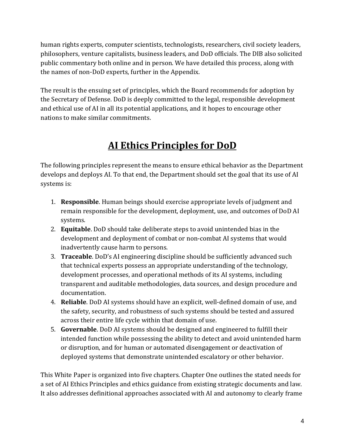human rights experts, computer scientists, technologists, researchers, civil society leaders, philosophers, venture capitalists, business leaders, and DoD officials. The DIB also solicited public commentary both online and in person. We have detailed this process, along with the names of non-DoD experts, further in the Appendix.

The result is the ensuing set of principles, which the Board recommends for adoption by the Secretary of Defense. DoD is deeply committed to the legal, responsible development and ethical use of AI in all its potential applications, and it hopes to encourage other nations to make similar commitments.

## **AI Ethics Principles for DoD**

The following principles represent the means to ensure ethical behavior as the Department develops and deploys AI. To that end, the Department should set the goal that its use of AI systems is:

- 1. **Responsible**. Human beings should exercise appropriate levels of judgment and remain responsible for the development, deployment, use, and outcomes of DoD AI systems.
- 2. **Equitable**. DoD should take deliberate steps to avoid unintended bias in the development and deployment of combat or non-combat AI systems that would inadvertently cause harm to persons.
- 3. **Traceable**. DoD's AI engineering discipline should be sufficiently advanced such that technical experts possess an appropriate understanding of the technology, development processes, and operational methods of its AI systems, including transparent and auditable methodologies, data sources, and design procedure and documentation.
- 4. **Reliable**. DoD AI systems should have an explicit, well-defined domain of use, and the safety, security, and robustness of such systems should be tested and assured across their entire life cycle within that domain of use.
- 5. **Governable**. DoD AI systems should be designed and engineered to fulfill their intended function while possessing the ability to detect and avoid unintended harm or disruption, and for human or automated disengagement or deactivation of deployed systems that demonstrate unintended escalatory or other behavior.

This White Paper is organized into five chapters. Chapter One outlines the stated needs for a set of AI Ethics Principles and ethics guidance from existing strategic documents and law. It also addresses definitional approaches associated with AI and autonomy to clearly frame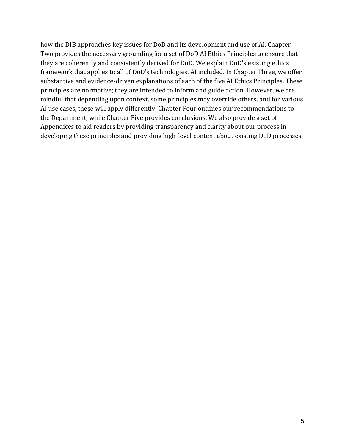how the DIB approaches key issues for DoD and its development and use of AI. Chapter Two provides the necessary grounding for a set of DoD AI Ethics Principles to ensure that they are coherently and consistently derived for DoD. We explain DoD's existing ethics framework that applies to all of DoD's technologies, AI included. In Chapter Three, we offer substantive and evidence-driven explanations of each of the five AI Ethics Principles. These principles are normative; they are intended to inform and guide action. However, we are mindful that depending upon context, some principles may override others, and for various AI use cases, these will apply differently. Chapter Four outlines our recommendations to the Department, while Chapter Five provides conclusions. We also provide a set of Appendices to aid readers by providing transparency and clarity about our process in developing these principles and providing high-level content about existing DoD processes.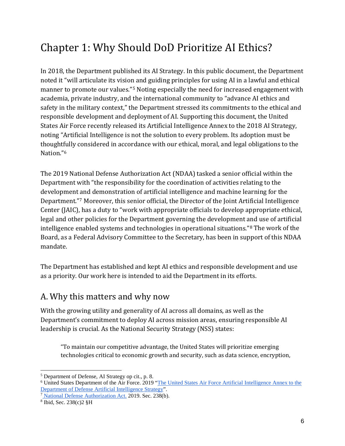# <span id="page-5-0"></span>Chapter 1: Why Should DoD Prioritize AI Ethics?

In 2018, the Department published its AI Strategy. In this public document, the Department noted it "will articulate its vision and guiding principles for using AI in a lawful and ethical manner to promote our values."[5](#page-5-1) Noting especially the need for increased engagement with academia, private industry, and the international community to "advance AI ethics and safety in the military context," the Department stressed its commitments to the ethical and responsible development and deployment of AI. Supporting this document, the United States Air Force recently released its Artificial Intelligence Annex to the 2018 AI Strategy, noting "Artificial Intelligence is not the solution to every problem. Its adoption must be thoughtfully considered in accordance with our ethical, moral, and legal obligations to the Nation."[6](#page-5-2)

The 2019 National Defense Authorization Act (NDAA) tasked a senior official within the Department with "the responsibility for the coordination of activities relating to the development and demonstration of artificial intelligence and machine learning for the Department."[7](#page-5-3) Moreover, this senior official, the Director of the Joint Artificial Intelligence Center (JAIC), has a duty to "work with appropriate officials to develop appropriate ethical, legal and other policies for the Department governing the development and use of artificial intelligence enabled systems and technologies in operational situations."[8](#page-5-4) The work of the Board, as a Federal Advisory Committee to the Secretary, has been in support of this NDAA mandate.

The Department has established and kept AI ethics and responsible development and use as a priority. Our work here is intended to aid the Department in its efforts.

### A. Why this matters and why now

With the growing utility and generality of AI across all domains, as well as the Department's commitment to deploy AI across mission areas, ensuring responsible AI leadership is crucial. As the National Security Strategy (NSS) states:

"To maintain our competitive advantage, the United States will prioritize emerging technologies critical to economic growth and security, such as data science, encryption,

<span id="page-5-1"></span> $\ddot{\phantom{a}}$ <sup>5</sup> Department of Defense, AI Strategy op cit., p. 8.

<span id="page-5-2"></span><sup>6</sup> United States Department of the Air Force. 2019 ["The United States Air Force Artificial Intelligence Annex to the](https://www.af.mil/Portals/1/documents/5/USAF-AI-Annex-to-DoD-AI-Strategy.pdf)  [Department of Defense Artificial Intelligence Strategy"](https://www.af.mil/Portals/1/documents/5/USAF-AI-Annex-to-DoD-AI-Strategy.pdf).

<span id="page-5-3"></span><sup>7</sup> [National Defense Authorization Act.](https://www.congress.gov/115/bills/hr5515/BILLS-115hr5515enr.pdf) 2019. Sec. 238(b).

<span id="page-5-4"></span><sup>8</sup> Ibid, Sec. 238(c)2 §H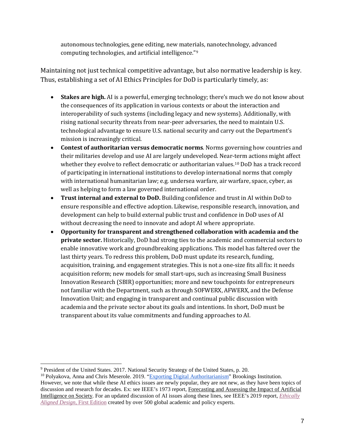autonomous technologies, gene editing, new materials, nanotechnology, advanced computing technologies, and artificial intelligence."[9](#page-6-0)

Maintaining not just technical competitive advantage, but also normative leadership is key. Thus, establishing a set of AI Ethics Principles for DoD is particularly timely, as:

- **Stakes are high.** AI is a powerful, emerging technology; there's much we do not know about the consequences of its application in various contexts or about the interaction and interoperability of such systems (including legacy and new systems). Additionally, with rising national security threats from near-peer adversaries, the need to maintain U.S. technological advantage to ensure U.S. national security and carry out the Department's mission is increasingly critical.
- **Contest of authoritarian versus democratic norms**. Norms governing how countries and their militaries develop and use AI are largely undeveloped. Near-[te](#page-6-1)rm actions might affect whether they evolve to reflect democratic or authoritarian values.<sup>10</sup> DoD has a track record of participating in international institutions to develop international norms that comply with international humanitarian law; e.g. undersea warfare, air warfare, space, cyber, as well as helping to form a law governed international order.
- **Trust internal and external to DoD.** Building confidence and trust in AI within DoD to ensure responsible and effective adoption. Likewise, responsible research, innovation, and development can help to build external public trust and confidence in DoD uses of AI without decreasing the need to innovate and adopt AI where appropriate.
- **Opportunity for transparent and strengthened collaboration with academia and the private sector.** Historically, DoD had strong ties to the academic and commercial sectors to enable innovative work and groundbreaking applications. This model has faltered over the last thirty years. To redress this problem, DoD must update its research, funding, acquisition, training, and engagement strategies. This is not a one-size fits all fix: it needs acquisition reform; new models for small start-ups, such as increasing Small Business Innovation Research (SBIR) opportunities; more and new touchpoints for entrepreneurs not familiar with the Department, such as through SOFWERX, AFWERX, and the Defense Innovation Unit; and engaging in transparent and continual public discussion with academia and the private sector about its goals and intentions. In short, DoD must be transparent about its value commitments and funding approaches to AI.

<span id="page-6-0"></span> $\overline{a}$ <sup>9</sup> President of the United States. 2017[. National Security Strategy of the United States,](https://www.whitehouse.gov/wp-content/uploads/2017/12/NSS-Final-12-18-2017-0905-2.pdf) p. 20.

<span id="page-6-1"></span><sup>&</sup>lt;sup>10</sup> Polyakova, Anna and Chris Meserole. 2019. ["Exporting Digital Authoritarianism"](https://www.brookings.edu/wp-content/uploads/2019/08/FP_20190826_digital_authoritarianism_polyakova_meserole.pdf) Brookings Institution. However, we note that while these AI ethics issues are newly popular, they are not new, as they have been topics of discussion and research for decades. Ex: see IEEE's 1973 report, Forecasting and Assessing the Impact of Artificial Intelligence on Society. For an updated discussion of AI issues along these lines, see IEEE's 2019 report, *[Ethically](https://ethicsinaction.ieee.org/)  [Aligned Design](https://ethicsinaction.ieee.org/)*[, First Edition](https://ethicsinaction.ieee.org/) created by over 500 global academic and policy experts.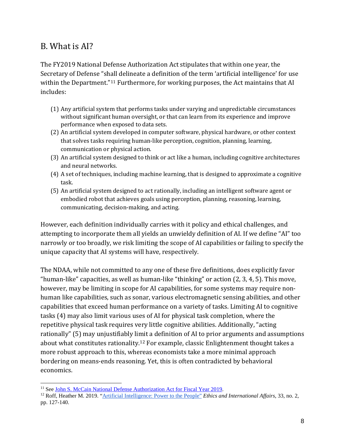### B. What is AI?

The FY2019 National Defense Authorization Act stipulates that within one year, the Secretary of Defense "shall delineate a definition of the term 'artificial intelligence' for use within the Department."<sup>[11](#page-7-0)</sup> Furthermore, for working purposes, the Act maintains that AI includes:

- (1) Any artificial system that performs tasks under varying and unpredictable circumstances without significant human oversight, or that can learn from its experience and improve performance when exposed to data sets.
- (2) An artificial system developed in computer software, physical hardware, or other context that solves tasks requiring human-like perception, cognition, planning, learning, communication or physical action.
- (3) An artificial system designed to think or act like a human, including cognitive architectures and neural networks.
- (4) A set of techniques, including machine learning, that is designed to approximate a cognitive task.
- (5) An artificial system designed to act rationally, including an intelligent software agent or embodied robot that achieves goals using perception, planning, reasoning, learning, communicating, decision-making, and acting.

However, each definition individually carries with it policy and ethical challenges, and attempting to incorporate them all yields an unwieldy definition of AI. If we define "AI" too narrowly or too broadly, we risk limiting the scope of AI capabilities or failing to specify the unique capacity that AI systems will have, respectively.

The NDAA, while not committed to any one of these five definitions, does explicitly favor "human-like" capacities, as well as human-like "thinking" or action (2, 3, 4, 5). This move, however, may be limiting in scope for AI capabilities, for some systems may require nonhuman like capabilities, such as sonar, various electromagnetic sensing abilities, and other capabilities that exceed human performance on a variety of tasks. Limiting AI to cognitive tasks (4) may also limit various uses of AI for physical task completion, where the repetitive physical task requires very little cognitive abilities. Additionally, "acting rationally" (5) may unjustifiably limit a definition of AI to prior arguments and assumptions about what constitutes rationality.[12](#page-7-1) For example, classic Enlightenment thought takes a more robust approach to this, whereas economists take a more minimal approach bordering on means-ends reasoning. Yet, this is often contradicted by behavioral economics.

 $\overline{a}$ <sup>11</sup> See [John S. McCain National Defense Authorization Act for Fiscal Year 2019.](https://www.congress.gov/bill/115th-congress/house-bill/5515/text)

<span id="page-7-1"></span><span id="page-7-0"></span><sup>12</sup> Roff, Heather M. 2019. ["Artificial Intelligence: Power to the People"](https://www.cambridge.org/core/journals/ethics-and-international-affairs/article/artificial-intelligence-power-to-the-people/1A35A67929E4A5C34216144243C805E0) *Ethics and International Affairs*, 33, no. 2, pp. 127-140.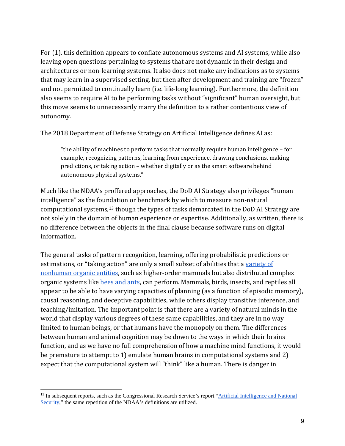For (1), this definition appears to conflate autonomous systems and AI systems, while also leaving open questions pertaining to systems that are not dynamic in their design and architectures or non-learning systems. It also does not make any indications as to systems that may learn in a supervised setting, but then after development and training are "frozen" and not permitted to continually learn (i.e. life-long learning). Furthermore, the definition also seems to require AI to be performing tasks without "significant" human oversight, but this move seems to unnecessarily marry the definition to a rather contentious view of autonomy.

The 2018 Department of Defense Strategy on Artificial Intelligence defines AI as:

"the ability of machines to perform tasks that normally require human intelligence – for example, recognizing patterns, learning from experience, drawing conclusions, making predictions, or taking action – whether digitally or as the smart software behind autonomous physical systems."

Much like the NDAA's proffered approaches, the DoD AI Strategy also privileges "human intelligence" as the foundation or benchmark by which to measure non-natural computational systems[,13](#page-8-0) though the types of tasks demarcated in the DoD AI Strategy are not solely in the domain of human experience or expertise. Additionally, as written, there is no difference between the objects in the final clause because software runs on digital information.

The general tasks of pattern recognition, learning, offering probabilistic predictions or estimations, or "taking action" are only a small subset of abilities that a [variety of](https://www.ncbi.nlm.nih.gov/pmc/articles/PMC1955772/)  [nonhuman organic entities,](https://www.ncbi.nlm.nih.gov/pmc/articles/PMC1955772/) such as higher-order mammals but also distributed complex organic systems like [bees and ants,](https://www.sciencedirect.com/science/article/pii/0959438895800085) can perform. Mammals, birds, insects, and reptiles all appear to be able to have varying capacities of planning (as a function of episodic memory), causal reasoning, and deceptive capabilities, while others display transitive inference, and teaching/imitation. The important point is that there are a variety of natural minds in the world that display various degrees of these same capabilities, and they are in no way limited to human beings, or that humans have the monopoly on them. The differences between human and animal cognition may be down to the ways in which their brains function, and as we have no full comprehension of how a machine mind functions, it would be premature to attempt to 1) emulate human brains in computational systems and 2) expect that the computational system will "think" like a human. There is danger in

<span id="page-8-0"></span> $\ddot{\phantom{a}}$ <sup>13</sup> In subsequent reports, such as the Congressional Research Service's report "Artificial Intelligence and National [Security,"](https://fas.org/sgp/crs/natsec/R45178.pdf) the same repetition of the NDAA's definitions are utilized.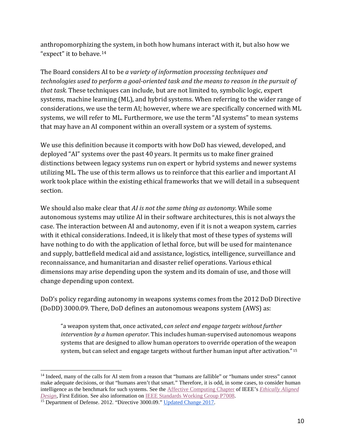anthropomorphizing the system, in both how humans interact with it, but also how we "expect" it to behave.[14](#page-9-0)

The Board considers AI to be *a variety of information processing techniques and technologies used to perform a goal-oriented task and the means to reason in the pursuit of that task.* These techniques can include, but are not limited to, symbolic logic, expert systems, machine learning (ML), and hybrid systems. When referring to the wider range of considerations, we use the term AI; however, where we are specifically concerned with ML systems, we will refer to ML. Furthermore, we use the term "AI systems" to mean systems that may have an AI component within an overall system or a system of systems.

We use this definition because it comports with how DoD has viewed, developed, and deployed "AI" systems over the past 40 years. It permits us to make finer grained distinctions between legacy systems run on expert or hybrid systems and newer systems utilizing ML. The use of this term allows us to reinforce that this earlier and important AI work took place within the existing ethical frameworks that we will detail in a subsequent section.

We should also make clear that *AI is not the same thing as autonomy.* While some autonomous systems may utilize AI in their software architectures, this is not always the case. The interaction between AI and autonomy, even if it is not a weapon system, carries with it ethical considerations. Indeed, it is likely that most of these types of systems will have nothing to do with the application of lethal force, but will be used for maintenance and supply, battlefield medical aid and assistance, logistics, intelligence, surveillance and reconnaissance, and humanitarian and disaster relief operations. Various ethical dimensions may arise depending upon the system and its domain of use, and those will change depending upon context.

DoD's policy regarding autonomy in weapons systems comes from the 2012 DoD Directive (DoDD) 3000.09. There, DoD defines an autonomous weapons system (AWS) as:

"a weapon system that, once activated, c*an select and engage targets without further intervention by a human operator*. This includes human-supervised autonomous weapons systems that are designed to allow human operators to override operation of the weapon system, but can select and engage targets without further human input after activation."[15](#page-9-1) 

<span id="page-9-0"></span> $\ddot{\phantom{a}}$ <sup>14</sup> Indeed, many of the calls for AI stem from a reason that "humans are fallible" or "humans under stress" cannot make adequate decisions, or that "humans aren't that smart." Therefore, it is odd, in some cases, to consider human intelligence as the benchmark for such systems. See the [Affective Computing Chapter](https://standards.ieee.org/content/dam/ieee-standards/standards/web/documents/other/ead1e_affective_computing.pdf) of IEEE's *[Ethically Aligned](https://ethicsinaction.ieee.org/)* 

<span id="page-9-1"></span><sup>&</sup>lt;sup>15</sup> Department of Defense. 2012. "Directive 3000.09." [Updated Change 2017.](https://www.esd.whs.mil/portals/54/documents/dd/issuances/dodd/300009p.pdf)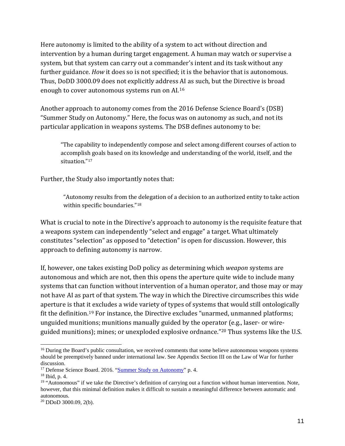Here autonomy is limited to the ability of a system to act without direction and intervention by a human during target engagement. A human may watch or supervise a system, but that system can carry out a commander's intent and its task without any further guidance. *How* it does so is not specified; it is the behavior that is autonomous. Thus, DoDD 3000.09 does not explicitly address AI as such, but the Directive is broad enough to cover autonomous systems run on AI.[16](#page-10-0)

Another approach to autonomy comes from the 2016 Defense Science Board's (DSB) "Summer Study on Autonomy." Here, the focus was on autonomy as such, and not its particular application in weapons systems. The DSB defines autonomy to be:

"The capability to independently compose and select among different courses of action to accomplish goals based on its knowledge and understanding of the world, itself, and the situation."[17](#page-10-1)

Further, the Study also importantly notes that:

"Autonomy results from the delegation of a decision to an authorized entity to take action within specific boundaries."<sup>18</sup>

What is crucial to note in the Directive's approach to autonomy is the requisite feature that a weapons system can independently "select and engage" a target. What ultimately constitutes "selection" as opposed to "detection" is open for discussion. However, this approach to defining autonomy is narrow.

If, however, one takes existing DoD policy as determining which *weapon* systems are autonomous and which are not, then this opens the aperture quite wide to include many systems that can function without intervention of a human operator, and those may or may not have AI as part of that system. The way in which the Directive circumscribes this wide aperture is that it excludes a wide variety of types of systems that would still ontologically fit the definition.[19](#page-10-3) For instance, the Directive excludes "unarmed, unmanned platforms; unguided munitions; munitions manually guided by the operator (e.g., laser- or wireguided munitions); mines; or unexploded explosive ordnance."[20](#page-10-4) Thus systems like the U.S.

<span id="page-10-0"></span> $\overline{a}$ <sup>16</sup> During the Board's public consultation, we received comments that some believe autonomous weapons systems should be preemptively banned under international law. See Appendix Section III on the Law of War for further discussion.

<span id="page-10-1"></span><sup>&</sup>lt;sup>17</sup> Defense Science Board. 2016. ["Summer Study on Autonomy"](https://fas.org/irp/agency/dod/dsb/autonomy-ss.pdf) p. 4.

<span id="page-10-2"></span><sup>18</sup> Ibid, p. 4.

<span id="page-10-3"></span><sup>&</sup>lt;sup>19</sup> "Autonomous" if we take the Directive's definition of carrying out a function without human intervention. Note, however, that this minimal definition makes it difficult to sustain a meaningful difference between automatic and autonomous.

<span id="page-10-4"></span> $20$  DDoD 3000.09, 2(b).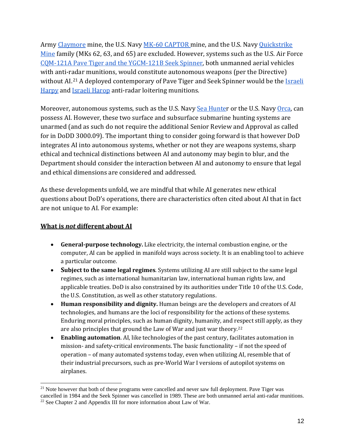Army [Claymore](https://fas.org/man/dod-101/sys/land/m18-claymore.htm) mine, the U.S. Navy [MK-60 CAPTOR m](https://www.vp4association.com/aircraft-information-2/32-2/mk-60-captor-mine/)ine, and the U.S. Navy [Quickstrike](http://www.navweaps.com/Weapons/WAMUS_Mines.php)  [Mine](http://www.navweaps.com/Weapons/WAMUS_Mines.php) family (MKs 62, 63, and 65) are excluded. However, systems such as the U.S. Air Force CQM-121A Pave Tiger [and the YGCM-121B Seek Spinner,](https://www.globalsecurity.org/military/systems/munitions/cqm-121.htm) both unmanned aerial vehicles with anti-radar munitions, would constitute autonomous weapons (per the Directive) without AI.<sup>[21](#page-11-0)</sup> A deployed contemporary of Paye Tiger and Seek Spinner would be the Israeli [Harpy](https://www.iai.co.il/p/harpy) and [Israeli Harop](https://www.iai.co.il/p/harop) anti-radar loitering munitions.

Moreover, autonomous systems, such as the U.S. Navy [Sea Hunter](https://news.usni.org/2019/04/29/sea-hunter-unmanned-ship-continues-autonomy-testing-as-navsea-moves-forward-with-draft-rfp) or the U.S. Navy [Orca,](https://news.usni.org/2019/02/13/41119) can possess AI. However, these two surface and subsurface submarine hunting systems are unarmed (and as such do not require the additional Senior Review and Approval as called for in DoDD 3000.09). The important thing to consider going forward is that however DoD integrates AI into autonomous systems, whether or not they are weapons systems, sharp ethical and technical distinctions between AI and autonomy may begin to blur, and the Department should consider the interaction between AI and autonomy to ensure that legal and ethical dimensions are considered and addressed.

As these developments unfold, we are mindful that while AI generates new ethical questions about DoD's operations, there are characteristics often cited about AI that in fact are not unique to AI. For example:

#### **What is** *not* **different about AI**

- **General-purpose technology.** Like electricity, the internal combustion engine, or the computer, AI can be applied in manifold ways across society. It is an enabling tool to achieve a particular outcome.
- **Subject to the same legal regimes**. Systems utilizing AI are still subject to the same legal regimes, such as international humanitarian law, international human rights law, and applicable treaties. DoD is also constrained by its authorities under Title 10 of the U.S. Code, the U.S. Constitution, as well as other statutory regulations.
- **Human responsibility and dignity.** Human beings are the developers and creators of AI technologies, and humans are the loci of responsibility for the actions of these systems. Enduring moral principles, such as human dignity, humanity, and r[esp](#page-11-1)ect still apply, as they are also principles that ground the Law of War and just war theory.22
- **Enabling automation**. AI, like technologies of the past century, facilitates automation in mission- and safety-critical environments. The basic functionality – if not the speed of operation – of many automated systems today, even when utilizing AI, resemble that of their industrial precursors, such as pre-World War I versions of autopilot systems on airplanes.

<span id="page-11-1"></span><span id="page-11-0"></span> $\overline{a}$ <sup>21</sup> Note however that both of these programs were cancelled and never saw full deployment. Pave Tiger was cancelled in 1984 and the Seek Spinner was cancelled in 1989. These are both unmanned aerial anti-radar munitions.<br><sup>22</sup> See Chapter 2 and Appendix III for more information about Law of War.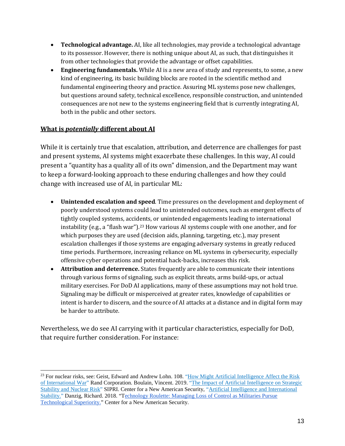- **Technological advantage.** AI, like all technologies, may provide a technological advantage to its possessor. However, there is nothing unique about AI, as such, that distinguishes it from other technologies that provide the advantage or offset capabilities.
- **Engineering fundamentals.** While AI is a new area of study and represents, to some, a new kind of engineering, its basic building blocks are rooted in the scientific method and fundamental engineering theory and practice. Assuring ML systems pose new challenges, but questions around safety, technical excellence, responsible construction, and unintended consequences are not new to the systems engineering field that is currently integrating AI, both in the public and other sectors.

#### **What is** *potentially* **different about AI**

While it is certainly true that escalation, attribution, and deterrence are challenges for past and present systems, AI systems might exacerbate these challenges. In this way, AI could present a "quantity has a quality all of its own" dimension, and the Department may want to keep a forward-looking approach to these enduring challenges and how they could change with increased use of AI, in particular ML:

- **Unintended escalation and speed**. Time pressures on the development and deployment of poorly understood systems could lead to unintended outcomes, such as emergent effects of tightly coupled systems, accidents, or unintended engagements leading to international instability (e.g., a "flash war").<sup>23</sup> How various AI systems couple with one another, and for which purposes they are used (decision aids, planning, targeting, etc.), may present escalation challenges if those systems are engaging adversary systems in greatly reduced time periods. Furthermore, increasing reliance on ML systems in cybersecurity, especially offensive cyber operations and potential hack-backs, increases this risk.
- **Attribution and deterrence.** States frequently are able to communicate their intentions through various forms of signaling, such as explicit threats, arms build-ups, or actual military exercises. For DoD AI applications, many of these assumptions may not hold true. Signaling may be difficult or misperceived at greater rates, knowledge of capabilities or intent is harder to discern, and the source of AI attacks at a distance and in digital form may be harder to attribute.

Nevertheless, we do see AI carrying with it particular characteristics, especially for DoD, that require further consideration. For instance:

<span id="page-12-0"></span> $\ddot{\phantom{a}}$ <sup>23</sup> For nuclear risks, see: Geist, Edward and Andrew Lohn. 108. "How Might Artificial Intelligence Affect the Risk [of International War"](https://www.rand.org/content/dam/rand/pubs/perspectives/PE200/PE296/RAND_PE296.pdf) Rand Corporation. Boulain, Vincent. 2019. ["The Impact of Artificial Intelligence on](https://www.sipri.org/publications/2019/other-publications/impact-artificial-intelligence-strategic-stability-and-nuclear-risk) Strategic [Stability and Nuclear Risk"](https://www.sipri.org/publications/2019/other-publications/impact-artificial-intelligence-strategic-stability-and-nuclear-risk) SIPRI. Center for a New American Security, ["Artificial Intelligence and International](https://www.cnas.org/artificial-intelligence-and-international-stability-project)  [Stability.](https://www.cnas.org/artificial-intelligence-and-international-stability-project)" Danzig, Richard. 2018. "[Technology Roulette: Managing Loss of Control as Militaries Pursue](https://www.cnas.org/publications/reports/technology-roulette)  [Technological Superiority."](https://www.cnas.org/publications/reports/technology-roulette) Center for a New American Security.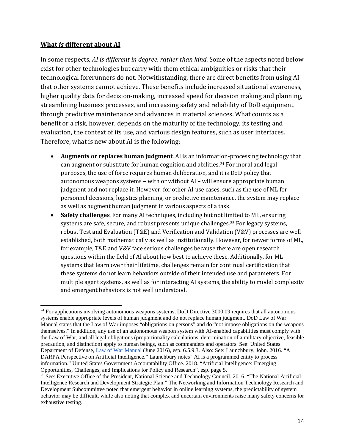#### **What** *is* **different about AI**

In some respects, *AI is different in degree, rather than kind*. Some of the aspects noted below exist for other technologies but carry with them ethical ambiguities or risks that their technological forerunners do not. Notwithstanding, there are direct benefits from using AI that other systems cannot achieve. These benefits include increased situational awareness, higher quality data for decision-making, increased speed for decision making and planning, streamlining business processes, and increasing safety and reliability of DoD equipment through predictive maintenance and advances in material sciences. What counts as a benefit or a risk, however, depends on the maturity of the technology, its testing and evaluation, the context of its use, and various design features, such as user interfaces. Therefore, what is new about AI is the following:

- **Augments or replaces human judgment**. AI is an informat[ion](#page-13-0)-processing technology that can augment or substitute for human cognition and abilities.<sup>24</sup> For moral and legal purposes, the use of force requires human deliberation, and it is DoD policy that autonomous weapons systems – with or without AI – will ensure appropriate human judgment and not replace it. However, for other AI use cases, such as the use of ML for personnel decisions, logistics planning, or predictive maintenance, the system may replace as well as augment human judgment in various aspects of a task.
- **Safety challenges**. For many AI techniques, including but not li[mit](#page-13-1)ed to ML, ensuring systems are safe, secure, and robust presents unique challenges.<sup>25</sup> For legacy systems, robust Test and Evaluation (T&E) and Verification and Validation (V&V) processes are well established, both mathematically as well as institutionally. However, for newer forms of ML, for example, T&E and V&V face serious challenges because there are open research questions within the field of AI about how best to achieve these. Additionally, for ML systems that learn over their lifetime, challenges remain for continual certification that these systems do not learn behaviors outside of their intended use and parameters. For multiple agent systems, as well as for interacting AI systems, the ability to model complexity and emergent behaviors is not well understood.

<span id="page-13-0"></span> $\overline{a}$ <sup>24</sup> For applications involving autonomous weapons systems, DoD Directive 3000.09 requires that all autonomous systems enable appropriate levels of human judgment and do not replace human judgment. DoD Law of War Manual states that the Law of War imposes "obligations on persons" and do "not impose obligations on the weapons themselves." In addition, any use of an autonomous weapon system with AI-enabled capabilities must comply with the Law of War, and all legal obligations (proportionality calculations, determination of a military objective, feasible precaution, and distinction) apply to human beings, such as commanders and operators. See: United States Department of Defense, [Law of War Manual](https://dod.defense.gov/Portals/1/Documents/pubs/DoD%20Law%20of%20War%20Manual%20-%20June%202015%20Updated%20Dec%202016.pdf?ver=2016-12-13-172036-190) (June 2016), esp. 6.5.9.3. Also: See: Launchbury, John. 2016. "A DARPA Perspective on Artificial Intelligence." Launchbury notes "AI is a programmed entity to process information." United States Government Accountability Office. 2018. "Artificial Intelligence: Emerging Opportunities, Challenges, and Implications for Policy and Research", esp. page 5.

<span id="page-13-1"></span><sup>&</sup>lt;sup>25</sup> See: Executive Office of the President, National Science and Technology Council. 2016. "The National Artificial Intelligence Research and Development Strategic Plan." The Networking and Information Technology Research and Development Subcommittee noted that emergent behavior in online learning systems, the predictability of system behavior may be difficult, while also noting that complex and uncertain environments raise many safety concerns for exhaustive testing.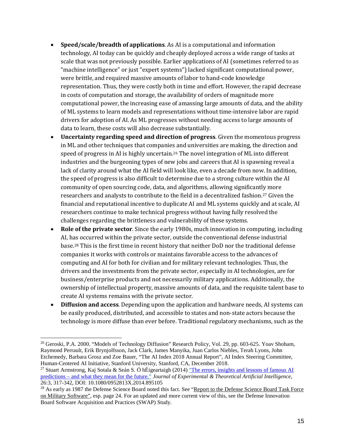- **Speed/scale/breadth of applications**. As AI is a computational and information technology, AI today can be quickly and cheaply deployed across a wide range of tasks at scale that was not previously possible. Earlier applications of AI (sometimes referred to as "machine intelligence" or just "expert systems") lacked significant computational power, were brittle, and required massive amounts of labor to hand-code knowledge representation. Thus, they were costly both in time and effort. However, the rapid decrease in costs of computation and storage, the availability of orders of magnitude more computational power, the increasing ease of amassing large amounts of data, and the ability of ML systems to learn models and representations without time-intensive labor are rapid drivers for adoption of AI. As ML progresses without needing access to large amounts of data to learn, these costs will also decrease substantially.
- **Uncertainty regarding speed and direction of progress**. Given the momentous progress in ML and other techniques that companies and universities are making, the direction and speed of progress in AI is highly uncertain.<sup>[26](#page-14-0)</sup> The novel integration of ML into different industries and the burgeoning types of new jobs and careers that AI is spawning reveal a lack of clarity around what the AI field will look like, even a decade from now. In addition, the speed of progress is also difficult to determine due to a strong culture within the AI community of open sourcing code, data, and algorithms, allowing significantly more researchers and analysts to contribute to the field in a decentralized fashion.[27](#page-14-1) Given the financial and reputational incentive to duplicate AI and ML systems quickly and at scale, AI researchers continue to make technical progress without having fully resolved the challenges regarding the brittleness and vulnerability of these systems.
- **Role of the private sector**. Since the early 1980s, much innovation in computing, including AI, has occurred within the private sector, outside the conventional defense industrial base.[28](#page-14-2) This is the first time in recent history that neither DoD nor the traditional defense companies it works with controls or maintains favorable access to the advances of computing and AI for both for civilian and for military relevant technologies. Thus, the drivers and the investments from the private sector, especially in AI technologies, are for business/enterprise products and not necessarily military applications. Additionally, the ownership of intellectual property, massive amounts of data, and the requisite talent base to create AI systems remains with the private sector.
- **Diffusion and access**. Depending upon the application and hardware needs, AI systems can be easily produced, distributed, and accessible to states and non-state actors because the technology is more diffuse than ever before. Traditional regulatory mechanisms, such as the

 $\overline{a}$ 

<span id="page-14-1"></span><sup>27</sup> Stuart Armstrong, Kaj Sotala & Seán S. Ó hÉigeartaigh (2014) ["The errors, insights and lessons of famous AI](https://doi.org/10.1080/0952813X.2014.895105)  predictions – [and what they mean for the future,](https://doi.org/10.1080/0952813X.2014.895105)" *Journal of Experimental & Theoretical Artificial Intelligence*, 26:3, 317-342, DOI: 10.1080/0952813X.2014.895105

<span id="page-14-0"></span><sup>&</sup>lt;sup>26</sup> Geroski, P.A. 2000. "Models of Technology Diffusion" Research Policy, Vol. 29, pp. 603-625. Yoav Shoham, Raymond Perrault, Erik Brynjolfsson, Jack Clark, James Manyika, Juan Carlos Niebles, Terah Lyons, John Etchemedy, Barbara Grosz and Zoe Bauer, "The AI Index 2018 Annual Report", AI Index Steering Committee, Human-Centered AI Initiative, Stanford University, Stanford, CA, December 2018.

<span id="page-14-2"></span><sup>&</sup>lt;sup>28</sup> As early as 1987 the Defense Science Board noted this fact. See "Report to the Defense Science Board Task Force [on Military Software",](https://apps.dtic.mil/docs/citations/ADA188561) esp. page 24. For an updated and more current view of this, see the Defense Innovation Board Sof[tware](https://innovation.defense.gov/software/) Acquisition and Practices (SWAP) Study.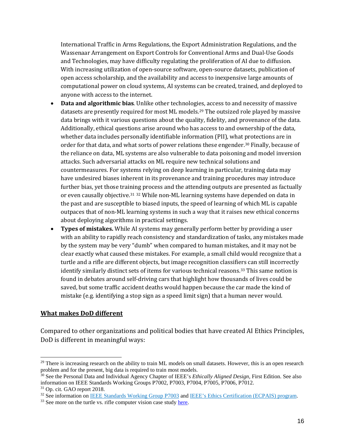International Traffic in Arms Regulations, the Export Administration Regulations, and the Wassenaar Arrangement on Export Controls for Conventional Arms and Dual-Use Goods and Technologies, may have difficulty regulating the proliferation of AI due to diffusion. With increasing utilization of open-source software, open-source datasets, publication of open access scholarship, and the availability and access to inexpensive large amounts of computational power on cloud systems, AI systems can be created, trained, and deployed to anyone with access to the internet.

- **Data and algorithmic bias**. Unlike other technologi[es](#page-15-0), access to and necessity of massive datasets are presently required for most ML models.29 The outsized role played by massive data brings with it various questions about the quality, fidelity, and provenance of the data. Additionally, ethical questions arise around who has access to and ownership of the data, whether data includes personally identifiable information (PII), what protections are in order for that data, and what sorts of power relations these engender.[30](#page-15-1) Finally, because of the reliance on data, ML systems are also vulnerable to data poisoning and model inversion attacks. Such adversarial attacks on ML require new technical solutions and countermeasures. For systems relying on deep learning in particular, training data may have undesired biases inherent in its provenance and training procedures may introduce further bias, yet those traini[ng](#page-15-3) process and the attending outputs are presented as factually or even causally objective.[31](#page-15-2) <sup>32</sup> While non-ML learning systems have depended on data in the past and are susceptible to biased inputs, the speed of learning of which ML is capable outpaces that of non-ML learning systems in such a way that it raises new ethical concerns about deploying algorithms in practical settings.
- **Types of mistakes.** While AI systems may generally perform better by providing a user with an ability to rapidly reach consistency and standardization of tasks, any mistakes made by the system may be very "dumb" when compared to human mistakes, and it may not be clear exactly what caused these mistakes. For example, a small child would recognize that a turtle and a rifle are different objects, but image recognition classifiers can still incorrectly identify similarly distinct sets of items for various technical reasons.[33](#page-15-4) This same notion is found in debates around self-driving cars that highlight how thousands of lives could be saved, but some traffic accident deaths would happen because the car made the kind of mistake (e.g. identifying a stop sign as a speed limit sign) that a human never would.

#### **What makes DoD different**

Compared to other organizations and political bodies that have created AI Ethics Principles, DoD is different in meaningful ways:

<span id="page-15-0"></span> $\overline{a}$  $29$  There is increasing research on the ability to train ML models on small datasets. However, this is an open research problem and for the present, big data is required to train most models.

<span id="page-15-1"></span><sup>30</sup> See the Personal Data and Individual Agency Chapter of IEEE's *Ethically Aligned Design*, First Edition. See also information on IEEE Standards Working Groups P7002, P7003, P7004, P7005, P7006, P7012.

<span id="page-15-3"></span><span id="page-15-2"></span> $31$  Op. cit. GAO report 2018.<br> $32$  See information on [IEEE Standards Working Group P7003](http://sites.ieee.org/sagroups-7003/) and [IEEE's Ethics Certification \(ECPAIS\) program.](https://standards.ieee.org/industry-connections/ecpais.html)

<span id="page-15-4"></span><sup>&</sup>lt;sup>33</sup> See more on the turtle vs. rifle computer vision case study [here.](http://news.mit.edu/2019/why-did-my-classifier-mistake-turtle-for-rifle-computer-vision-0731)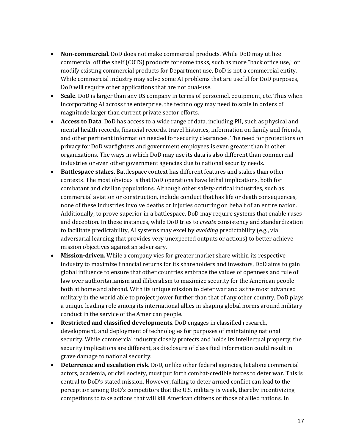- **Non-commercial.** DoD does not make commercial products. While DoD may utilize commercial off the shelf (COTS) products for some tasks, such as more "back office use," or modify existing commercial products for Department use, DoD is not a commercial entity. While commercial industry may solve some AI problems that are useful for DoD purposes, DoD will require other applications that are not dual-use.
- **Scale**. DoD is larger than any US company in terms of personnel, equipment, etc. Thus when incorporating AI across the enterprise, the technology may need to scale in orders of magnitude larger than current private sector efforts.
- **Access to Data**. DoD has access to a wide range of data, including PII, such as physical and mental health records, financial records, travel histories, information on family and friends, and other pertinent information needed for security clearances. The need for protections on privacy for DoD warfighters and government employees is even greater than in other organizations. The ways in which DoD may use its data is also different than commercial industries or even other government agencies due to national security needs.
- **Battlespace stakes.** Battlespace context has different features and stakes than other contexts. The most obvious is that DoD operations have lethal implications, both for combatant and civilian populations. Although other safety-critical industries, such as commercial aviation or construction, include conduct that has life or death consequences, none of these industries involve deaths or injuries occurring on behalf of an entire nation. Additionally, to prove superior in a battlespace, DoD may require systems that enable ruses and deception. In these instances, while DoD tries to *create* consistency and standardization to facilitate predictability, AI systems may excel by *avoiding* predictability (e.g., via adversarial learning that provides very unexpected outputs or actions) to better achieve mission objectives against an adversary.
- **Mission-driven.** While a company vies for greater market share within its respective industry to maximize financial returns for its shareholders and investors, DoD aims to gain global influence to ensure that other countries embrace the values of openness and rule of law over authoritarianism and illiberalism to maximize security for the American people both at home and abroad. With its unique mission to deter war and as the most advanced military in the world able to project power further than that of any other country, DoD plays a unique leading role among its international allies in shaping global norms around military conduct in the service of the American people.
- **Restricted and classified developments**. DoD engages in classified research, development, and deployment of technologies for purposes of maintaining national security. While commercial industry closely protects and holds its intellectual property, the security implications are different, as disclosure of classified information could result in grave damage to national security.
- **Deterrence and escalation risk**. DoD, unlike other federal agencies, let alone commercial actors, academia, or civil society, must put forth combat-credible forces to deter war. This is central to DoD's stated mission. However, failing to deter armed conflict can lead to the perception among DoD's competitors that the U.S. military is weak, thereby incentivizing competitors to take actions that will kill American citizens or those of allied nations. In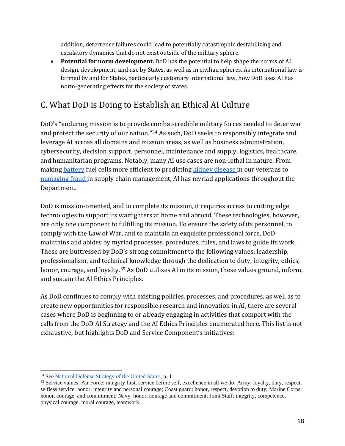addition, deterrence failures could lead to potentially catastrophic destabilizing and escalatory dynamics that do not exist outside of the military sphere.

• **Potential for norm development.** DoD has the potential to help shape the norms of AI design, development, and use by States, as well as in civilian spheres. As international law is formed by and for States, particularly customary international law, how DoD uses AI has norm-generating effects for the society of states.

### C. What DoD is Doing to Establish an Ethical AI Culture

DoD's "enduring mission is to provide combat-credible military forces needed to deter war and protect the security of our nation."[34](#page-17-0) As such, DoD seeks to responsibly integrate and leverage AI across all domains and mission areas, as well as business administration, cybersecurity, decision support, personnel, maintenance and supply, logistics, healthcare, and humanitarian programs. Notably, many AI use cases are non-lethal in nature. From makin[g battery](https://federalnewsnetwork.com/army/2019/08/army-research-office-turns-to-ai-for-better-batteries/) fuel cells more efficient to predicting [kidney disease i](https://www.va.gov/opa/pressrel/pressrelease.cfm?id=5287)n our veterans to [managing fraud i](https://emerj.com/ai-sector-overviews/artificial-intelligence-military-logistics/)n supply chain management, AI has myriad applications throughout the Department.

DoD is mission-oriented, and to complete its mission, it requires access to cutting edge technologies to support its warfighters at home and abroad. These technologies, however, are only one component to fulfilling its mission. To ensure the safety of its personnel, to comply with the Law of War, and to maintain an exquisite professional force, DoD maintains and abides by myriad processes, procedures, rules, and laws to guide its work. These are buttressed by DoD's strong commitment to the following values: leadership, professionalism, and technical knowledge through the dedication to duty, integrity, ethics, honor, courage, and loyalty.<sup>[35](#page-17-1)</sup> As DoD utilizes AI in its mission, these values ground, inform, and sustain the AI Ethics Principles.

As DoD continues to comply with existing policies, processes, and procedures, as well as to create new opportunities for responsible research and innovation in AI, there are several cases where DoD is beginning to or already engaging in activities that comport with the calls from the DoD AI Strategy and the AI Ethics Principles enumerated here. This list is not exhaustive, but highlights DoD and Service Component's initiatives:

 $\ddot{\phantom{a}}$ 

<span id="page-17-1"></span><span id="page-17-0"></span><sup>&</sup>lt;sup>34</sup> See <u>National Defense Strategy of the United States</u>, p. 1<br><sup>35</sup> Service values: Air Force: integrity first, service before self, excellence in all we do; Army: loyalty, duty, respect, selfless service, honor, integrity and personal courage; Coast guard: honor, respect, devotion to duty; Marine Corps: honor, courage, and commitment; Navy: honor, courage and commitment; Joint Staff: integrity, competence, physical courage, moral courage, teamwork.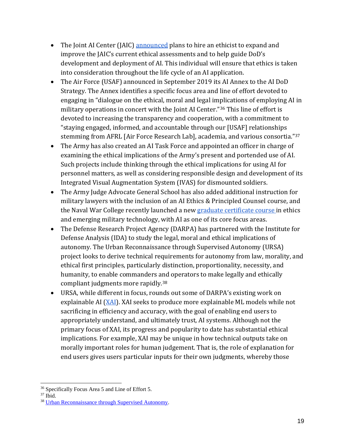- The Joint AI Center (JAIC) [announced](https://www.defense.gov/explore/story/Article/1950724/dod-seeks-ethicist-to-guide-deployment-of-artificial-intelligence/) plans to hire an ethicist to expand and improve the JAIC's current ethical assessments and to help guide DoD's development and deployment of AI. This individual will ensure that ethics is taken into consideration throughout the life cycle of an AI application.
- The Air Force (USAF) announced in September 2019 its AI Annex to the AI DoD Strategy. The Annex identifies a specific focus area and line of effort devoted to engaging in "dialogue on the ethical, moral and legal implications of employing AI in military operations in concert with the Joint AI Center."[36](#page-18-0) This line of effort is devoted to increasing the transparency and cooperation, with a commitment to "staying engaged, informed, and accountable through our [USAF] relationships stemming from AFRL [Air Force Research Lab], academia, and various consortia."[37](#page-18-1)
- The Army has also created an AI Task Force and appointed an officer in charge of examining the ethical implications of the Army's present and portended use of AI. Such projects include thinking through the ethical implications for using AI for personnel matters, as well as considering responsible design and development of its Integrated Visual Augmentation System (IVAS) for dismounted soldiers.
- The Army Judge Advocate General School has also added additional instruction for military lawyers with the inclusion of an AI Ethics & Principled Counsel course, and the Naval War College recently launched a new [graduate certificate course i](https://usnwc.edu/college-of-naval-warfare/Additional-Academic-Opportunities/Graduate-Certificate-in-Ethics-and-Emerging-Military-Technology)n ethics and emerging military technology, with AI as one of its core focus areas.
- The Defense Research Project Agency (DARPA) has partnered with the Institute for Defense Analysis (IDA) to study the legal, moral and ethical implications of autonomy. The Urban Reconnaissance through Supervised Autonomy (URSA) project looks to derive technical requirements for autonomy from law, morality, and ethical first principles, particularly distinction, proportionality, necessity, and humanity, to enable commanders and operators to make legally and ethically compliant judgments more rapidly.[38](#page-18-2)
- URSA, while different in focus, rounds out some of DARPA's existing work on explainable AI [\(XAI\)](https://www.darpa.mil/program/explainable-artificial-intelligence). XAI seeks to produce more explainable ML models while not sacrificing in efficiency and accuracy, with the goal of enabling end users to appropriately understand, and ultimately trust, AI systems. Although not the primary focus of XAI, its progress and popularity to date has substantial ethical implications. For example, XAI may be unique in how technical outputs take on morally important roles for human judgement. That is, the role of explanation for end users gives users particular inputs for their own judgments, whereby those

 $\overline{a}$ <sup>36</sup> Specifically Focus Area 5 and Line of Effort 5.

<span id="page-18-1"></span><span id="page-18-0"></span><sup>37</sup> Ibid.

<span id="page-18-2"></span><sup>38</sup> [Urban Reconnaissance through Supervised Autonomy.](https://www.youtube.com/watch?v=ug8FuvuAHH0)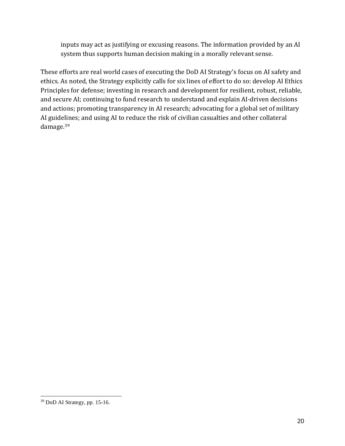inputs may act as justifying or excusing reasons. The information provided by an AI system thus supports human decision making in a morally relevant sense.

These efforts are real world cases of executing the DoD AI Strategy's focus on AI safety and ethics. As noted, the Strategy explicitly calls for six lines of effort to do so: develop AI Ethics Principles for defense; investing in research and development for resilient, robust, reliable, and secure AI; continuing to fund research to understand and explain AI-driven decisions and actions; promoting transparency in AI research; advocating for a global set of military AI guidelines; and using AI to reduce the risk of civilian casualties and other collateral damage.[39](#page-19-0)

 $\overline{a}$ 

<span id="page-19-0"></span><sup>39</sup> DoD AI Strategy, pp. 15-16.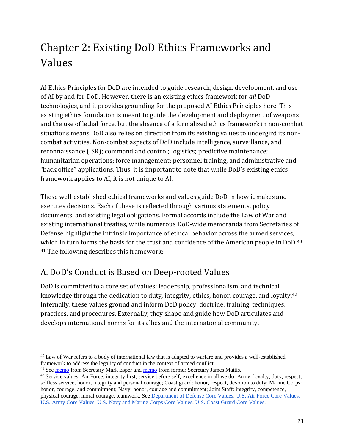# <span id="page-20-0"></span>Chapter 2: Existing DoD Ethics Frameworks and Values

AI Ethics Principles for DoD are intended to guide research, design, development, and use of AI by and for DoD. However, there is an existing ethics framework for *all* DoD technologies, and it provides grounding for the proposed AI Ethics Principles here. This existing ethics foundation is meant to guide the development and deployment of weapons and the use of lethal force, but the absence of a formalized ethics framework in non-combat situations means DoD also relies on direction from its existing values to undergird its noncombat activities. Non-combat aspects of DoD include intelligence, surveillance, and reconnaissance (ISR); command and control; logistics; predictive maintenance; humanitarian operations; force management; personnel training, and administrative and "back office" applications. Thus, it is important to note that while DoD's existing ethics framework applies to AI, it is not unique to AI.

These well-established ethical frameworks and values guide DoD in how it makes and executes decisions. Each of these is reflected through various statements, policy documents, and existing legal obligations. Formal accords include the Law of War and existing international treaties, while numerous DoD-wide memoranda from Secretaries of Defense highlight the intrinsic importance of ethical behavior across the armed services, [w](#page-20-2)hich in turn forms the basis for the trust and confidence of the American people in DoD.<sup>[40](#page-20-1)</sup> <sup>41</sup> The following describes this framework:

## A. DoD's Conduct is Based on Deep-rooted Values

DoD is committed to a core set of values: leadership, professionalism, and technical knowledge through the dedication to duty, integrity, ethics, honor, courage, and loyalty.[42](#page-20-3) Internally, these values ground and inform DoD policy, doctrine, training, techniques, practices, and procedures. Externally, they shape and guide how DoD articulates and develops international norms for its allies and the international community.

<span id="page-20-1"></span> $\ddot{\phantom{a}}$ <sup>40</sup> Law of War refers to a body of international law that is adapted to warfare and provides a well-established framework to address the legality of conduct in the context of armed conflict.<br><sup>41</sup> See memo from Secretary Mark Esper and memo from former Secretary James Mattis.

<span id="page-20-2"></span>

<span id="page-20-3"></span> $42$  Service values: Air Force: integrity first, service before self, excellence in all we do; Army: loyalty, duty, respect, selfless service, honor, integrity and personal courage; Coast guard: honor, respect, devotion to duty; Marine Corps: honor, courage, and commitment; Navy: honor, courage and commitment; Joint Staff: integrity, competence, physical courage, moral courage, teamwork. See [Department of Defense Core Values,](https://diversity.defense.gov/Portals/51/Documents/Resources/Commission/docs/Issue%20Papers/Paper%2006%20-%20DOD%20Core%20Values.pdf) [U.S. Air Force Core Values,](https://www.airforce.com/mission/vision) [U.S. Army Core Values,](https://www.army.mil/values/) [U.S. Navy and Marine Corps Core Values,](https://www.secnav.navy.mil/Ethics/Pages/corevaluescharter.aspx) [U.S. Coast Guard Core Values.](https://www.gocoastguard.com/family-and-friends/the-helmsman/introduction)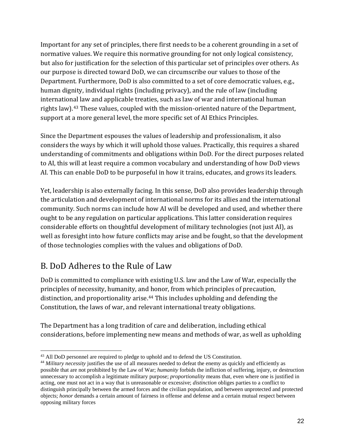Important for any set of principles, there first needs to be a coherent grounding in a set of normative values. We require this normative grounding for not only logical consistency, but also for justification for the selection of this particular set of principles over others. As our purpose is directed toward DoD, we can circumscribe our values to those of the Department. Furthermore, DoD is also committed to a set of core democratic values, e.g., human dignity, individual rights (including privacy), and the rule of law (including international law and applicable treaties, such as law of war and international human rights law).[43](#page-21-0) These values, coupled with the mission-oriented nature of the Department, support at a more general level, the more specific set of AI Ethics Principles.

Since the Department espouses the values of leadership and professionalism*,* it also considers the ways by which it will uphold those values. Practically, this requires a shared understanding of commitments and obligations within DoD. For the direct purposes related to AI, this will at least require a common vocabulary and understanding of how DoD views AI. This can enable DoD to be purposeful in how it trains, educates, and grows its leaders.

Yet, leadership is also externally facing. In this sense, DoD also provides leadership through the articulation and development of international norms for its allies and the international community. Such norms can include how AI will be developed and used, and whether there ought to be any regulation on particular applications. This latter consideration requires considerable efforts on thoughtful development of military technologies (not just AI), as well as foresight into how future conflicts may arise and be fought, so that the development of those technologies complies with the values and obligations of DoD.

### B. DoD Adheres to the Rule of Law

DoD is committed to compliance with existing U.S. law and the Law of War, especially the principles of necessity, humanity, and honor, from which principles of precaution, distinction, and proportionality arise.<sup>[44](#page-21-1)</sup> This includes upholding and defending the Constitution, the laws of war, and relevant international treaty obligations.

The Department has a long tradition of care and deliberation, including ethical considerations, before implementing new means and methods of war, as well as upholding

<span id="page-21-0"></span><sup>&</sup>lt;sup>43</sup> All DoD personnel are required to pledge to uphold and to defend the US Constitution.

<span id="page-21-1"></span><sup>&</sup>lt;sup>44</sup> Military necessity justifies the use of all measures needed to defeat the enemy as quickly and efficiently as possible that are not prohibited by the Law of War; *humanity* forbids the infliction of suffering, injury, or destruction unnecessary to accomplish a legitimate military purpose; *proportionality* means that, even where one is justified in acting, one must not act in a way that is unreasonable or excessive; *distinction* obliges parties to a conflict to distinguish principally between the armed forces and the civilian population, and between unprotected and protected objects; *honor* demands a certain amount of fairness in offense and defense and a certain mutual respect between opposing military forces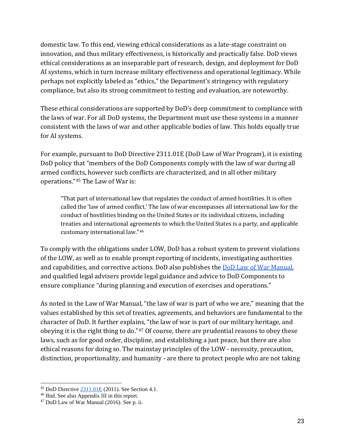domestic law. To this end, viewing ethical considerations as a late-stage constraint on innovation, and thus military effectiveness, is historically and practically false. DoD views ethical considerations as an inseparable part of research, design, and deployment for DoD AI systems, which in turn increase military effectiveness and operational legitimacy. While perhaps not explicitly labeled as "ethics," the Department's stringency with regulatory compliance, but also its strong commitment to testing and evaluation, are noteworthy.

These ethical considerations are supported by DoD's deep commitment to compliance with the laws of war. For all DoD systems, the Department must use these systems in a manner consistent with the laws of war and other applicable bodies of law. This holds equally true for AI systems.

For example, pursuant to DoD Directive 2311.01E (DoD Law of War Program), it is existing DoD policy that "members of the DoD Components comply with the law of war during all armed conflicts, however such conflicts are characterized, and in all other military operations."[45](#page-22-0) The Law of War is:

"That part of international law that regulates the conduct of armed hostilities. It is often called the 'law of armed conflict.' The law of war encompasses all international law for the conduct of hostilities binding on the United States or its individual citizens, including treaties and international agr[ee](#page-22-1)ments to which the United States is a party, and applicable customary international law."46

To comply with the obligations under LOW, DoD has a robust system to prevent violations of the LOW, as well as to enable prompt reporting of incidents, investigating authorities and capabilities, and corrective actions. DoD also publishes the [DoD Law of War Manual,](https://dod.defense.gov/Portals/1/Documents/pubs/DoD%20Law%20of%20War%20Manual%20-%20June%202015%20Updated%20Dec%202016.pdf?ver=2016-12-13-172036-190) and qualified legal advisers provide legal guidance and advice to DoD Components to ensure compliance "during planning and execution of exercises and operations."

As noted in the Law of War Manual, "the law of war is part of who we are," meaning that the values established by this set of treaties, agreements, and behaviors are fundamental to the character of DoD. It further explains, "the law of war is part of our military heritage, and obeying it is the right thing to do."[47](#page-22-2) Of course, there are prudential reasons to obey these laws, such as for good order, discipline, and establishing a just peace, but there are also ethical reasons for doing so. The mainstay principles of the LOW - necessity, precaution, distinction, proportionality, and humanity - are there to protect people who are not taking

<span id="page-22-0"></span> $\overline{a}$ <sup>45</sup> DoD Directive  $\frac{2311.01E}{2011}$ . See Section 4.1.<br><sup>46</sup> Ibid. See also Appendix III in this report.

<span id="page-22-2"></span><span id="page-22-1"></span> $47$  DoD Law of War Manual (2016). See p. ii.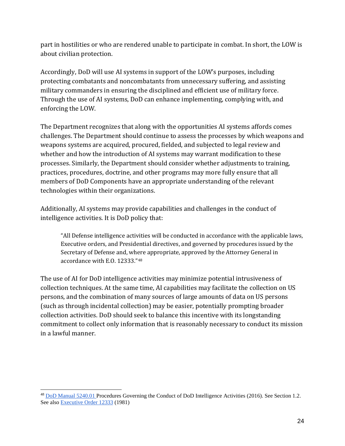part in hostilities or who are rendered unable to participate in combat. In short, the LOW is about civilian protection.

Accordingly, DoD will use AI systems in support of the LOW's purposes, including protecting combatants and noncombatants from unnecessary suffering, and assisting military commanders in ensuring the disciplined and efficient use of military force. Through the use of AI systems, DoD can enhance implementing, complying with, and enforcing the LOW.

The Department recognizes that along with the opportunities AI systems affords comes challenges. The Department should continue to assess the processes by which weapons and weapons systems are acquired, procured, fielded, and subjected to legal review and whether and how the introduction of AI systems may warrant modification to these processes. Similarly, the Department should consider whether adjustments to training, practices, procedures, doctrine, and other programs may more fully ensure that all members of DoD Components have an appropriate understanding of the relevant technologies within their organizations.

Additionally, AI systems may provide capabilities and challenges in the conduct of intelligence activities. It is DoD policy that:

"All Defense intelligence activities will be conducted in accordance with the applicable laws, Executive orders, and Presidential directives, and governed by procedures issued by the Secretary of Defense and, where appropriate, approved by the Attorney General in accordance with E.O. 12333."[48](#page-23-0)

The use of AI for DoD intelligence activities may minimize potential intrusiveness of collection techniques. At the same time, AI capabilities may facilitate the collection on US persons, and the combination of many sources of large amounts of data on US persons (such as through incidental collection) may be easier, potentially prompting broader collection activities. DoD should seek to balance this incentive with its longstanding commitment to collect only information that is reasonably necessary to conduct its mission in a lawful manner.

<span id="page-23-0"></span> $\ddot{\phantom{a}}$ <sup>48</sup> [DoD Manual 5240.01 P](https://dodsioo.defense.gov/Portals/46/DoDM%20%205240.01.pdf?ver=2016-08-11-184834-887)rocedures Governing the Conduct of DoD Intelligence Activities (2016). See Section 1.2. See also [Executive Order 12333](https://www.archives.gov/federal-register/codification/executive-order/12333.html) (1981)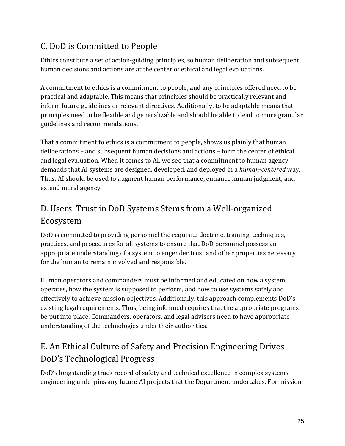## C. DoD is Committed to People

Ethics constitute a set of action-guiding principles, so human deliberation and subsequent human decisions and actions are at the center of ethical and legal evaluations.

A commitment to ethics is a commitment to people, and any principles offered need to be practical and adaptable. This means that principles should be practically relevant and inform future guidelines or relevant directives. Additionally, to be adaptable means that principles need to be flexible and generalizable and should be able to lead to more granular guidelines and recommendations.

That a commitment to ethics is a commitment to people, shows us plainly that human deliberations – and subsequent human decisions and actions – form the center of ethical and legal evaluation. When it comes to AI, we see that a commitment to human agency demands that AI systems are designed, developed, and deployed in a *human-centered* way. Thus, AI should be used to augment human performance, enhance human judgment, and extend moral agency.

### D. Users' Trust in DoD Systems Stems from a Well-organized Ecosystem

DoD is committed to providing personnel the requisite doctrine, training, techniques, practices, and procedures for all systems to ensure that DoD personnel possess an appropriate understanding of a system to engender trust and other properties necessary for the human to remain involved and responsible.

Human operators and commanders must be informed and educated on how a system operates, how the system is supposed to perform, and how to use systems safely and effectively to achieve mission objectives. Additionally, this approach complements DoD's existing legal requirements. Thus, being informed requires that the appropriate programs be put into place. Commanders, operators, and legal advisers need to have appropriate understanding of the technologies under their authorities.

### E. An Ethical Culture of Safety and Precision Engineering Drives DoD's Technological Progress

DoD's longstanding track record of safety and technical excellence in complex systems engineering underpins any future AI projects that the Department undertakes. For mission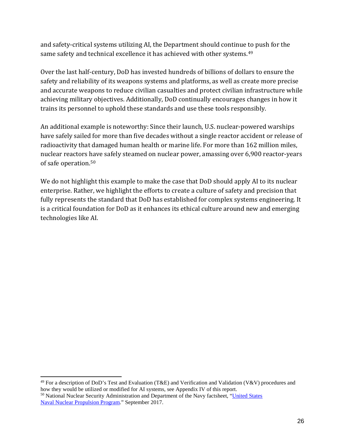and safety-critical systems utilizing AI, the Department should continue to push for the same safety and technical excellence it has achieved with other systems.<sup>[49](#page-25-0)</sup>

Over the last half-century, DoD has invested hundreds of billions of dollars to ensure the safety and reliability of its weapons systems and platforms, as well as create more precise and accurate weapons to reduce civilian casualties and protect civilian infrastructure while achieving military objectives. Additionally, DoD continually encourages changes in how it trains its personnel to uphold these standards and use these tools responsibly.

An additional example is noteworthy: Since their launch, U.S. nuclear-powered warships have safely sailed for more than five decades without a single reactor accident or release of radioactivity that damaged human health or marine life. For more than 162 million miles, nuclear reactors have safely steamed on nuclear power, amassing over 6,900 reactor-years of safe operation.[50](#page-25-1)

We do not highlight this example to make the case that DoD should apply AI to its nuclear enterprise. Rather, we highlight the efforts to create a culture of safety and precision that fully represents the standard that DoD has established for complex systems engineering. It is a critical foundation for DoD as it enhances its ethical culture around new and emerging technologies like AI.

<span id="page-25-1"></span><span id="page-25-0"></span> $\overline{a}$ <sup>49</sup> For a description of DoD's Test and Evaluation (T&E) and Verification and Validation (V&V) procedures and how they would be utilized or modified for AI systems, see Appendix IV of this report.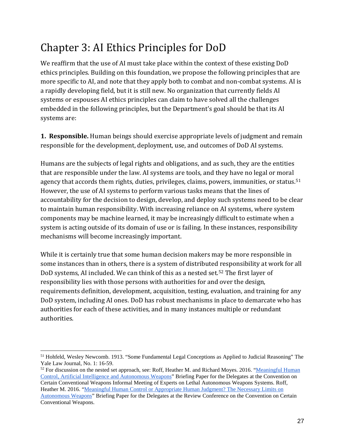## <span id="page-26-0"></span>Chapter 3: AI Ethics Principles for DoD

We reaffirm that the use of AI must take place within the context of these existing DoD ethics principles. Building on this foundation, we propose the following principles that are more specific to AI, and note that they apply both to combat and non-combat systems. AI is a rapidly developing field, but it is still new. No organization that currently fields AI systems or espouses AI ethics principles can claim to have solved all the challenges embedded in the following principles, but the Department's goal should be that its AI systems are:

**1. Responsible.** Human beings should exercise appropriate levels of judgment and remain responsible for the development, deployment, use, and outcomes of DoD AI systems.

Humans are the subjects of legal rights and obligations, and as such, they are the entities that are responsible under the law. AI systems are tools, and they have no legal or moral agency that accords them rights, duties, privileges, claims, powers, immunities, or status.<sup>[51](#page-26-1)</sup> However, the use of AI systems to perform various tasks means that the lines of accountability for the decision to design, develop, and deploy such systems need to be clear to maintain human responsibility. With increasing reliance on AI systems, where system components may be machine learned, it may be increasingly difficult to estimate when a system is acting outside of its domain of use or is failing. In these instances, responsibility mechanisms will become increasingly important.

While it is certainly true that some human decision makers may be more responsible in some instances than in others, there is a system of distributed responsibility at work for all DoD systems, AI included. We can think of this as a nested set.[52](#page-26-2) The first layer of responsibility lies with those persons with authorities for and over the design, requirements definition, development, acquisition, testing, evaluation, and training for any DoD system, including AI ones. DoD has robust mechanisms in place to demarcate who has authorities for each of these activities, and in many instances multiple or redundant authorities.

<span id="page-26-1"></span> $\ddot{\phantom{a}}$ <sup>51</sup> Hohfeld, Wesley Newcomb. 1913. "Some Fundamental Legal Conceptions as Applied to Judicial Reasoning" The Yale Law Journal, No. 1: 16-59.

<span id="page-26-2"></span><sup>&</sup>lt;sup>52</sup> For discussion on the nested set approach, see: Roff, Heather M. and Richard Moyes. 2016. "Meaningful Human" [Control, Artificial Intelligence and Autonomous Weapons"](http://www.article36.org/wp-content/uploads/2016/04/MHC-AI-and-AWS-FINAL.pdf) Briefing Paper for the Delegates at the Convention on Certain Conventional Weapons Informal Meeting of Experts on Lethal Autonomous Weapons Systems. Roff, Heather M. 2016. ["Meaningful Human Control or Appropriate Human Judgment? The Necessary Limits on](http://www.article36.org/wp-content/uploads/2016/12/Control-or-Judgment_-Understanding-the-Scope.pdf)  [Autonomous Weapons"](http://www.article36.org/wp-content/uploads/2016/12/Control-or-Judgment_-Understanding-the-Scope.pdf) Briefing Paper for the Delegates at the Review Conference on the Convention on Certain Conventional Weapons.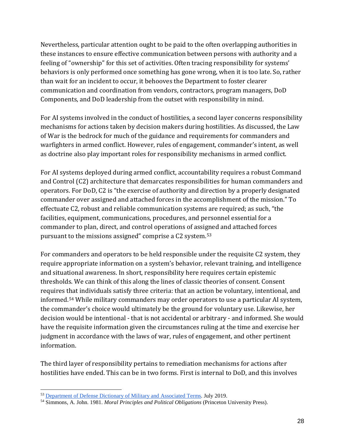Nevertheless, particular attention ought to be paid to the often overlapping authorities in these instances to ensure effective communication between persons with authority and a feeling of "ownership" for this set of activities. Often tracing responsibility for systems' behaviors is only performed once something has gone wrong, when it is too late. So, rather than wait for an incident to occur, it behooves the Department to foster clearer communication and coordination from vendors, contractors, program managers, DoD Components, and DoD leadership from the outset with responsibility in mind.

For AI systems involved in the conduct of hostilities, a second layer concerns responsibility mechanisms for actions taken by decision makers during hostilities. As discussed, the Law of War is the bedrock for much of the guidance and requirements for commanders and warfighters in armed conflict. However, rules of engagement, commander's intent, as well as doctrine also play important roles for responsibility mechanisms in armed conflict.

For AI systems deployed during armed conflict, accountability requires a robust Command and Control (C2) architecture that demarcates responsibilities for human commanders and operators. For DoD, C2 is "the exercise of authority and direction by a properly designated commander over assigned and attached forces in the accomplishment of the mission." To effectuate C2, robust and reliable communication systems are required; as such, "the facilities, equipment, communications, procedures, and personnel essential for a commander to plan, direct, and control operations of assigned and attached forces pursuant to the missions assigned" comprise a C2 system.[53](#page-27-0)

For commanders and operators to be held responsible under the requisite C2 system, they require appropriate information on a system's behavior, relevant training, and intelligence and situational awareness. In short, responsibility here requires certain epistemic thresholds. We can think of this along the lines of classic theories of consent. Consent requires that individuals satisfy three criteria: that an action be voluntary, intentional, and informed.[54](#page-27-1) While military commanders may order operators to use a particular AI system, the commander's choice would ultimately be the ground for voluntary use. Likewise, her decision would be intentional - that is not accidental or arbitrary - and informed. She would have the requisite information given the circumstances ruling at the time and exercise her judgment in accordance with the laws of war, rules of engagement, and other pertinent information.

The third layer of responsibility pertains to remediation mechanisms for actions after hostilities have ended. This can be in two forms. First is internal to DoD, and this involves

 $\ddot{\phantom{a}}$ <sup>53</sup> [Department of Defense Dictionary of Military and Associated Terms.](https://www.jcs.mil/Portals/36/Documents/Doctrine/pubs/dictionary.pdf) July 2019.

<span id="page-27-1"></span><span id="page-27-0"></span><sup>54</sup> Simmons, A. John. 1981. *Moral Principles and Political Obligations* (Princeton University Press).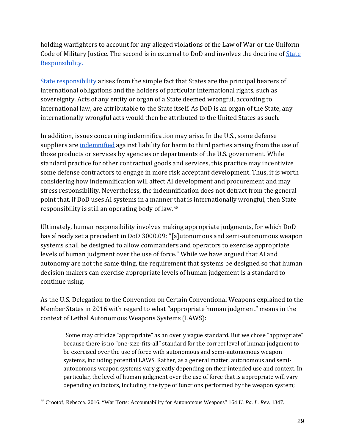holding warfighters to account for any alleged violations of the Law of War or the Uniform Code of Military Justice. The second is in external to DoD and involves the doctrine of State [Responsibility.](https://opil.ouplaw.com/view/10.1093/law:epil/9780199231690/law-9780199231690-e1093) 

[State responsibility](http://legal.un.org/ilc/texts/instruments/english/draft_articles/9_6_2001.pdf) arises from the simple fact that States are the principal bearers of international obligations and the holders of particular international rights, such as sovereignty. Acts of any entity or organ of a State deemed wrongful, according to international law, are attributable to the State itself. As DoD is an organ of the State, any internationally wrongful acts would then be attributed to the United States as such.

In addition, issues concerning indemnification may arise. In the U.S., some defense suppliers are [indemnified](https://www.acus.gov/recommendation/federal-government-indemnification-government-contractors) against liability for harm to third parties arising from the use of those products or services by agencies or departments of the U.S. government. While standard practice for other contractual goods and services, this practice may incentivize some defense contractors to engage in more risk acceptant development. Thus, it is worth considering how indemnification will affect AI development and procurement and may stress responsibility. Nevertheless, the indemnification does not detract from the general point that, if DoD uses AI systems in a manner that is internationally wrongful, then State responsibility is still an operating body of law.[55](#page-28-0)

Ultimately, human responsibility involves making appropriate judgments, for which DoD has already set a precedent in DoD 3000.09: "[a]utonomous and semi-autonomous weapon systems shall be designed to allow commanders and operators to exercise appropriate levels of human judgment over the use of force." While we have argued that AI and autonomy are not the same thing, the requirement that systems be designed so that human decision makers can exercise appropriate levels of human judgement is a standard to continue using.

As the U.S. Delegation to the Convention on Certain Conventional Weapons explained to the Member States in 2016 with regard to what "appropriate human judgment" means in the context of Lethal Autonomous Weapons Systems (LAWS):

"Some may criticize "appropriate" as an overly vague standard. But we chose "appropriate" because there is no "one-size-fits-all" standard for the correct level of human judgment to be exercised over the use of force with autonomous and semi-autonomous weapon systems, including potential LAWS. Rather, as a general matter, autonomous and semiautonomous weapon systems vary greatly depending on their intended use and context. In particular, the level of human judgment over the use of force that is appropriate will vary depending on factors, including, the type of functions performed by the weapon system;

<span id="page-28-0"></span> $\overline{a}$ <sup>55</sup> Crootof, Rebecca. 2016. "War Torts: Accountability for Autonomous Weapons" 164 *U. Pa. L. Rev.* 1347.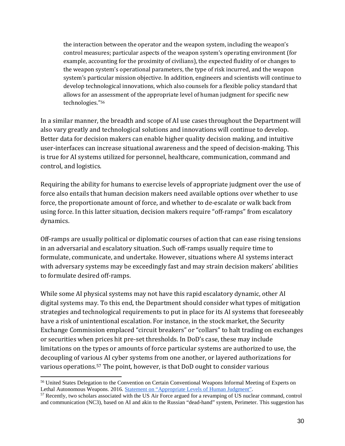the interaction between the operator and the weapon system, including the weapon's control measures; particular aspects of the weapon system's operating environment (for example, accounting for the proximity of civilians), the expected fluidity of or changes to the weapon system's operational parameters, the type of risk incurred, and the weapon system's particular mission objective. In addition, engineers and scientists will continue to develop technological innovations, which also counsels for a flexible policy standard that allows for an assessment of the appropriate level of human judgment for specific new technologies."[56](#page-29-0)

In a similar manner, the breadth and scope of AI use cases throughout the Department will also vary greatly and technological solutions and innovations will continue to develop. Better data for decision makers can enable higher quality decision making, and intuitive user-interfaces can increase situational awareness and the speed of decision-making. This is true for AI systems utilized for personnel, healthcare, communication, command and control, and logistics.

Requiring the ability for humans to exercise levels of appropriate judgment over the use of force also entails that human decision makers need available options over whether to use force, the proportionate amount of force, and whether to de-escalate or walk back from using force. In this latter situation, decision makers require "off-ramps" from escalatory dynamics.

Off-ramps are usually political or diplomatic courses of action that can ease rising tensions in an adversarial and escalatory situation. Such off-ramps usually require time to formulate, communicate, and undertake. However, situations where AI systems interact with adversary systems may be exceedingly fast and may strain decision makers' abilities to formulate desired off-ramps.

While some AI physical systems may not have this rapid escalatory dynamic, other AI digital systems may. To this end, the Department should consider what types of mitigation strategies and technological requirements to put in place for its AI systems that foreseeably have a risk of unintentional escalation. For instance, in the stock market, the Security Exchange Commission emplaced "circuit breakers" or "collars" to halt trading on exchanges or securities when prices hit pre-set thresholds. In DoD's case, these may include limitations on the types or amounts of force particular systems are authorized to use, the decoupling of various AI cyber systems from one another, or layered authorizations for various operations.[57](#page-29-1) The point, however, is that DoD ought to consider various

 $\overline{a}$ 

<span id="page-29-0"></span><sup>56</sup> United States Delegation to the Convention on Certain Conventional Weapons Informal Meeting of Experts on Lethal Autonomous Weapons. 2016. [Statement on "Appropriate Levels of Human Judgment".](https://geneva.usmission.gov/2016/04/12/u-s-delegation-statement-on-appropriate-levels-of-human-judgment/)

<span id="page-29-1"></span><sup>57</sup> Recently, two scholars associated with the US Air Force argued for a revamping of US nuclear command, control and communication (NC3), based on AI and akin to the Russian "dead-hand" system, Perimeter. This suggestion has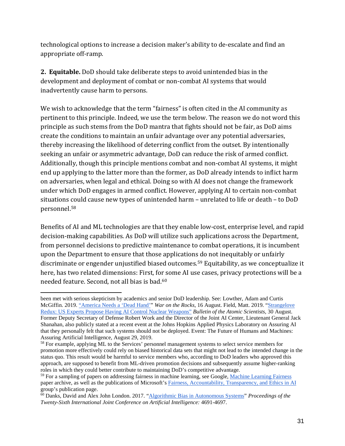technological options to increase a decision maker's ability to de-escalate and find an appropriate off-ramp.

**2. Equitable.** DoD should take deliberate steps to avoid unintended bias in the development and deployment of combat or non-combat AI systems that would inadvertently cause harm to persons.

We wish to acknowledge that the term "fairness" is often cited in the AI community as pertinent to this principle. Indeed, we use the term below. The reason we do not word this principle as such stems from the DoD mantra that fights should not be fair, as DoD aims create the conditions to maintain an unfair advantage over any potential adversaries, thereby increasing the likelihood of deterring conflict from the outset. By intentionally seeking an unfair or asymmetric advantage, DoD can reduce the risk of armed conflict. Additionally, though this principle mentions combat and non-combat AI systems, it might end up applying to the latter more than the former, as DoD already intends to inflict harm on adversaries, when legal and ethical. Doing so with AI does not change the framework under which DoD engages in armed conflict. However, applying AI to certain non-combat situations could cause new types of unintended harm – unrelated to life or death – to DoD personnel[.58](#page-30-0)

Benefits of AI and ML technologies are that they enable low-cost, enterprise level, and rapid decision-making capabilities. As DoD will utilize such applications across the Department, from personnel decisions to predictive maintenance to combat operations, it is incumbent upon the Department to ensure that those applications do not inequitably or unfairly discriminate or engender unjustified biased outcomes.[59](#page-30-1) Equitability, as we conceptualize it here, has two related dimensions: First, for some AI use cases, privacy protections will be a needed feature. Second, not all bias is bad.[60](#page-30-2)

 $\ddot{\phantom{a}}$ been met with serious skepticism by academics and senior DoD leadership. See: Lowther, Adam and Curtis McGiffin. 2019. ["America Needs a 'Dead Hand'"](https://warontherocks.com/2019/08/america-needs-a-dead-hand/) *War on the Rocks*, 16 August. Field, Matt. 2019. ["Strangelove](https://thebulletin.org/2019/08/strangelove-redux-us-experts-propose-having-ai-control-nuclear-weapons/)  [Redux: US Experts Propose Having AI Control Nuclear Weapons"](https://thebulletin.org/2019/08/strangelove-redux-us-experts-propose-having-ai-control-nuclear-weapons/) *Bulletin of the Atomic Scientists,* 30 August. Former Deputy Secretary of Defense Robert Work and the Director of the Joint AI Center, Lieutenant General Jack Shanahan, also publicly stated at a recent event at the Johns Hopkins Applied Physics Laboratory on Assuring AI that they personally felt that such systems should not be deployed. Event: The Future of Humans and Machines:

<span id="page-30-0"></span>Assuring Artificial Intelligence, August 29, 2019.<br><sup>58</sup> For example, applying ML to the Services' personnel management systems to select service members for promotion more effectively could rely on biased historical data sets that might not lead to the intended change in the status quo. This result would be harmful to service members who, according to DoD leaders who approved this approach, are supposed to benefit from ML-driven promotion decisions and subsequently assume higher-ranking roles in which they could better contribute to maintaining DoD's competitive advantage.

<span id="page-30-1"></span><sup>&</sup>lt;sup>59</sup> For a sampling of papers on addressing fairness in machine learning, see Google, [Machine Learning Fairness](https://developers.google.com/machine-learning/fairness-overview/) paper archive, as well as the publications of Microsoft'[s Fairness, Accountability, Transparency, and Ethics in AI](https://www.microsoft.com/en-us/research/group/fate/#!publications)  group's publication page.

<span id="page-30-2"></span><sup>60</sup> Danks, David and Alex John London. 2017. ["Algorithmic Bias in Autonomous Systems"](https://www.researchgate.net/profile/Alex_London/publication/318830422_Algorithmic_Bias_in_Autonomous_Systems/links/5a4bb017aca2729b7c893d1b/Algorithmic-Bias-in-Autonomous-Systems.pdf) *Proceedings of the Twenty-Sixth International Joint Conference on Artificial Intelligence:* 4691-4697.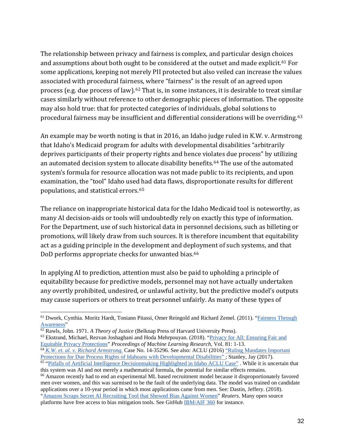The relationship between privacy and fairness is complex, and particular design choices and assumptions about both ought to be considered at the outset and made explicit.<sup>[61](#page-31-0)</sup> For some applications, keeping not merely PII protected but also veiled can increase the values associated with procedural fairness, where "fairness" is the result of an agreed upon process (e.g. due process of law).[62](#page-31-1) That is, in some instances, it is desirable to treat similar cases similarly without reference to other demographic pieces of information. The opposite may also hold true: that for protected categories of individuals, global solutions to procedural fairness may be insufficient and differential considerations will be overriding.[63](#page-31-2)

An example may be worth noting is that in 2016, an Idaho judge ruled in K.W. v. Armstrong that Idaho's Medicaid program for adults with developmental disabilities "arbitrarily deprives participants of their property rights and hence violates due process" by utilizing an automated decision system to allocate disability benefits.[64](#page-31-3) The use of the automated system's formula for resource allocation was not made public to its recipients, and upon examination, the "tool" Idaho used had data flaws, disproportionate results for different populations, and statistical errors.[65](#page-31-4)

The reliance on inappropriate historical data for the Idaho Medicaid tool is noteworthy, as many AI decision-aids or tools will undoubtedly rely on exactly this type of information. For the Department, use of such historical data in personnel decisions, such as billeting or promotions, will likely draw from such sources. It is therefore incumbent that equitability act as a guiding principle in the development and deployment of such systems, and that DoD performs appropriate checks for unwanted bias.<sup>[66](#page-31-5)</sup>

In applying AI to prediction, attention must also be paid to upholding a principle of equitability because for predictive models, personnel may not have actually undertaken any overtly prohibited, undesired, or unlawful activity, but the predictive model's outputs may cause superiors or others to treat personnel unfairly. As many of these types of

 $\ddot{\phantom{a}}$ 

<span id="page-31-4"></span><sup>65</sup> ["Pitfalls of Artificial Intelligence Decisionmaking Highlighted in Idaho ACLU Case"](https://www.aclu.org/blog/privacy-technology/pitfalls-artificial-intelligence-decisionmaking-highlighted-idaho-aclu-case) . While it is uncertain that this system was AI and not merely a mathematical formula, the potential for similar effects remains.

<span id="page-31-0"></span><sup>&</sup>lt;sup>61</sup> Dwork, Cynthia. Moritz Hardt, Toniann Pitassi, Omer Reingold and Richard Zemel. (2011). ["Fairness Through](https://arxiv.org/pdf/1104.3913.pdf) Awareness"

<span id="page-31-1"></span><sup>&</sup>lt;sup>62</sup> Rawls, John. 1971. *A Theory of Justice* (Belknap Press of Harvard University Press).

<span id="page-31-2"></span> $63$  Ekstrand, Michael, Rezvan Joshaghani and Hoda Mehrpouyan. (2018). ["Privacy for All: Ensuring Fair and](http://proceedings.mlr.press/v81/ekstrand18a/ekstrand18a.pdf) Equitable Privacy Protections" Proceedings of Machine Learning Research, Vol. 81: 1-13.

<span id="page-31-3"></span><sup>&</sup>lt;sup>64</sup> [K.W. et. al. v. Richard Armstrong.](https://law.justia.com/cases/federal/appellate-courts/ca9/14-35296/14-35296-2015-06-05.html) Case No. 14-35296. See also: ACLU (2016) ["Ruling Mandates Important](https://www.aclu.org/press-releases/federal-court-rules-against-idaho-department-health-and-welfare-medicaid-class-action?redirect=news/federal-court-rules-against-idaho-department-health-and-welfare-medicaid-class-action) Protections for Due Process Rights of Idahoans with Developmental Disabilities"; Stanley, Jay (2017).

<span id="page-31-5"></span><sup>66</sup> Amazon recently had to end an experimental ML based recruitment model because it disproportionately favored men over women, and this was surmised to be the fault of the underlying data. The model was trained on candidate applications over a 10-year period in which most applications came from men. See: Dastin, Jeffery. (2018). ["Amazon Scraps Secret AI Recruiting Tool that Showed Bias Against Women"](https://www.reuters.com/article/us-amazon-com-jobs-automation-insight/amazon-scraps-secret-ai-recruiting-tool-that-showed-bias-against-women-idUSKCN1MK08G) *Reuters*. Many open source platforms have free access to bias mitigation tools. See GitHu[b IBM/AIF 360](https://github.com/IBM/AIF360) for instance.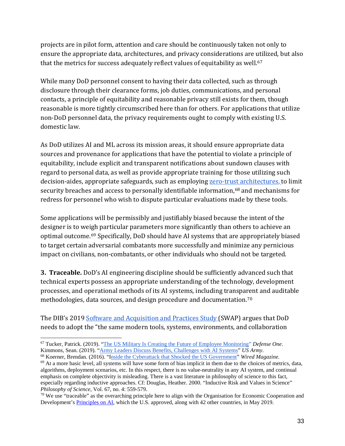projects are in pilot form, attention and care should be continuously taken not only to ensure the appropriate data, architectures, and privacy considerations are utilized, but also that the metrics for success adequately reflect values of equitability as well.<sup>[67](#page-32-0)</sup>

While many DoD personnel consent to having their data collected, such as through disclosure through their clearance forms, job duties, communications, and personal contacts, a principle of equitability and reasonable privacy still exists for them, though reasonable is more tightly circumscribed here than for others. For applications that utilize non-DoD personnel data, the privacy requirements ought to comply with existing U.S. domestic law.

As DoD utilizes AI and ML across its mission areas, it should ensure appropriate data sources and provenance for applications that have the potential to violate a principle of equitability, include explicit and transparent notifications about sundown clauses with regard to personal data, as well as provide appropriate training for those utilizing such decision-aides, appropriate safeguards, such as employing [zero-trust architectures,](https://media.defense.gov/2019/Jul/09/2002155219/-1/-1/0/DIB_THE_ROAD_TO_ZERO_TRUST_(SECURITY)_07.08.2019.PDF) to limit security breaches and access to personally identifiable information,<sup>[68](#page-32-1)</sup> and mechanisms for redress for personnel who wish to dispute particular evaluations made by these tools.

Some applications will be permissibly and justifiably biased because the intent of the designer is to weigh particular parameters more significantly than others to achieve an optimal outcome.[69](#page-32-2) Specifically, DoD should have AI systems that are appropriately biased to target certain adversarial combatants more successfully and minimize any pernicious impact on civilians, non-combatants, or other individuals who should not be targeted.

**3. Traceable.** DoD's AI engineering discipline should be sufficiently advanced such that technical experts possess an appropriate understanding of the technology, development processes, and operational methods of its AI systems, including transparent and auditable methodologies, data sources, and design procedure and documentation.[70](#page-32-3)

The DIB's 2019 [Software and Acquisition and Practices Study \(](https://media.defense.gov/2019/May/01/2002126693/-1/-1/0/SWAP%20MAIN%20REPORT.PDF)SWAP) argues that DoD needs to adopt the "the same modern tools, systems, environments, and collaboration

<span id="page-32-0"></span> $\overline{a}$ <sup>67</sup> Tucker, Patrick. (2019). "<u>The US Military Is Creating the Future of Employee Monitoring</u>" *Defense One*. <br>Kimmons, Sean. (2019). "Army Leaders Discuss Benefits, Challenges with AI Systems" US Army. <sup>68</sup> Koerner, Brendan. (2016). "[Inside the Cyberattack that Shocked the US Government"](https://www.wired.com/2016/10/inside-cyberattack-shocked-us-government/) *Wired Magazine*.

<span id="page-32-2"></span><span id="page-32-1"></span> $69$  At a more basic level, all systems will have some form of bias implicit in them due to the choices of metrics, data, algorithms, deployment scenarios, etc. In this respect, there is no value-neutrality in any AI system, and continual emphasis on complete objectivity is misleading. There is a vast literature in philosophy of science to this fact, especially regarding inductive approaches. Cf: Douglas, Heather. 2000. "Inductive Risk and Values in Science" *Philosophy of Science*, Vol. 67, no. 4: 559-579.

<span id="page-32-3"></span> $70$  We use "traceable" as the overarching principle here to align with the Organisation for Economic Cooperation and Development's [Principles on AI,](https://legalinstruments.oecd.org/en/instruments/OECD-LEGAL-0449) which the U.S. approved, along with 42 other countries, in May 2019.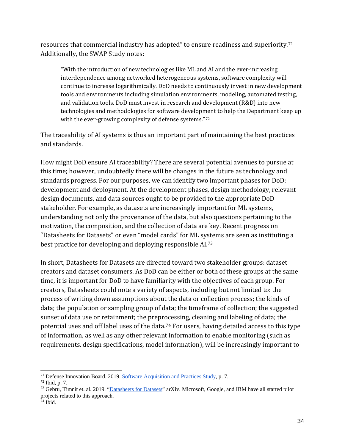resources that commercial industry has adopted" to ensure readiness and superiority.[71](#page-33-0) Additionally, the SWAP Study notes:

"With the introduction of new technologies like ML and AI and the ever-increasing interdependence among networked heterogeneous systems, software complexity will continue to increase logarithmically. DoD needs to continuously invest in new development tools and environments including simulation environments, modeling, automated testing, and validation tools. DoD must invest in research and development (R&D) into new technologies and methodologies for software develop[me](#page-33-1)nt to help the Department keep up with the ever-growing complexity of defense systems."72

The traceability of AI systems is thus an important part of maintaining the best practices and standards.

How might DoD ensure AI traceability? There are several potential avenues to pursue at this time; however, undoubtedly there will be changes in the future as technology and standards progress. For our purposes, we can identify two important phases for DoD: development and deployment. At the development phases, design methodology, relevant design documents, and data sources ought to be provided to the appropriate DoD stakeholder. For example, as datasets are increasingly important for ML systems, understanding not only the provenance of the data, but also questions pertaining to the motivation, the composition, and the collection of data are key. Recent progress on "Datasheets for Datasets" or even "model cards" for ML systems are seen as instituting a best practice for developing and deploying responsible AI.[73](#page-33-2)

In short, Datasheets for Datasets are directed toward two stakeholder groups: dataset creators and dataset consumers. As DoD can be either or both of these groups at the same time, it is important for DoD to have familiarity with the objectives of each group. For creators, Datasheets could note a variety of aspects, including but not limited to: the process of writing down assumptions about the data or collection process; the kinds of data; the population or sampling group of data; the timeframe of collection; the suggested sunset of data use or retainment; the preprocessing, cleaning and labeling of data; the potential uses and off label uses of the data.[74](#page-33-3) For users, having detailed access to this type of information, as well as any other relevant information to enable monitoring (such as requirements, design specifications, model information), will be increasingly important to

<span id="page-33-0"></span> $\ddot{\phantom{a}}$ <sup>71</sup> Defense Innovation Board. 2019[. Software Acquisition and Practices Study,](https://media.defense.gov/2019/May/01/2002126693/-1/-1/0/SWAP%20MAIN%20REPORT.PDF) p. 7.

<span id="page-33-1"></span> $72$  Ibid, p. 7.

<span id="page-33-2"></span><sup>&</sup>lt;sup>73</sup> Gebru, Timnit et. al. 2019. ["Datasheets for Datasets"](https://arxiv.org/pdf/1803.09010.pdf) arXiv. Microsoft, Google, and IBM have all started pilot projects related to this approach.

<span id="page-33-3"></span> $74$  Ibid.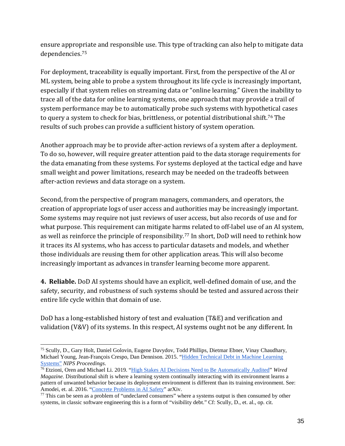ensure appropriate and responsible use. This type of tracking can also help to mitigate data dependencies.[75](#page-34-0)

For deployment, traceability is equally important. First, from the perspective of the AI or ML system, being able to probe a system throughout its life cycle is increasingly important, especially if that system relies on streaming data or "online learning." Given the inability to trace all of the data for online learning systems, one approach that may provide a trail of system performance may be to automatically probe such systems with hypothetical cases to query a system to check for bias, brittleness, or potential distributional shift.<sup>[76](#page-34-1)</sup> The results of such probes can provide a sufficient history of system operation.

Another approach may be to provide after-action reviews of a system after a deployment. To do so, however, will require greater attention paid to the data storage requirements for the data emanating from these systems. For systems deployed at the tactical edge and have small weight and power limitations, research may be needed on the tradeoffs between after-action reviews and data storage on a system.

Second, from the perspective of program managers, commanders, and operators, the creation of appropriate logs of user access and authorities may be increasingly important. Some systems may require not just reviews of user access, but also records of use and for what purpose. This requirement can mitigate harms related to off-label use of an AI system, as well as reinforce the principle of responsibility.[77](#page-34-2) In short, DoD will need to rethink how it traces its AI systems, who has access to particular datasets and models, and whether those individuals are reusing them for other application areas. This will also become increasingly important as advances in transfer learning become more apparent.

**4. Reliable.** DoD AI systems should have an explicit, well-defined domain of use, and the safety, security, and robustness of such systems should be tested and assured across their entire life cycle within that domain of use.

DoD has a long-established history of test and evaluation (T&E) and verification and validation (V&V) of its systems. In this respect, AI systems ought not be any different. In

<span id="page-34-0"></span> $\overline{a}$ <sup>75</sup> Scully, D., Gary Holt, Daniel Golovin, Eugene Davydov, Todd Phillips, Dietmar Ebner, Vinay Chaudhary, Michael Young, Jean-François Crespo, Dan Dennison. 2015. ["Hidden Technical Debt in Machine Learning](https://papers.nips.cc/paper/5656-hidden-technical-debt-in-machine-learning-systems.pdf) Systems" NIPS Proceedings.

<span id="page-34-1"></span><sup>&</sup>lt;sup>76</sup> Etzioni, Oren and Michael Li. 2019. ["High Stakes AI Decisions Need to Be Automatically Audited"](https://www.wired.com/story/ai-needs-to-be-audited/) *Wired Magazine.* Distributional shift is where a learning system continually interacting with its environment learns a pattern of unwanted behavior because its deployment environment is different than its training environment. See:<br>Amodei, et. al. 2016. "Concrete Problems in AI Safety" arXiv.

<span id="page-34-2"></span> $^{77}$  This can be seen as a problem of "undeclared consumers" where a systems output is then consumed by other systems, in classic software engineering this is a form of "visibility debt." Cf: Scully, D., et. al., op. cit.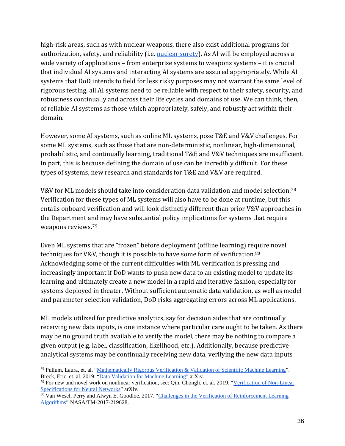high-risk areas, such as with nuclear weapons, there also exist additional programs for authorization, safety, and reliability (i.e. [nuclear surety\)](https://www.doctrine.af.mil/Portals/61/documents/Annex_3-72/3-72-D50-NUKE-OPS-Surety.pdf). As AI will be employed across a wide variety of applications – from enterprise systems to weapons systems – it is crucial that individual AI systems and interacting AI systems are assured appropriately. While AI systems that DoD intends to field for less risky purposes may not warrant the same level of rigorous testing, all AI systems need to be reliable with respect to their safety, security, and robustness continually and across their life cycles and domains of use. We can think, then, of reliable AI systems as those which appropriately, safely, and robustly act within their domain.

However, some AI systems, such as online ML systems, pose T&E and V&V challenges. For some ML systems, such as those that are non-deterministic, nonlinear, high-dimensional, probabilistic, and continually learning, traditional T&E and V&V techniques are insufficient. In part, this is because defining the domain of use can be incredibly difficult. For these types of systems, new research and standards for T&E and V&V are required.

V&V for ML models should take into consideration data validation and model selection.[78](#page-35-0) Verification for these types of ML systems will also have to be done at runtime, but this entails onboard verification and will look distinctly different than prior V&V approaches in the Department and may have substantial policy implications for systems that require weapons reviews.[79](#page-35-1) 

Even ML systems that are "frozen" before deployment (offline learning) require novel techniques for V&V, though it is possible to have some form of verification.<sup>[80](#page-35-2)</sup> Acknowledging some of the current difficulties with ML verification is pressing and increasingly important if DoD wants to push new data to an existing model to update its learning and ultimately create a new model in a rapid and iterative fashion, especially for systems deployed in theater. Without sufficient automatic data validation, as well as model and parameter selection validation, DoD risks aggregating errors across ML applications.

ML models utilized for predictive analytics, say for decision aides that are continually receiving new data inputs, is one instance where particular care ought to be taken. As there may be no ground truth available to verify the model, there may be nothing to compare a given output (e.g. label, classification, likelihood, etc.). Additionally, because predictive analytical systems may be continually receiving new data, verifying the new data inputs

<span id="page-35-0"></span> $\overline{a}$ <sup>78</sup> Pullum, Laura, et. al. ["Mathematically Rigorous Verification & Validation of Scientific Machine Learning"](https://www.osti.gov/servlets/purl/1474476). Breck, Eric. et. al. 2019. ["Data Validation for Machine Learning"](https://www.sysml.cc/doc/2019/167.pdf) arXiv.

<span id="page-35-1"></span><sup>&</sup>lt;sup>79</sup> For new and novel work on nonlinear verification, see: Qin, Chongli, et. al. 2019. ["Verification of Non-Linear](https://arxiv.org/pdf/1902.09592.pdf) Specifications for Neural Networks" arXiv.

<span id="page-35-2"></span><sup>&</sup>lt;sup>80</sup> Van Wesel, Perry and Alwyn E. Goodloe. 2017. "Challenges in the Verification of Reinforcement Learning [Algorithms"](https://ntrs.nasa.gov/archive/nasa/casi.ntrs.nasa.gov/20170007190.pdf) NASA/TM-2017-219628.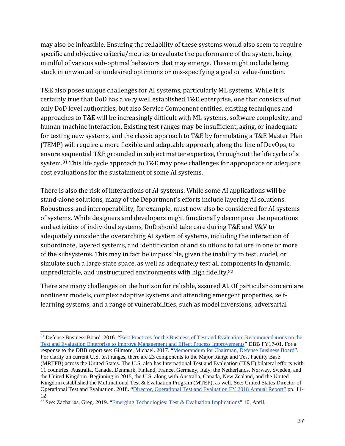may also be infeasible. Ensuring the reliability of these systems would also seem to require specific and objective criteria/metrics to evaluate the performance of the system, being mindful of various sub-optimal behaviors that may emerge. These might include being stuck in unwanted or undesired optimums or mis-specifying a goal or value-function.

T&E also poses unique challenges for AI systems, particularly ML systems. While it is certainly true that DoD has a very well established T&E enterprise, one that consists of not only DoD level authorities, but also Service Component entities, existing techniques and approaches to T&E will be increasingly difficult with ML systems, software complexity, and human-machine interaction. Existing test ranges may be insufficient, aging, or inadequate for testing new systems, and the classic approach to T&E by formulating a T&E Master Plan (TEMP) will require a more flexible and adaptable approach, along the line of DevOps, to ensure sequential T&E grounded in subject matter expertise, throughout the life cycle of a system.<sup>[81](#page-36-0)</sup> This life cycle approach to T&E may pose challenges for appropriate or adequate cost evaluations for the sustainment of some AI systems.

There is also the risk of interactions of AI systems. While some AI applications will be stand-alone solutions, many of the Department's efforts include layering AI solutions. Robustness and interoperability, for example, must now also be considered for AI systems of systems. While designers and developers might functionally decompose the operations and activities of individual systems, DoD should take care during T&E and V&V to adequately consider the overarching AI system of systems, including the interaction of subordinate, layered systems, and identification of and solutions to failure in one or more of the subsystems. This may in fact be impossible, given the inability to test, model, or simulate such a large state space, as well as adequately test all components in dynamic, unpredictable, and unstructured environments with high fidelity.[82](#page-36-1)

There are many challenges on the horizon for reliable, assured AI. Of particular concern are nonlinear models, complex adaptive systems and attending emergent properties, selflearning systems, and a range of vulnerabilities, such as model inversions, adversarial

<span id="page-36-0"></span> $\ddot{\phantom{a}}$ <sup>81</sup> Defense Business Board. 2016. ["Best Practices for the Business of Test and Evaluation: Recommendations on the](https://dbb.defense.gov/Portals/35/Documents/Reports/2017/DBB%2017-01%20Test%20%20&%20Evaluation%20Study%20(Complete)%20Final%20v2.pdf)  [Test and Evaluation Enterprise to Improve Management and Effect Process Improvements"](https://dbb.defense.gov/Portals/35/Documents/Reports/2017/DBB%2017-01%20Test%20%20&%20Evaluation%20Study%20(Complete)%20Final%20v2.pdf) DBB FY17-01. For a response to the DBB report see: Gilmore, Michael. 2017. ["Memorandum for Chairman, Defense Business Board"](https://www.dote.osd.mil/pub/memos/2017/20170110_DOTE_Response-DBB_Briefing_on_Best_Practices_for_Business_of_TandE_(15418).pdf). For clarity on current U.S. test ranges, there are 23 components to the Major Range and Test Facility Base (MRTFB) across the United States. The U.S. also has International Test and Evaluation (IT&E) bilateral efforts with 11 countries: Australia, Canada, Denmark, Finland, France, Germany, Italy, the Netherlands, Norway, Sweden, and the United Kingdom. Beginning in 2015, the U.S. along with Australia, Canada, New Zealand, and the United Kingdom established the Multinational Test & Evaluation Program (MTEP), as well. See: United States Director of Operational Test and Evaluation. 2018. ["Director, Operational Test and Evaluation FY 2018 Annual Report"](https://www.dote.osd.mil/pub/reports/FY2018/) pp. 11- 12

<span id="page-36-1"></span><sup>&</sup>lt;sup>82</sup> See: Zacharias, Greg. 2019. ["Emerging Technologies: Test & Evaluation Implications"](https://dataworks.testscience.org/wp-content/uploads/sites/4/formidable/7/Zacharias_spotlight_DATAWorks19.pdf) 10, April.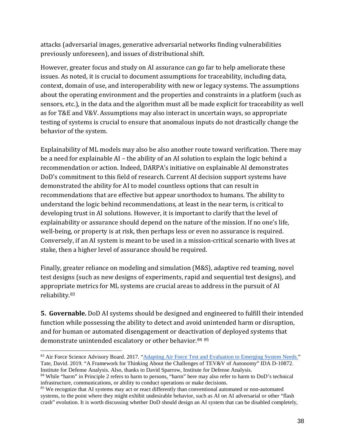attacks (adversarial images, generative adversarial networks finding vulnerabilities previously unforeseen), and issues of distributional shift.

However, greater focus and study on AI assurance can go far to help ameliorate these issues. As noted, it is crucial to document assumptions for traceability, including data, context, domain of use, and interoperability with new or legacy systems. The assumptions about the operating environment and the properties and constraints in a platform (such as sensors, etc.), in the data and the algorithm must all be made explicit for traceability as well as for T&E and V&V. Assumptions may also interact in uncertain ways, so appropriate testing of systems is crucial to ensure that anomalous inputs do not drastically change the behavior of the system.

Explainability of ML models may also be also another route toward verification. There may be a need for explainable AI – the ability of an AI solution to explain the logic behind a recommendation or action. Indeed, DARPA's initiative on explainable AI demonstrates DoD's commitment to this field of research. Current AI decision support systems have demonstrated the ability for AI to model countless options that can result in recommendations that are effective but appear unorthodox to humans. The ability to understand the logic behind recommendations, at least in the near term, is critical to developing trust in AI solutions. However, it is important to clarify that the level of explainability or assurance should depend on the nature of the mission. If no one's life, well-being, or property is at risk, then perhaps less or even no assurance is required. Conversely, if an AI system is meant to be used in a mission-critical scenario with lives at stake, then a higher level of assurance should be required.

Finally, greater reliance on modeling and simulation (M&S), adaptive red teaming, novel test designs (such as new designs of experiments, rapid and sequential test designs), and appropria[te](#page-37-0) metrics for ML systems are crucial areas to address in the pursuit of AI reliability. 83

**5. Governable.** DoD AI systems should be designed and engineered to fulfill their intended function while possessing the ability to detect and avoid unintended harm or disruption, and for human or automated disengagement or deacti[va](#page-37-1)[tio](#page-37-2)n of deployed systems that demonstrate unintended escalatory or other behavior. 84 85

 $\ddot{\phantom{a}}$ 

<span id="page-37-0"></span><sup>83</sup> Air Force Science Advisory Board. 2017. ["Adapting Air Force Test and Evaluation to Emerging System Needs."](https://www.scientificadvisoryboard.af.mil/Portals/73/documents/TE%20Study%20Abstract_Final.pdf?ver=2018-11-05-131208-300) Tate, David. 2019. "A Framework for Thinking About the Challenges of TEV&V of Autonomy" IDA D-10872. Institute for Defense Analysis. Also, thanks to David Sparrow, Institute for Defense Analysis.

<span id="page-37-1"></span><sup>84</sup> While "harm" in Principle 2 refers to harm to persons, "harm" here may also refer to harm to DoD's technical infrastructure, communications, or ability to conduct operations or make decisions.

<span id="page-37-2"></span><sup>&</sup>lt;sup>85</sup> We recognize that AI systems may act or react differently than conventional automated or non-automated systems, to the point where they might exhibit undesirable behavior, such as AI on AI adversarial or other "flash crash" evolution. It is worth discussing whether DoD should design an AI system that can be disabled completely,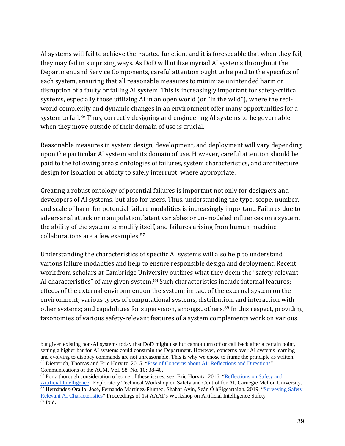AI systems will fail to achieve their stated function, and it is foreseeable that when they fail, they may fail in surprising ways. As DoD will utilize myriad AI systems throughout the Department and Service Components, careful attention ought to be paid to the specifics of each system, ensuring that all reasonable measures to minimize unintended harm or disruption of a faulty or failing AI system. This is increasingly important for safety-critical systems, especially those utilizing AI in an open world (or "in the wild"), where the realworld complexity and dynamic changes in an environment offer many opportunities for a system to fail.<sup>[86](#page-38-0)</sup> Thus, correctly designing and engineering AI systems to be governable when they move outside of their domain of use is crucial.

Reasonable measures in system design, development, and deployment will vary depending upon the particular AI system and its domain of use. However, careful attention should be paid to the following areas: ontologies of failures, system characteristics, and architecture design for isolation or ability to safely interrupt, where appropriate.

Creating a robust ontology of potential failures is important not only for designers and developers of AI systems, but also for users. Thus, understanding the type, scope, number, and scale of harm for potential failure modalities is increasingly important. Failures due to adversarial attack or manipulation, latent variables or un-modeled influences on a system, the ability of the system to modify itself, and failures arising from human-machine collaborations are a few examples. [87](#page-38-1) 

Understanding the characteristics of specific AI systems will also help to understand various failure modalities and help to ensure responsible design and deployment. Recent work from scholars at Cambridge University outlines what they deem the "safety relevant AI characteristics" of any given system.<sup>[88](#page-38-2)</sup> Such characteristics include internal features; effects of the external environment on the system; impact of the external system on the environment; various types of computational systems, distribution, and interaction with other systems; and capabilities for supervision, amongst others.<sup>[89](#page-38-3)</sup> In this respect, providing taxonomies of various safety-relevant features of a system complements work on various

 $\overline{a}$ but given existing non-AI systems today that DoD might use but cannot turn off or call back after a certain point, setting a higher bar for AI systems could constrain the Department. However, concerns over AI systems learning and evolving to disobey commands are not unreasonable. This is why we chose to frame the principle as written. <sup>86</sup> Dietterich, Thomas and Eric Horvitz. 2015. ["Rise of Concerns about AI: Reflections and Directions"](http://erichorvitz.com/CACM_Oct_2015-VP.pdf) Communications of the ACM, Vol. 58, No. 10: 38-40.

<span id="page-38-3"></span><span id="page-38-2"></span><span id="page-38-1"></span><span id="page-38-0"></span><sup>&</sup>lt;sup>87</sup> For a thorough consideration of some of these issues, see: Eric Horvitz. 2016. "Reflections on Safety and [Artificial Intelligence"](http://erichorvitz.com/OSTP-CMU_AI_Safety_framing_talk.pdf) Exploratory Technical Workshop on Safety and Control for AI, Carnegie Mellon University. 88 Hernández-Orallo, José, Fernando Martínez-Plumed, Shahar Avin, Seán Ó hÉigeartaigh. 2019. "Surveying Safety [Relevant AI Characteristics"](https://www.cser.ac.uk/resources/surveying-safety-relevant-ai-characteristics/) Proceedings of 1st AAAI's Workshop on Artificial Intelligence Safety  $89$  Ibid.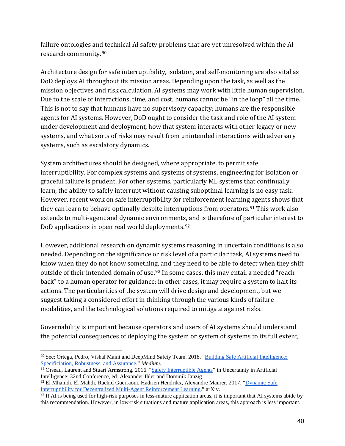failure ontologies and technical AI safety problems that are yet unresolved within the AI research community.[90](#page-39-0)

Architecture design for safe interruptibility, isolation, and self-monitoring are also vital as DoD deploys AI throughout its mission areas. Depending upon the task, as well as the mission objectives and risk calculation, AI systems may work with little human supervision. Due to the scale of interactions, time, and cost, humans cannot be "in the loop" all the time. This is not to say that humans have no supervisory capacity; humans are the responsible agents for AI systems. However, DoD ought to consider the task and role of the AI system under development and deployment, how that system interacts with other legacy or new systems, and what sorts of risks may result from unintended interactions with adversary systems, such as escalatory dynamics.

System architectures should be designed, where appropriate, to permit safe interruptibility. For complex systems and systems of systems, engineering for isolation or graceful failure is prudent. For other systems, particularly ML systems that continually learn, the ability to safely interrupt without causing suboptimal learning is no easy task. However, recent work on safe interruptibility for reinforcement learning agents shows that they can learn to behave optimally despite interruptions from operators.<sup>[91](#page-39-1)</sup> This work also extends to multi-agent and dynamic environments, and is therefore of particular interest to DoD applications in open real world deployments.<sup>[92](#page-39-2)</sup>

However, additional research on dynamic systems reasoning in uncertain conditions is also needed. Depending on the significance or risk level of a particular task, AI systems need to know when they do not know something, and they need to be able to detect when they shift outside of their intended domain of use.<sup>[93](#page-39-3)</sup> In some cases, this may entail a needed "reachback" to a human operator for guidance; in other cases, it may require a system to halt its actions. The particularities of the system will drive design and development, but we suggest taking a considered effort in thinking through the various kinds of failure modalities, and the technological solutions required to mitigate against risks.

Governability is important because operators and users of AI systems should understand the potential consequences of deploying the system or system of systems to its full extent,

<span id="page-39-0"></span> $\ddot{\phantom{a}}$ 90 See: Ortega, Pedro, Vishal Maini and DeepMind Safety Team. 2018. "Building Safe Artificial Intelligence: Specificiation, Robustness, and Assurance." *Medium*.<br><sup>91</sup> Orseau, Laurent and Stuart Armstrong. 2016. ["Safely Interruptible Agents"](https://intelligence.org/files/Interruptibility.pdf) in Uncertainty in Artificial

<span id="page-39-1"></span>Intelligence: 32nd Conference, ed. Alexander Ihler and Dominik Janzig.

<span id="page-39-2"></span><sup>92</sup> El Mhamdi, El Mahdi, Rachid Guerraoui, Hadrien Hendrikx, Alexandre Maurer. 2017. ["Dynamic Safe](https://arxiv.org/pdf/1704.02882.pdf)  [Interruptibility for Decentralized Multi-Agent Reinforcement Learning.](https://arxiv.org/pdf/1704.02882.pdf)" arXiv.

<span id="page-39-3"></span> $93$  If AI is being used for high-risk purposes in less-mature application areas, it is important that AI systems abide by this recommendation. However, in low-risk situations and mature application areas, this approach is less important.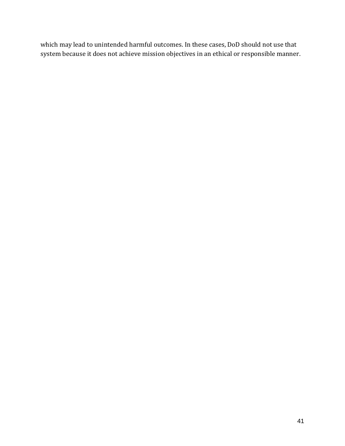which may lead to unintended harmful outcomes. In these cases, DoD should not use that system because it does not achieve mission objectives in an ethical or responsible manner.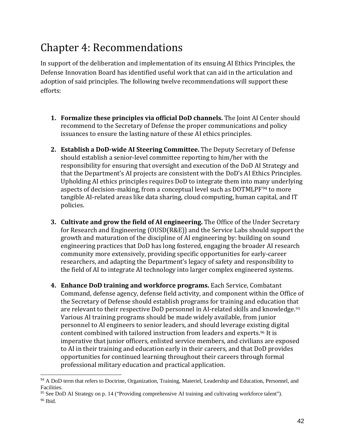# Chapter 4: Recommendations

In support of the deliberation and implementation of its ensuing AI Ethics Principles, the Defense Innovation Board has identified useful work that can aid in the articulation and adoption of said principles. The following twelve recommendations will support these efforts:

- **1. Formalize these principles via official DoD channels.** The Joint AI Center should recommend to the Secretary of Defense the proper communications and policy issuances to ensure the lasting nature of these AI ethics principles.
- **2. Establish a DoD-wide AI Steering Committee.** The Deputy Secretary of Defense should establish a senior-level committee reporting to him/her with the responsibility for ensuring that oversight and execution of the DoD AI Strategy and that the Department's AI projects are consistent with the DoD's AI Ethics Principles. Upholding AI ethics principles requires DoD to integrate them into many underlying aspects of decision-making, from a conceptual level such as DOTMLPF[94](#page-41-0) to more tangible AI-related areas like data sharing, cloud computing, human capital, and IT policies.
- **3. Cultivate and grow the field of AI engineering.** The Office of the Under Secretary for Research and Engineering (OUSD(R&E)) and the Service Labs should support the growth and maturation of the discipline of AI engineering by: building on sound engineering practices that DoD has long fostered, engaging the broader AI research community more extensively, providing specific opportunities for early-career researchers, and adapting the Department's legacy of safety and responsibility to the field of AI to integrate AI technology into larger complex engineered systems.
- **4. Enhance DoD training and workforce programs.** Each Service, Combatant Command, defense agency, defense field activity, and component within the Office of the Secretary of Defense should establish programs for training and education th[at](#page-41-1)  are relevant to their respective DoD personnel in AI-related skills and knowledge.<sup>95</sup> Various AI training programs should be made widely available, from junior personnel to AI engineers to senior leaders, and should leverage exis[tin](#page-41-2)g digital content combined with tailored instruction from leaders and experts.96 It is imperative that junior officers, enlisted service members, and civilians are exposed to AI in their training and education early in their careers, and that DoD provides opportunities for continued learning throughout their careers through formal professional military education and practical application.

<span id="page-41-0"></span> $\overline{a}$ <sup>94</sup> A DoD term that refers to Doctrine, Organization, Training, Materiel, Leadership and Education, Personnel, and Facilities.

<span id="page-41-2"></span><span id="page-41-1"></span><sup>95</sup> See DoD AI Strategy on p. 14 ("Providing comprehensive AI training and cultivating workforce talent"). <sup>96</sup> Ibid.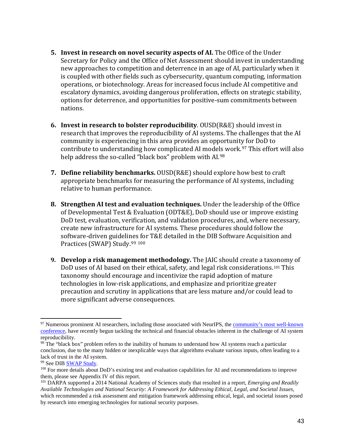- **5. Invest in research on novel security aspects of AI.** The Office of the Under Secretary for Policy and the Office of Net Assessment should invest in understanding new approaches to competition and deterrence in an age of AI, particularly when it is coupled with other fields such as cybersecurity, quantum computing, information operations, or biotechnology. Areas for increased focus include AI competitive and escalatory dynamics, avoiding dangerous proliferation, effects on strategic stability, options for deterrence, and opportunities for positive-sum commitments between nations.
- **6. Invest in research to bolster reproducibility**. OUSD(R&E) should invest in research that improves the reproducibility of AI systems. The challenges that the AI community is experiencing in this area provides an opportunity for DoD to contribute to understanding how complicated AI mode[ls](#page-42-1) work.<sup>[97](#page-42-0)</sup> This effort will also help address the so-called "black box" problem with AI.<sup>98</sup>
- **7. Define reliability benchmarks.** OUSD(R&E) should explore how best to craft appropriate benchmarks for measuring the performance of AI systems, including relative to human performance.
- **8. Strengthen AI test and evaluation techniques.** Under the leadership of the Office of Developmental Test & Evaluation (ODT&E), DoD should use or improve existing DoD test, evaluation, verification, and validation procedures, and, where necessary, create new infrastructure for AI systems. These procedures should follow the software-driven guideline[s fo](#page-42-3)r T&E detailed in the DIB Software Acquisition and Practices (SWAP) Study.<sup>[99](#page-42-2) 100</sup>
- **9. Develop a risk management methodology.** The JAIC should create a tax[on](#page-42-4)omy of DoD uses of AI based on their ethical, safety, and legal risk considerations.101 This taxonomy should encourage and incentivize the rapid adoption of mature technologies in low-risk applications, and emphasize and prioritize greater precaution and scrutiny in applications that are less mature and/or could lead to more significant adverse consequences.

<span id="page-42-0"></span> $\overline{a}$ <sup>97</sup> Numerous prominent AI researchers, including those associated with NeurIPS, the community's most well-known [conference,](https://www.wired.com/story/artificial-intelligence-confronts-reproducibility-crisis/) have recently begun tackling the technical and financial obstacles inherent in the challenge of AI system reproducibility.

<span id="page-42-1"></span><sup>&</sup>lt;sup>98</sup> The "black box" problem refers to the inability of humans to understand how AI systems reach a particular conclusion, due to the many hidden or inexplicable ways that algorithms evaluate various inputs, often leading to a lack of trust in the AI system.

<span id="page-42-2"></span><sup>99</sup> See DI[B SWAP Study.](https://innovation.defense.gov/software/)

<span id="page-42-3"></span><sup>&</sup>lt;sup>100</sup> For more details about DoD's existing test and evaluation capabilities for AI and recommendations to improve them, please see Appendix IV of this report.

<span id="page-42-4"></span><sup>101</sup> DARPA supported a 2014 National Academy of Sciences study that resulted in a report, *Emerging and Readily Available Technologies and National Security: A Framework for Addressing Ethical, Legal, and Societal Issues*, which recommended a risk assessment and mitigation framework addressing ethical, legal, and societal issues posed by research into emerging technologies for national security purposes.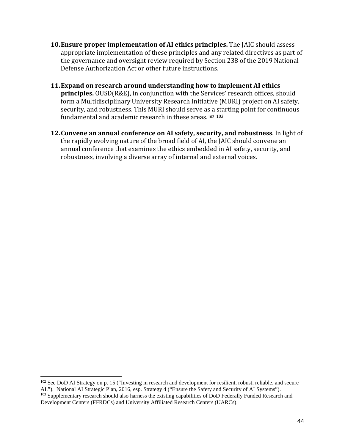- **10.Ensure proper implementation of AI ethics principles.** The JAIC should assess appropriate implementation of these principles and any related directives as part of the governance and oversight review required by Section 238 of the 2019 National Defense Authorization Act or other future instructions.
- **11.Expand on research around understanding how to implement AI ethics principles.** OUSD(R&E), in conjunction with the Services' research offices, should form a Multidisciplinary University Research Initiative (MURI) project on AI safety, security, and robustness. This MURI should serve a[s a](#page-43-0) [sta](#page-43-1)rting point for continuous fundamental and academic research in these areas.<sup>102 103</sup>
- **12.Convene an annual conference on AI safety, security, and robustness**. In light of the rapidly evolving nature of the broad field of AI, the JAIC should convene an annual conference that examines the ethics embedded in AI safety, security, and robustness, involving a diverse array of internal and external voices.

 $\overline{a}$ 

<span id="page-43-1"></span><span id="page-43-0"></span><sup>&</sup>lt;sup>102</sup> See DoD AI Strategy on p. 15 ("Investing in research and development for resilient, robust, reliable, and secure AI."). National AI Strategic Plan, 2016, esp. Strategy 4 ("Ensure the Safety and Security of AI Systems"). <sup>103</sup> Supplementary research should also harness the existing capabilities of DoD Federally Funded Research and Development Centers (FFRDCs) and University Affiliated Research Centers (UARCs).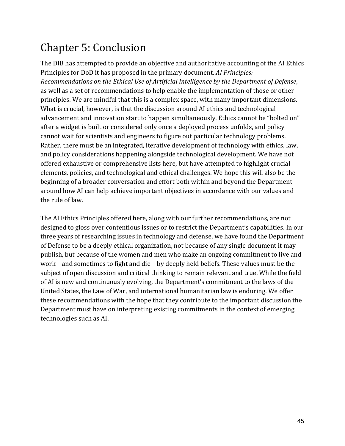# Chapter 5: Conclusion

The DIB has attempted to provide an objective and authoritative accounting of the AI Ethics Principles for DoD it has proposed in the primary document, *AI Principles: Recommendations on the Ethical Use of Artificial Intelligence by the Department of Defense*, as well as a set of recommendations to help enable the implementation of those or other principles. We are mindful that this is a complex space, with many important dimensions. What is crucial, however, is that the discussion around AI ethics and technological advancement and innovation start to happen simultaneously. Ethics cannot be "bolted on" after a widget is built or considered only once a deployed process unfolds, and policy cannot wait for scientists and engineers to figure out particular technology problems. Rather, there must be an integrated, iterative development of technology with ethics, law, and policy considerations happening alongside technological development. We have not offered exhaustive or comprehensive lists here, but have attempted to highlight crucial elements, policies, and technological and ethical challenges. We hope this will also be the beginning of a broader conversation and effort both within and beyond the Department around how AI can help achieve important objectives in accordance with our values and the rule of law.

The AI Ethics Principles offered here, along with our further recommendations, are not designed to gloss over contentious issues or to restrict the Department's capabilities. In our three years of researching issues in technology and defense, we have found the Department of Defense to be a deeply ethical organization, not because of any single document it may publish, but because of the women and men who make an ongoing commitment to live and work – and sometimes to fight and die – by deeply held beliefs. These values must be the subject of open discussion and critical thinking to remain relevant and true. While the field of AI is new and continuously evolving, the Department's commitment to the laws of the United States, the Law of War, and international humanitarian law is enduring. We offer these recommendations with the hope that they contribute to the important discussion the Department must have on interpreting existing commitments in the context of emerging technologies such as AI.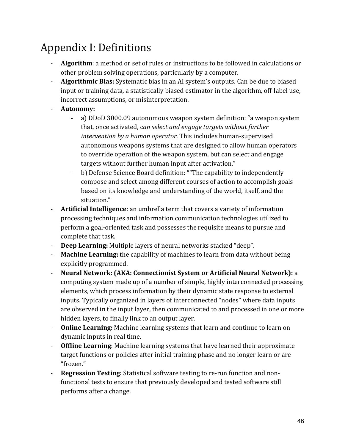# Appendix I: Definitions

- **Algorithm**: a method or set of rules or instructions to be followed in calculations or other problem solving operations, particularly by a computer.
- **Algorithmic Bias:** Systematic bias in an AI system's outputs. Can be due to biased input or training data, a statistically biased estimator in the algorithm, off-label use, incorrect assumptions, or misinterpretation.
- **Autonomy:**
	- a) DDoD 3000.09 autonomous weapon system definition: "a weapon system that, once activated, c*an select and engage targets without further intervention by a human operator*. This includes human-supervised autonomous weapons systems that are designed to allow human operators to override operation of the weapon system, but can select and engage targets without further human input after activation."
	- b) Defense Science Board definition: ""The capability to independently compose and select among different courses of action to accomplish goals based on its knowledge and understanding of the world, itself, and the situation."
- **Artificial Intelligence**: an umbrella term that covers a variety of information processing techniques and information communication technologies utilized to perform a goal-oriented task and possesses the requisite means to pursue and complete that task.
- **Deep Learning:** Multiple layers of neural networks stacked "deep".
- **Machine Learning:** the capability of machines to learn from data without being explicitly programmed.
- **Neural Network: (AKA: Connectionist System or Artificial Neural Network):** a computing system made up of a number of simple, highly interconnected processing elements, which process information by their dynamic state response to external inputs. Typically organized in layers of interconnected "nodes" where data inputs are observed in the input layer, then communicated to and processed in one or more hidden layers, to finally link to an output layer.
- **Online Learning:** Machine learning systems that learn and continue to learn on dynamic inputs in real time.
- **Offline Learning**: Machine learning systems that have learned their approximate target functions or policies after initial training phase and no longer learn or are "frozen."
- **Regression Testing:** Statistical software testing to re-run function and nonfunctional tests to ensure that previously developed and tested software still performs after a change.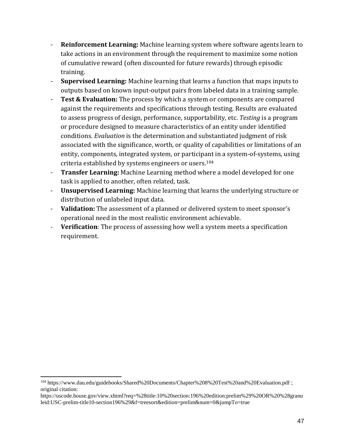- **Reinforcement Learning:** Machine learning system where software agents learn to take actions in an environment through the requirement to maximize some notion of cumulative reward (often discounted for future rewards) through episodic training.
- **Supervised Learning:** Machine learning that learns a function that maps inputs to outputs based on known input-output pairs from labeled data in a training sample.
- **Test & Evaluation:** The process by which a system or components are compared against the requirements and specifications through testing. Results are evaluated to assess progress of design, performance, supportability, etc. *Testing* is a program or procedure designed to measure characteristics of an entity under identified conditions. *Evaluation* is the determination and substantiated judgment of risk associated with the significance, worth, or quality of capabilities or limitations of an entity, components, integrated system, or participant in a system-of-systems, using criteria established by systems engineers or users.[104](#page-46-0)
- **Transfer Learning:** Machine Learning method where a model developed for one task is applied to another, often related, task.
- **Unsupervised Learning:** Machine learning that learns the underlying structure or distribution of unlabeled input data.
- **Validation:** The assessment of a planned or delivered system to meet sponsor's operational need in the most realistic environment achievable.
- **Verification**: The process of assessing how well a system meets a specification requirement.

 $\overline{a}$ 

<span id="page-46-0"></span><sup>104</sup> https://www.dau.edu/guidebooks/Shared%20Documents/Chapter%208%20Test%20and%20Evaluation.pdf ; original citation:

https://uscode.house.gov/view.xhtml?req=%28title:10%20section:196%20edition:prelim%29%20OR%20%28granu leid:USC-prelim-title10-section196%29&f=treesort&edition=prelim&num=0&jumpTo=true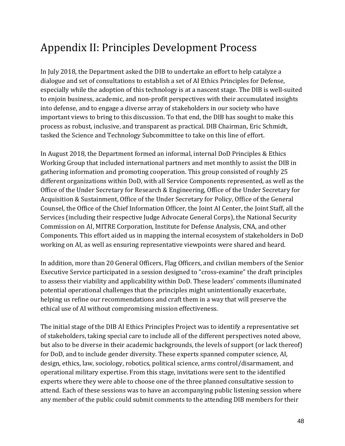# Appendix II: Principles Development Process

In July 2018, the Department asked the DIB to undertake an effort to help catalyze a dialogue and set of consultations to establish a set of AI Ethics Principles for Defense, especially while the adoption of this technology is at a nascent stage. The DIB is well-suited to enjoin business, academic, and non-profit perspectives with their accumulated insights into defense, and to engage a diverse array of stakeholders in our society who have important views to bring to this discussion. To that end, the DIB has sought to make this process as robust, inclusive, and transparent as practical. DIB Chairman, Eric Schmidt, tasked the Science and Technology Subcommittee to take on this line of effort.

In August 2018, the Department formed an informal, internal DoD Principles & Ethics Working Group that included international partners and met monthly to assist the DIB in gathering information and promoting cooperation. This group consisted of roughly 25 different organizations within DoD, with all Service Components represented, as well as the Office of the Under Secretary for Research & Engineering, Office of the Under Secretary for Acquisition & Sustainment, Office of the Under Secretary for Policy, Office of the General Counsel, the Office of the Chief Information Officer, the Joint AI Center, the Joint Staff, all the Services (including their respective Judge Advocate General Corps), the National Security Commission on AI, MITRE Corporation, Institute for Defense Analysis, CNA, and other Components. This effort aided us in mapping the internal ecosystem of stakeholders in DoD working on AI, as well as ensuring representative viewpoints were shared and heard.

In addition, more than 20 General Officers, Flag Officers, and civilian members of the Senior Executive Service participated in a session designed to "cross-examine" the draft principles to assess their viability and applicability within DoD. These leaders' comments illuminated potential operational challenges that the principles might unintentionally exacerbate, helping us refine our recommendations and craft them in a way that will preserve the ethical use of AI without compromising mission effectiveness.

The initial stage of the DIB AI Ethics Principles Project was to identify a representative set of stakeholders, taking special care to include all of the different perspectives noted above, but also to be diverse in their academic backgrounds, the levels of support (or lack thereof) for DoD, and to include gender diversity. These experts spanned computer science, AI, design, ethics, law, sociology, robotics, political science, arms control/disarmament, and operational military expertise. From this stage, invitations were sent to the identified experts where they were able to choose one of the three planned consultative session to attend. Each of these sessions was to have an accompanying public listening session where any member of the public could submit comments to the attending DIB members for their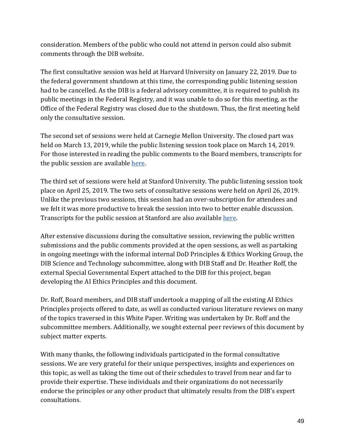consideration. Members of the public who could not attend in person could also submit comments through the DIB website.

The first consultative session was held at Harvard University on January 22, 2019. Due to the federal government shutdown at this time, the corresponding public listening session had to be cancelled. As the DIB is a federal advisory committee, it is required to publish its public meetings in the Federal Registry, and it was unable to do so for this meeting, as the Office of the Federal Registry was closed due to the shutdown. Thus, the first meeting held only the consultative session.

The second set of sessions were held at Carnegie Mellon University. The closed part was held on March 13, 2019, while the public listening session took place on March 14, 2019. For those interested in reading the public comments to the Board members, transcripts for the public session are available [here.](https://media.defense.gov/2019/Jun/07/2002142324/-1/-1/0/DIB_PUBLICLISTENINGSESSION_03.14.2019.PDF)

The third set of sessions were held at Stanford University. The public listening session took place on April 25, 2019. The two sets of consultative sessions were held on April 26, 2019. Unlike the previous two sessions, this session had an over-subscription for attendees and we felt it was more productive to break the session into two to better enable discussion. Transcripts for the public session at Stanford are also available here.

After extensive discussions during the consultative session, reviewing the public written submissions and the public comments provided at the open sessions, as well as partaking in ongoing meetings with the informal internal DoD Principles & Ethics Working Group, the DIB Science and Technology subcommittee, along with DIB Staff and Dr. Heather Roff, the external Special Governmental Expert attached to the DIB for this project, began developing the AI Ethics Principles and this document.

Dr. Roff, Board members, and DIB staff undertook a mapping of all the existing AI Ethics Principles projects offered to date, as well as conducted various literature reviews on many of the topics traversed in this White Paper. Writing was undertaken by Dr. Roff and the subcommittee members. Additionally, we sought external peer reviews of this document by subject matter experts.

With many thanks, the following individuals participated in the formal consultative sessions. We are very grateful for their unique perspectives, insights and experiences on this topic, as well as taking the time out of their schedules to travel from near and far to provide their expertise. These individuals and their organizations do not necessarily endorse the principles or any other product that ultimately results from the DIB's expert consultations.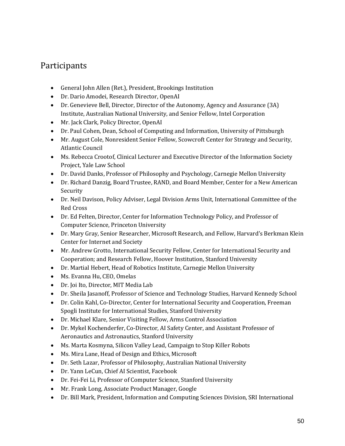# Participants

- General John Allen (Ret.), President, Brookings Institution
- Dr. Dario Amodei, Research Director, OpenAI
- Dr. Genevieve Bell, Director, Director of the Autonomy, Agency and Assurance (3A) Institute, Australian National University, and Senior Fellow, Intel Corporation
- Mr. Jack Clark, Policy Director, OpenAI
- Dr. Paul Cohen, Dean, School of Computing and Information, University of Pittsburgh
- Mr. August Cole, Nonresident Senior Fellow, Scowcroft Center for Strategy and Security, Atlantic Council
- Ms. Rebecca Crootof, Clinical Lecturer and Executive Director of the Information Society Project, Yale Law School
- Dr. David Danks, Professor of Philosophy and Psychology, Carnegie Mellon University
- Dr. Richard Danzig, Board Trustee, RAND, and Board Member, Center for a New American Security
- Dr. Neil Davison, Policy Adviser, Legal Division Arms Unit, International Committee of the Red Cross
- Dr. Ed Felten, Director, Center for Information Technology Policy, and Professor of Computer Science, Princeton University
- Dr. Mary Gray, Senior Researcher, Microsoft Research, and Fellow, Harvard's Berkman Klein Center for Internet and Society
- Mr. Andrew Grotto, International Security Fellow, Center for International Security and Cooperation; and Research Fellow, Hoover Institution, Stanford University
- Dr. Martial Hebert, Head of Robotics Institute, Carnegie Mellon University
- Ms. Evanna Hu, CEO, Omelas
- Dr. Joi Ito, Director, MIT Media Lab
- Dr. Sheila Jasanoff, Professor of Science and Technology Studies, Harvard Kennedy School
- Dr. Colin Kahl, Co-Director, Center for International Security and Cooperation, Freeman Spogli Institute for International Studies, Stanford University
- Dr. Michael Klare, Senior Visiting Fellow, Arms Control Association
- Dr. Mykel Kochenderfer, Co-Director, AI Safety Center, and Assistant Professor of Aeronautics and Astronautics, Stanford University
- Ms. Marta Kosmyna, Silicon Valley Lead, Campaign to Stop Killer Robots
- Ms. Mira Lane, Head of Design and Ethics, Microsoft
- Dr. Seth Lazar, Professor of Philosophy, Australian National University
- Dr. Yann LeCun, Chief AI Scientist, Facebook
- Dr. Fei-Fei Li, Professor of Computer Science, Stanford University
- Mr. Frank Long, Associate Product Manager, Google
- Dr. Bill Mark, President, Information and Computing Sciences Division, SRI International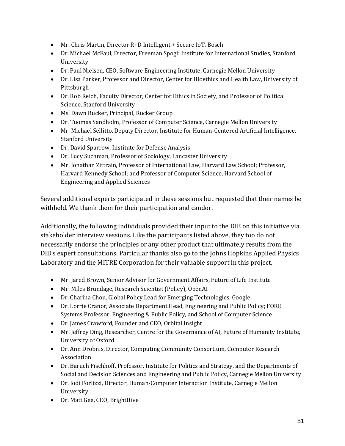- Mr. Chris Martin, Director R+D Intelligent + Secure IoT, Bosch
- Dr. Michael McFaul, Director, Freeman Spogli Institute for International Studies, Stanford University
- Dr. Paul Nielsen, CEO, Software Engineering Institute, Carnegie Mellon University
- Dr. Lisa Parker, Professor and Director, Center for Bioethics and Health Law, University of Pittsburgh
- Dr. Rob Reich, Faculty Director, Center for Ethics in Society, and Professor of Political Science, Stanford University
- Ms. Dawn Rucker, Principal, Rucker Group
- Dr. Tuomas Sandholm, Professor of Computer Science, Carnegie Mellon University
- Mr. Michael Sellitto, Deputy Director, Institute for Human-Centered Artificial Intelligence, Stanford University
- Dr. David Sparrow, Institute for Defense Analysis
- Dr. Lucy Suchman, Professor of Sociology, Lancaster University
- Mr. Jonathan Zittrain, Professor of International Law, Harvard Law School; Professor, Harvard Kennedy School; and Professor of Computer Science, Harvard School of Engineering and Applied Sciences

Several additional experts participated in these sessions but requested that their names be withheld. We thank them for their participation and candor.

Additionally, the following individuals provided their input to the DIB on this initiative via stakeholder interview sessions. Like the participants listed above, they too do not necessarily endorse the principles or any other product that ultimately results from the DIB's expert consultations. Particular thanks also go to the Johns Hopkins Applied Physics Laboratory and the MITRE Corporation for their valuable support in this project.

- Mr. Jared Brown, Senior Advisor for Government Affairs, Future of Life Institute
- Mr. Miles Brundage, Research Scientist (Policy), OpenAI
- Dr. Charina Chou, Global Policy Lead for Emerging Technologies, Google
- Dr. Lorrie Cranor, Associate Department Head, Engineering and Public Policy; FORE Systems Professor, Engineering & Public Policy, and School of Computer Science
- Dr. James Crawford, Founder and CEO, Orbital Insight
- Mr. Jeffrey Ding, Researcher, Centre for the Governance of AI, Future of Humanity Institute, University of Oxford
- Dr. Ann Drobnis, Director, Computing Community Consortium, Computer Research Association
- Dr. Baruch Fischhoff, Professor, Institute for Politics and Strategy, and the Departments of Social and Decision Sciences and Engineering and Public Policy, Carnegie Mellon University
- Dr. Jodi Forlizzi, Director, Human-Computer Interaction Institute, Carnegie Mellon University
- Dr. Matt Gee, CEO, BrightHive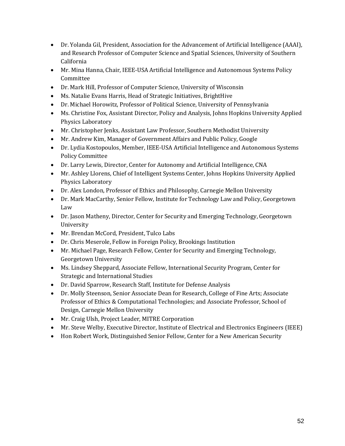- Dr. Yolanda Gil, President, Association for the Advancement of Artificial Intelligence (AAAI), and Research Professor of Computer Science and Spatial Sciences, University of Southern California
- Mr. Mina Hanna, Chair, IEEE-USA Artificial Intelligence and Autonomous Systems Policy Committee
- Dr. Mark Hill, Professor of Computer Science, University of Wisconsin
- Ms. Natalie Evans Harris, Head of Strategic Initiatives, BrightHive
- Dr. Michael Horowitz, Professor of Political Science, University of Pennsylvania
- Ms. Christine Fox, Assistant Director, Policy and Analysis, Johns Hopkins University Applied Physics Laboratory
- Mr. Christopher Jenks, Assistant Law Professor, Southern Methodist University
- Mr. Andrew Kim, Manager of Government Affairs and Public Policy, Google
- Dr. Lydia Kostopoulos, Member, IEEE-USA Artificial Intelligence and Autonomous Systems Policy Committee
- Dr. Larry Lewis, Director, Center for Autonomy and Artificial Intelligence, CNA
- Mr. Ashley Llorens, Chief of Intelligent Systems Center, Johns Hopkins University Applied Physics Laboratory
- Dr. Alex London, Professor of Ethics and Philosophy, Carnegie Mellon University
- Dr. Mark MacCarthy, Senior Fellow, Institute for Technology Law and Policy, Georgetown Law
- Dr. Jason Matheny, Director, Center for Security and Emerging Technology, Georgetown University
- Mr. Brendan McCord, President, Tulco Labs
- Dr. Chris Meserole, Fellow in Foreign Policy, Brookings Institution
- Mr. Michael Page, Research Fellow, Center for Security and Emerging Technology, Georgetown University
- Ms. Lindsey Sheppard, Associate Fellow, International Security Program, Center for Strategic and International Studies
- Dr. David Sparrow, Research Staff, Institute for Defense Analysis
- Dr. Molly Steenson, Senior Associate Dean for Research, College of Fine Arts; Associate Professor of Ethics & Computational Technologies; and Associate Professor, School of Design, Carnegie Mellon University
- Mr. Craig Ulsh, Project Leader, MITRE Corporation
- Mr. Steve Welby, Executive Director, Institute of Electrical and Electronics Engineers (IEEE)
- Hon Robert Work, Distinguished Senior Fellow, Center for a New American Security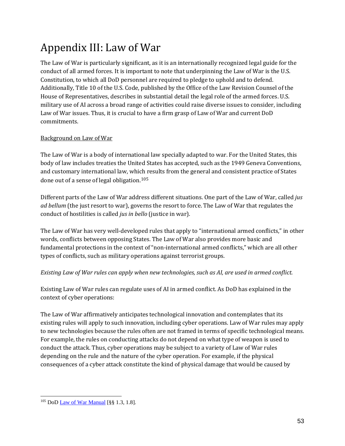# Appendix III: Law of War

The Law of War is particularly significant, as it is an internationally recognized legal guide for the conduct of all armed forces. It is important to note that underpinning the Law of War is the U.S. Constitution, to which all DoD personnel are required to pledge to uphold and to defend. Additionally, Title 10 of the U.S. Code, published by the Office of the Law Revision Counsel of the House of Representatives, describes in substantial detail the legal role of the armed forces. U.S. military use of AI across a broad range of activities could raise diverse issues to consider, including Law of War issues. Thus, it is crucial to have a firm grasp of Law of War and current DoD commitments.

### Background on Law of War

The Law of War is a body of international law specially adapted to war. For the United States, this body of law includes treaties the United States has accepted, such as the 1949 Geneva Conventions, and customary international law, whi[ch r](#page-52-0)esults from the general and consistent practice of States done out of a sense of legal obligation.<sup>105</sup>

Different parts of the Law of War address different situations. One part of the Law of War, called *jus ad bellum* (the just resort to war), governs the resort to force. The Law of War that regulates the conduct of hostilities is called *jus in bello* (justice in war).

The Law of War has very well-developed rules that apply to "international armed conflicts," in other words, conflicts between opposing States. The Law of War also provides more basic and fundamental protections in the context of "non-international armed conflicts," which are all other types of conflicts, such as military operations against terrorist groups.

#### *Existing Law of War rules can apply when new technologies, such as AI, are used in armed conflict.*

Existing Law of War rules can regulate uses of AI in armed conflict. As DoD has explained in the context of cyber operations:

The Law of War affirmatively anticipates technological innovation and contemplates that its existing rules will apply to such innovation, including cyber operations. Law of War rules may apply to new technologies because the rules often are not framed in terms of specific technological means. For example, the rules on conducting attacks do not depend on what type of weapon is used to conduct the attack. Thus, cyber operations may be subject to a variety of Law of War rules depending on the rule and the nature of the cyber operation. For example, if the physical consequences of a cyber attack constitute the kind of physical damage that would be caused by

<span id="page-52-0"></span> $\overline{a}$ <sup>105</sup> DoD <u>Law of War Manual</u> [§§ 1.3, 1.8].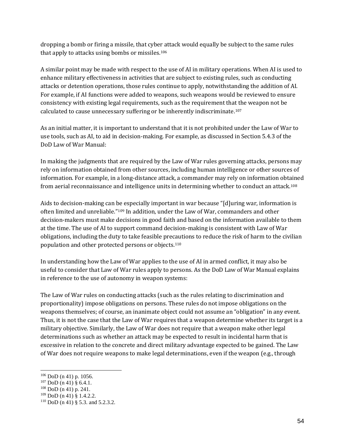dropping a bomb or firing a missile, that cyber attack would equally be subject to the same rules that apply to attacks using bombs or missiles.[106](#page-53-0) 

A similar point may be made with respect to the use of AI in military operations. When AI is used to enhance military effectiveness in activities that are subject to existing rules, such as conducting attacks or detention operations, those rules continue to apply, notwithstanding the addition of AI. For example, if AI functions were added to weapons, such weapons would be reviewed to ensure consistency with existing legal requirements, such as the requirement that the weapon not be calculated to cause unnecessary suffering or be inherently indiscriminate.[107](#page-53-1)

As an initial matter, it is important to understand that it is not prohibited under the Law of War to use tools, such as AI, to aid in decision-making. For example, as discussed in Section 5.4.3 of the DoD Law of War Manual:

In making the judgments that are required by the Law of War rules governing attacks, persons may rely on information obtained from other sources, including human intelligence or other sources of information. For example, in a long-distance attack, a commander may rely on information obt[aine](#page-53-2)d from aerial reconnaissance and intelligence units in determining whether to conduct an attack.108

Aids to decision-making can be especially important in war because "[d]uring war, information is often limited and unreliable."[109](#page-53-3) In addition, under the Law of War, commanders and other decision-makers must make decisions in good faith and based on the information available to them at the time. The use of AI to support command decision-making is consistent with Law of War obligations, including the duty to take feasible precautions to reduce the risk of harm to the civilian population and other protected persons or objects.[110](#page-53-4)

In understanding how the Law of War applies to the use of AI in armed conflict, it may also be useful to consider that Law of War rules apply to persons. As the DoD Law of War Manual explains in reference to the use of autonomy in weapon systems:

The Law of War rules on conducting attacks (such as the rules relating to discrimination and proportionality) impose obligations on persons. These rules do not impose obligations on the weapons themselves; of course, an inanimate object could not assume an "obligation" in any event. Thus, it is not the case that the Law of War requires that a weapon determine whether its target is a military objective. Similarly, the Law of War does not require that a weapon make other legal determinations such as whether an attack may be expected to result in incidental harm that is excessive in relation to the concrete and direct military advantage expected to be gained. The Law of War does not require weapons to make legal determinations, even if the weapon (e.g., through

 $\ddot{\phantom{a}}$ 

<span id="page-53-0"></span> $106$  DoD (n 41) p. 1056.

<span id="page-53-1"></span> $107$  DoD (n 41) § 6.4.1.

<span id="page-53-2"></span> $108$  DoD (n 41) p. 241.

<span id="page-53-3"></span> $109$  DoD (n 41) § 1.4.2.2.

<span id="page-53-4"></span> $110$  DoD (n 41) § 5.3. and 5.2.3.2.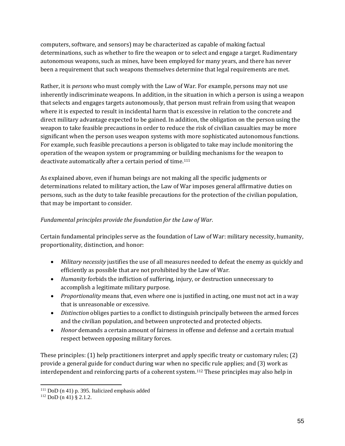computers, software, and sensors) may be characterized as capable of making factual determinations, such as whether to fire the weapon or to select and engage a target. Rudimentary autonomous weapons, such as mines, have been employed for many years, and there has never been a requirement that such weapons themselves determine that legal requirements are met.

Rather, it is *persons* who must comply with the Law of War. For example, persons may not use inherently indiscriminate weapons. In addition, in the situation in which a person is using a weapon that selects and engages targets autonomously, that person must refrain from using that weapon where it is expected to result in incidental harm that is excessive in relation to the concrete and direct military advantage expected to be gained. In addition, the obligation on the person using the weapon to take feasible precautions in order to reduce the risk of civilian casualties may be more significant when the person uses weapon systems with more sophisticated autonomous functions. For example, such feasible precautions a person is obligated to take may include monitoring the operation of the weapon system or programming or building mechanisms for the weapon to deactivate automatically after a certain period of time.[111](#page-54-0)

As explained above, even if human beings are not making all the specific judgments or determinations related to military action, the Law of War imposes general affirmative duties on persons, such as the duty to take feasible precautions for the protection of the civilian population, that may be important to consider.

#### *Fundamental principles provide the foundation for the Law of War*.

Certain fundamental principles serve as the foundation of Law of War: military necessity, humanity, proportionality, distinction, and honor:

- *Military necessity* justifies the use of all measures needed to defeat the enemy as quickly and efficiently as possible that are not prohibited by the Law of War.
- *Humanity* forbids the infliction of suffering, injury, or destruction unnecessary to accomplish a legitimate military purpose.
- *Proportionality* means that, even where one is justified in acting, one must not act in a way that is unreasonable or excessive.
- *Distinction* obliges parties to a conflict to distinguish principally between the armed forces and the civilian population, and between unprotected and protected objects.
- *Honor* demands a certain amount of fairness in offense and defense and a certain mutual respect between opposing military forces.

These principles: (1) help practitioners interpret and apply specific treaty or customary rules; (2) provide a general guide for conduct during war when no s[peci](#page-54-1)fic rule applies; and (3) work as interdependent and reinforcing parts of a coherent system.112 These principles may also help in

 $\overline{a}$  $111$  DoD (n 41) p. 395. Italicized emphasis added

<span id="page-54-1"></span><span id="page-54-0"></span><sup>112</sup> DoD (n 41) § 2.1.2.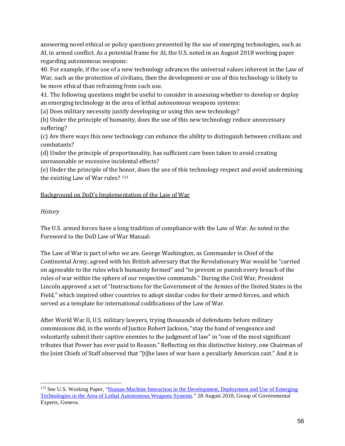answering novel ethical or policy questions presented by the use of emerging technologies, such as AI, in armed conflict. As a potential frame for AI, the U.S. noted in an August 2018 working paper regarding autonomous weapons:

40. For example, if the use of a new technology advances the universal values inherent in the Law of War, such as the protection of civilians, then the development or use of this technology is likely to be more ethical than refraining from such use.

41. The following questions might be useful to consider in assessing whether to develop or deploy an emerging technology in the area of lethal autonomous weapons systems:

(a) Does military necessity justify developing or using this new technology?

(b) Under the principle of humanity, does the use of this new technology reduce unnecessary suffering?

(c) Are there ways this new technology can enhance the ability to distinguish between civilians and combatants?

(d) Under the principle of proportionality, has sufficient care been taken to avoid creating unreasonable or excessive incidental effects?

(e) Under the principle of the honor, does the use of this technology respect and avoid undermining the existing Law of War rules? [113](#page-55-0)

#### Background on DoD's Implementation of the Law of War

#### *History*

The U.S. armed forces have a long tradition of compliance with the Law of War. As noted in the Foreword to the DoD Law of War Manual:

The Law of War is part of who we are. George Washington, as Commander in Chief of the Continental Army, agreed with his British adversary that the Revolutionary War would be "carried on agreeable to the rules which humanity formed" and "to prevent or punish every breach of the rules of war within the sphere of our respective commands." During the Civil War, President Lincoln approved a set of "Instructions for the Government of the Armies of the United States in the Field," which inspired other countries to adopt similar codes for their armed forces, and which served as a template for international codifications of the Law of War.

After World War II, U.S. military lawyers, trying thousands of defendants before military commissions did, in the words of Justice Robert Jackson, "stay the hand of vengeance and voluntarily submit their captive enemies to the judgment of law" in "one of the most significant tributes that Power has ever paid to Reason." Reflecting on this distinctive history, one Chairman of the Joint Chiefs of Staff observed that "[t]he laws of war have a peculiarly American cast." And it is

<span id="page-55-0"></span> $\overline{a}$ <sup>113</sup> See U.S. Working Paper, "Human-Machine Interaction in the Development, Deployment and Use of Emerging [Technologies in the Area of Lethal Autonomous Weapons Systems."](https://unog.ch/80256EDD006B8954/(httpAssets)/D1A2BA4B7B71D29FC12582F6004386EF/$file/2018_GGE+LAWS_August_Working+Paper_US.pdf) 28 August 2018, Group of Governmental Experts, Geneva.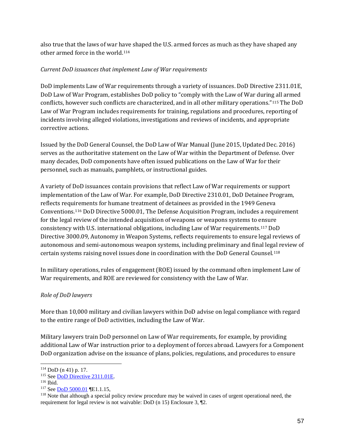also true that the laws of war have shaped the U.S. armed forces as much as they have shaped any other armed force in the world.[114](#page-56-0) 

#### *Current DoD issuances that implement Law of War requirements*

DoD implements Law of War requirements through a variety of issuances. DoD Directive 2311.01E, DoD Law of War Program, establishes DoD policy to "comply with the Law of War during all armed conflicts, however such conflicts are characterized, and in all other military operations."[115](#page-56-1) The DoD Law of War Program includes requirements for training, regulations and procedures, reporting of incidents involving alleged violations, investigations and reviews of incidents, and appropriate corrective actions.

Issued by the DoD General Counsel, the DoD Law of War Manual (June 2015, Updated Dec. 2016) serves as the authoritative statement on the Law of War within the Department of Defense. Over many decades, DoD components have often issued publications on the Law of War for their personnel, such as manuals, pamphlets, or instructional guides.

A variety of DoD issuances contain provisions that reflect Law of War requirements or support implementation of the Law of War. For example, DoD Directive 2310.01, DoD Detainee Program, reflects requirements for humane treatment of detainees as provided in the 1949 Geneva Conventions[.116](#page-56-2) DoD Directive 5000.01, The Defense Acquisition Program, includes a requirement for the legal review of the intended acquisition of weapons or weapons systems to ensure consistency with U.S. international obligations, including Law of War requirements.[117](#page-56-3) DoD Directive 3000.09, Autonomy in Weapon Systems, reflects requirements to ensure legal reviews of autonomous and semi-autonomous weapon systems, including preliminary and final legal review of certain systems raising novel issues done in coordination with the DoD General Counsel.[118](#page-56-4)

In military operations, rules of engagement (ROE) issued by the command often implement Law of War requirements, and ROE are reviewed for consistency with the Law of War.

### *Role of DoD lawyers*

More than 10,000 military and civilian lawyers within DoD advise on legal compliance with regard to the entire range of DoD activities, including the Law of War.

Military lawyers train DoD personnel on Law of War requirements, for example, by providing additional Law of War instruction prior to a deployment of forces abroad. Lawyers for a Component DoD organization advise on the issuance of plans, policies, regulations, and procedures to ensure

<span id="page-56-0"></span> $\overline{a}$ <sup>114</sup> DoD (n 41) p. 17.

<span id="page-56-1"></span><sup>115</sup> See [DoD Directive 2311.01E.](https://www.esd.whs.mil/Portals/54/Documents/DD/issuances/dodd/231101e.pdf)

<span id="page-56-2"></span><sup>116</sup> Ibid.

<span id="page-56-3"></span><sup>117</sup> See [DoD 5000.01](https://www.esd.whs.mil/Portals/54/Documents/DD/issuances/dodd/500001p.pdf?ver=2018-09-28-073203-530) ¶E1.1.15,

<span id="page-56-4"></span><sup>&</sup>lt;sup>118</sup> Note that although a special policy review procedure may be waived in cases of urgent operational need, the requirement for legal review is not waivable: DoD (n 15) Enclosure 3, ¶2.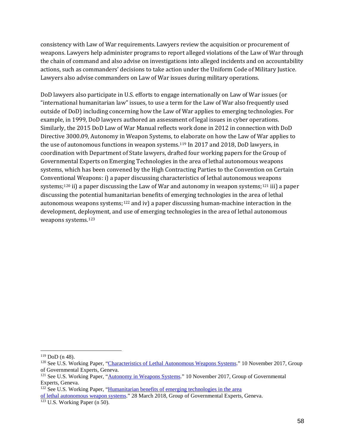consistency with Law of War requirements. Lawyers review the acquisition or procurement of weapons. Lawyers help administer programs to report alleged violations of the Law of War through the chain of command and also advise on investigations into alleged incidents and on accountability actions, such as commanders' decisions to take action under the Uniform Code of Military Justice. Lawyers also advise commanders on Law of War issues during military operations.

DoD lawyers also participate in U.S. efforts to engage internationally on Law of War issues (or "international humanitarian law" issues, to use a term for the Law of War also frequently used outside of DoD) including concerning how the Law of War applies to emerging technologies. For example, in 1999, DoD lawyers authored an assessment of legal issues in cyber operations. Similarly, the 2015 DoD Law of War Manual reflects work done in 2012 in connection with DoD Directive 3000.09, Autonomy in Weapon Systems, to elaborate on how the Law of War applies to the use of autonomous functions in weapon systems.[119](#page-57-0) In 2017 and 2018, DoD lawyers, in coordination with Department of State lawyers, drafted four working papers for the Group of Governmental Experts on Emerging Technologies in the area of lethal autonomous weapons systems, which has been convened by the High Contracting Parties to the Convention on Certain Conventional Weapons: i) a paper discussing characteristics of lethal autonomous weapons systems;[120](#page-57-1) ii) a paper discussing the Law of War and autonomy in weapon systems;[121](#page-57-2) iii) a paper discussing the potential human[itar](#page-57-3)ian benefits of emerging technologies in the area of lethal autonomous weapons systems;<sup>122</sup> and iv) a paper discussing human-machine interaction in the development, dep[loy](#page-57-4)ment, and use of emerging technologies in the area of lethal autonomous weapons systems.123

 $\ddot{\phantom{a}}$ 

<sup>122</sup> See U.S. Working Paper, ["Humanitarian benefits of emerging technologies in the area](https://www.unog.ch/80256EDD006B8954/(httpAssets)/7C177AE5BC10B588C125825F004B06BE/$file/CCW_GGE.1_2018_WP.4.pdf)

<span id="page-57-3"></span>[of lethal autonomous weapon systems.](https://www.unog.ch/80256EDD006B8954/(httpAssets)/7C177AE5BC10B588C125825F004B06BE/$file/CCW_GGE.1_2018_WP.4.pdf)" 28 March 2018, Group of Governmental Experts, Geneva.

<span id="page-57-1"></span><span id="page-57-0"></span><sup>&</sup>lt;sup>119</sup> DoD (n 48).<br><sup>120</sup> See U.S. Working Paper, ["Characteristics of Lethal Autonomous Weapons Systems.](https://www.unog.ch/80256EDD006B8954/(httpAssets)/A4466587B0DABE6CC12581D400660157/$file/2017_GGEonLAWS_WP7_USA.pdf)" 10 November 2017, Group of Governmental Experts, Geneva.

<span id="page-57-2"></span><sup>&</sup>lt;sup>121</sup> See U.S. Working Paper, ["Autonomy in Weapons Systems."](https://www.unog.ch/80256EDD006B8954/(httpAssets)/99487114803FA99EC12581D40065E90A/$file/2017_GGEonLAWS_WP6_USA.pdf) 10 November 2017, Group of Governmental Experts, Geneva.

<span id="page-57-4"></span><sup>123</sup> U.S. Working Paper (n 50).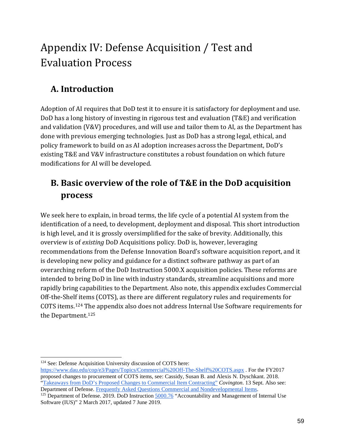# Appendix IV: Defense Acquisition / Test and Evaluation Process

# **A. Introduction**

Adoption of AI requires that DoD test it to ensure it is satisfactory for deployment and use. DoD has a long history of investing in rigorous test and evaluation (T&E) and verification and validation (V&V) procedures, and will use and tailor them to AI, as the Department has done with previous emerging technologies. Just as DoD has a strong legal, ethical, and policy framework to build on as AI adoption increases across the Department, DoD's existing T&E and V&V infrastructure constitutes a robust foundation on which future modifications for AI will be developed.

# **B. Basic overview of the role of T&E in the DoD acquisition process**

We seek here to explain, in broad terms, the life cycle of a potential AI system from the identification of a need, to development, deployment and disposal. This short introduction is high level, and it is grossly oversimplified for the sake of brevity. Additionally, this overview is of *existing* DoD Acquisitions policy. DoD is, however, leveraging recommendations from the Defense Innovation Board's software acquisition report, and it is developing new policy and guidance for a distinct software pathway as part of an overarching reform of the DoD Instruction 5000.X acquisition policies. These reforms are intended to bring DoD in line with industry standards, streamline acquisitions and more rapidly bring capabilities to the Department. Also note, this appendix excludes Commercial Off-the-Shelf items (COTS), as there are different regulatory rules and requirements for COTS items.[124](#page-58-0) The appendix also does not address Internal Use Software requirements for the Department.[125](#page-58-1)

<span id="page-58-0"></span> $\overline{a}$ <sup>124</sup> See: Defense Acquisition University discussion of COTS here:

<https://www.dau.edu/cop/e3/Pages/Topics/Commercial%20Off-The-Shelf%20COTS.aspx> . For the FY2017 proposed changes to procurement of COTS items, see: Cassidy, Susan B. and Alexis N. Dyschkant. 2018. ["Takeaways from DoD's Proposed Changes to Commercial Item Contracting"](https://www.insidegovernmentcontracts.com/2018/09/takeaways-dod-proposed-changes-commercial-item-contracting/) *Covington*. 13 Sept. Also see: Department of Defense. [Frequently Asked Questions Commercial and Nondevelopmental Items.](https://www.dsp.dla.mil/Policy-Guidance/FAQs/Commercial-and-Nondevelopmental-Items/)

<span id="page-58-1"></span><sup>&</sup>lt;sup>125</sup> Department of Defense. 2019. DoD Instruction [5000.76](https://www.esd.whs.mil/Portals/54/Documents/DD/issuances/dodi/500076p.pdf?ver=2019-06-07-110639-567) "Accountability and Management of Internal Use Software (IUS)" 2 March 2017, updated 7 June 2019.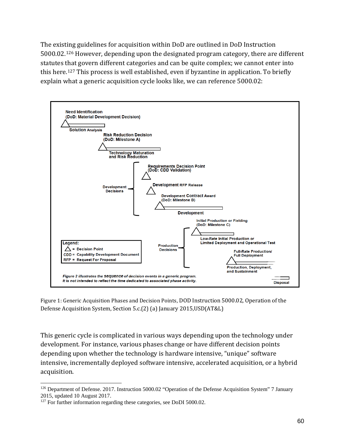The existing guidelines for acquisition within DoD are outlined in DoD Instruction 5000.02.[126](#page-59-0) However, depending upon the designated program category, there are different statutes that govern different categories and can be quite complex; we cannot enter into this here.[127](#page-59-1) This process is well established, even if byzantine in application. To briefly explain what a generic acquisition cycle looks like, we can reference 5000.02:



Figure 1: Generic Acquisition Phases and Decision Points, DOD Instruction 5000.02, Operation of the Defense Acquisition System, Section 5.c.(2) (a) January 2015,USD(AT&L)

This generic cycle is complicated in various ways depending upon the technology under development. For instance, various phases change or have different decision points depending upon whether the technology is hardware intensive, "unique" software intensive, incrementally deployed software intensive, accelerated acquisition, or a hybrid acquisition.

<span id="page-59-0"></span> $\overline{a}$ <sup>126</sup> Department of Defense. 2017. Instruction 5000.02 "Operation of the Defense Acquisition System" 7 January 2015, updated 10 August 2017.

<span id="page-59-1"></span><sup>&</sup>lt;sup>127</sup> For further information regarding these categories, see DoDI 5000.02.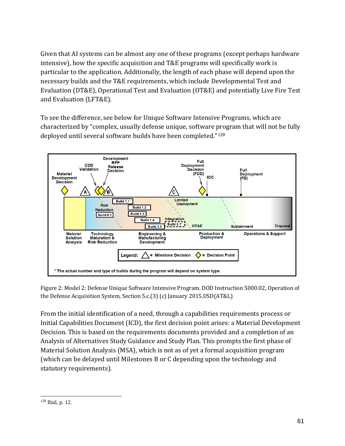Given that AI systems can be almost any one of these programs (except perhaps hardware intensive), how the specific acquisition and T&E programs will specifically work is particular to the application. Additionally, the length of each phase will depend upon the necessary builds and the T&E requirements, which include Developmental Test and Evaluation (DT&E), Operational Test and Evaluation (OT&E) and potentially Live Fire Test and Evaluation (LFT&E).

To see the difference, see below for Unique Software Intensive Programs, which are characterized by "complex, usually defense unique, software program that will not be fully deployed until several software builds have been completed."[128](#page-60-0)



Figure 2: Model 2: Defense Unique Software Intensive Program. DOD Instruction 5000.02, Operation of the Defense Acquisition System, Section 5.c.(3) (c) January 2015,USD(AT&L)

From the initial identification of a need, through a capabilities requirements process or Initial Capabilities Document (ICD), the first decision point arises: a Material Development Decision. This is based on the requirements documents provided and a completion of an Analysis of Alternatives Study Guidance and Study Plan. This prompts the first phase of Material Solution Analysis (MSA), which is not as of yet a formal acquisition program (which can be delayed until Milestones B or C depending upon the technology and statutory requirements).

<span id="page-60-0"></span> $\overline{a}$ <sup>128</sup> Ibid, p. 12.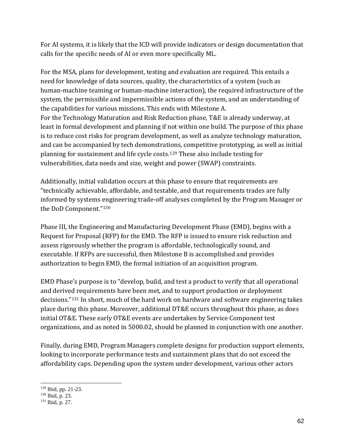For AI systems, it is likely that the ICD will provide indicators or design documentation that calls for the specific needs of AI or even more specifically ML.

For the MSA, plans for development, testing and evaluation are required. This entails a need for knowledge of data sources, quality, the characteristics of a system (such as human-machine teaming or human-machine interaction), the required infrastructure of the system, the permissible and impermissible actions of the system, and an understanding of the capabilities for various missions. This ends with Milestone A. For the Technology Maturation and Risk Reduction phase, T&E is already underway, at least in formal development and planning if not within one build. The purpose of this phase is to reduce cost risks for program development, as well as analyze technology maturation, and can be accompanied by tech demonstrations, competitive prototyping, as well as initial planning for sustainment and life cycle costs.[129](#page-61-0) These also include testing for vulnerabilities, data needs and size, weight and power (SWAP) constraints.

Additionally, initial validation occurs at this phase to ensure that requirements are "technically achievable, affordable, and testable, and that requirements trades are fully informed by systems engineering trade-off analyses completed by the Program Manager or the DoD Component."[130](#page-61-1)

Phase III, the Engineering and Manufacturing Development Phase (EMD), begins with a Request for Proposal (RFP) for the EMD. The RFP is issued to ensure risk reduction and assess rigorously whether the program is affordable, technologically sound, and executable. If RFPs are successful, then Milestone B is accomplished and provides authorization to begin EMD, the formal initiation of an acquisition program.

EMD Phase's purpose is to "develop, build, and test a product to verify that all operational and derived requirements have been met, and to support production or deployment decisions."[131](#page-61-2) In short, much of the hard work on hardware and software engineering takes place during this phase. Moreover, additional DT&E occurs throughout this phase, as does initial OT&E. These early OT&E events are undertaken by Service Component test organizations, and as noted in 5000.02, should be planned in conjunction with one another.

Finally, during EMD, Program Managers complete designs for production support elements, looking to incorporate performance tests and sustainment plans that do not exceed the affordability caps. Depending upon the system under development, various other actors

 $\overline{a}$ <sup>129</sup> Ibid, pp. 21-23.

<span id="page-61-1"></span><span id="page-61-0"></span><sup>130</sup> Ibid, p. 23.

<span id="page-61-2"></span><sup>131</sup> Ibid, p. 27.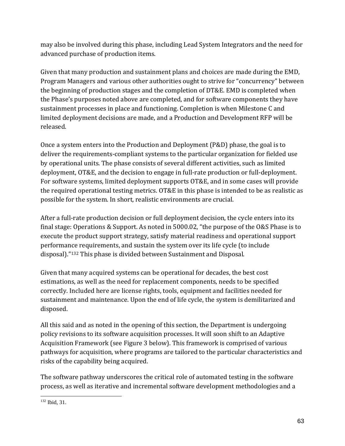may also be involved during this phase, including Lead System Integrators and the need for advanced purchase of production items.

Given that many production and sustainment plans and choices are made during the EMD, Program Managers and various other authorities ought to strive for "concurrency" between the beginning of production stages and the completion of DT&E. EMD is completed when the Phase's purposes noted above are completed, and for software components they have sustainment processes in place and functioning. Completion is when Milestone C and limited deployment decisions are made, and a Production and Development RFP will be released.

Once a system enters into the Production and Deployment (P&D) phase, the goal is to deliver the requirements-compliant systems to the particular organization for fielded use by operational units. The phase consists of several different activities, such as limited deployment, OT&E, and the decision to engage in full-rate production or full-deployment. For software systems, limited deployment supports OT&E, and in some cases will provide the required operational testing metrics. OT&E in this phase is intended to be as realistic as possible for the system. In short, realistic environments are crucial.

After a full-rate production decision or full deployment decision, the cycle enters into its final stage: Operations & Support. As noted in 5000.02, "the purpose of the O&S Phase is to execute the product support strategy, satisfy material readiness and operational support performance requirements, and sustain the system over its life cycle (to include disposal).["132](#page-62-0) This phase is divided between Sustainment and Disposal.

Given that many acquired systems can be operational for decades, the best cost estimations, as well as the need for replacement components, needs to be specified correctly. Included here are license rights, tools, equipment and facilities needed for sustainment and maintenance. Upon the end of life cycle, the system is demilitarized and disposed.

All this said and as noted in the opening of this section, the Department is undergoing policy revisions to its software acquisition processes. It will soon shift to an Adaptive Acquisition Framework (see Figure 3 below). This framework is comprised of various pathways for acquisition, where programs are tailored to the particular characteristics and risks of the capability being acquired.

The software pathway underscores the critical role of automated testing in the software process, as well as iterative and incremental software development methodologies and a

<span id="page-62-0"></span> $\overline{a}$ <sup>132</sup> Ibid, 31.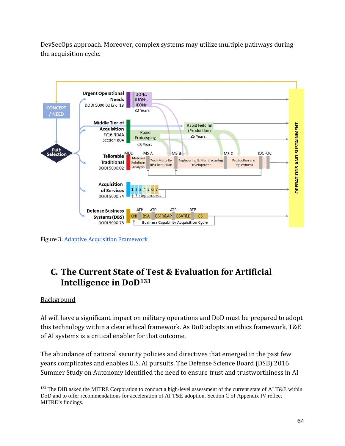DevSecOps approach. Moreover, complex systems may utilize multiple pathways during the acquisition cycle.



Figure 3: [Adaptive Acquisition Framework](https://www.ndia.org/-/media/sites/ndia/divisions/ipmd/2019-04-meeting/201-acquisition-enablers-cummings-final-190508215305.ashx?la=en)

# **C. The Current State of Test & Evaluation for Artificial Intelligence in DoD[133](#page-63-0)**

### **Background**

AI will have a significant impact on military operations and DoD must be prepared to adopt this technology within a clear ethical framework. As DoD adopts an ethics framework, T&E of AI systems is a critical enabler for that outcome.

The abundance of national security policies and directives that emerged in the past few years complicates and enables U.S. AI pursuits. The Defense Science Board (DSB) 2016 Summer Study on Autonomy identified the need to ensure trust and trustworthiness in AI

<span id="page-63-0"></span> $\overline{a}$ <sup>133</sup> The DIB asked the MITRE Corporation to conduct a high-level assessment of the current state of AI T&E within DoD and to offer recommendations for acceleration of AI T&E adoption. Section C of Appendix IV reflect MITRE's findings.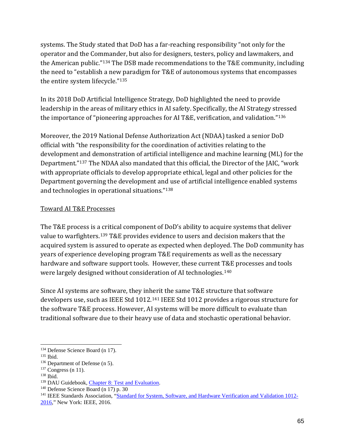systems. The Study stated that DoD has a far-reaching responsibility "not only for the operator and the Commander, but also for designers, testers, policy and lawmakers, and the American public."[134](#page-64-0) The DSB made recommendations to the T&E community, including the need to "establish a new paradigm for T&E of autonomous systems that encompasses the entire system lifecycle."[135](#page-64-1)

In its 2018 DoD Artificial Intelligence Strategy, DoD highlighted the need to provide leadership in the areas of military ethics in AI safety. Specifically, the AI Strategy stressed the importance of "pioneering approaches for AI T&E, verification, and validation."[136](#page-64-2)

Moreover, the 2019 National Defense Authorization Act (NDAA) tasked a senior DoD official with "the responsibility for the coordination of activities relating to the development and demonstration of artificial intelligence and machine learning (ML) for the Department."[137](#page-64-3) The NDAA also mandated that this official, the Director of the JAIC, "work with appropriate officials to develop appropriate ethical, legal and other policies for the Department governing the development and use of artificial intelligence enabled systems and technologies in operational situations."[138](#page-64-4)

## Toward AI T&E Processes

The T&E process is a critical component of DoD's ability to acquire systems that deliver value to warfighters.[139](#page-64-5) T&E provides evidence to users and decision makers that the acquired system is assured to operate as expected when deployed. The DoD community has years of experience developing program T&E requirements as well as the necessary hardware and software support tools. However, these current T&E processes and tools were largely designed without consideration of AI technologies.[140](#page-64-6)

Since AI systems are software, they inherit the same T&E structure that software developers use, such as IEEE Std 1012.[141](#page-64-7) IEEE Std 1012 provides a rigorous structure for the software T&E process. However, AI systems will be more difficult to evaluate than traditional software due to their heavy use of data and stochastic operational behavior.

<span id="page-64-0"></span> $\overline{a}$ <sup>134</sup> Defense Science Board (n 17).

<span id="page-64-1"></span><sup>135</sup> Ibid.

<span id="page-64-2"></span><sup>136</sup> Department of Defense (n 5).

<span id="page-64-3"></span> $137$  Congress (n 11).

<span id="page-64-4"></span><sup>138</sup> Ibid.

<span id="page-64-5"></span><sup>&</sup>lt;sup>139</sup> DAU Guidebook, [Chapter 8: Test and Evaluation.](https://www.dau.edu/tools/dag/Pages/DAG-Page-Viewer.aspx?source=https://www.dau.edu/guidebooks/Shared%20Documents%20HTML/Chapter%208%20Test%20and%20Evaluation.aspx)

<span id="page-64-6"></span><sup>140</sup> Defense Science Board (n 17) p. 30

<span id="page-64-7"></span><sup>&</sup>lt;sup>141</sup> IEEE Standards Association, ["Standard for System, Software, and Hardware Verification and Validation 1012-](https://ieeexplore.ieee.org/document/8055462)

[<sup>2016,</sup>](https://ieeexplore.ieee.org/document/8055462)" New York: IEEE, 2016.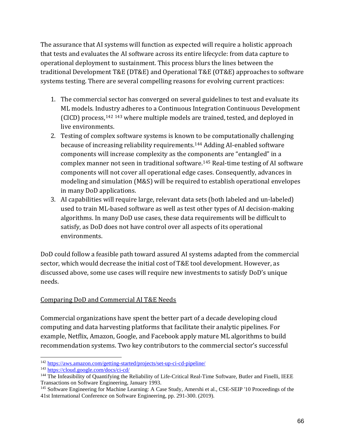The assurance that AI systems will function as expected will require a holistic approach that tests and evaluates the AI software across its entire lifecycle: from data capture to operational deployment to sustainment. This process blurs the lines between the traditional Development T&E (DT&E) and Operational T&E (OT&E) approaches to software systems testing. There are several compelling reasons for evolving current practices:

- 1. The commercial sector has converged on several guidelines to test and evaluate its ML models. Indust[ry a](#page-65-1)dheres to a Continuous Integration Continuous Development (CICD) process,[142](#page-65-0) <sup>143</sup> where multiple models are trained, tested, and deployed in live environments.
- 2. Testing of complex software systems is known to be computationally challenging because of increasing reliability requirements.[144](#page-65-2) Adding AI-enabled software components will increase complexity as the components are "entangled" in a complex manner not seen in traditional software.[145](#page-65-3) Real-time testing of AI software components will not cover all operational edge cases. Consequently, advances in modeling and simulation (M&S) will be required to establish operational envelopes in many DoD applications.
- 3. AI capabilities will require large, relevant data sets (both labeled and un-labeled) used to train ML-based software as well as test other types of AI decision-making algorithms. In many DoD use cases, these data requirements will be difficult to satisfy, as DoD does not have control over all aspects of its operational environments.

DoD could follow a feasible path toward assured AI systems adapted from the commercial sector, which would decrease the initial cost of T&E tool development. However, as discussed above, some use cases will require new investments to satisfy DoD's unique needs.

## Comparing DoD and Commercial AI T&E Needs

Commercial organizations have spent the better part of a decade developing cloud computing and data harvesting platforms that facilitate their analytic pipelines. For example, Netflix, Amazon, Google, and Facebook apply mature ML algorithms to build recommendation systems. Two key contributors to the commercial sector's successful

 $\overline{a}$ <sup>142</sup> <https://aws.amazon.com/getting-started/projects/set-up-ci-cd-pipeline/>

<span id="page-65-1"></span><span id="page-65-0"></span><sup>143</sup> <https://cloud.google.com/docs/ci-cd/>

<span id="page-65-2"></span><sup>&</sup>lt;sup>144</sup> The Infeasibility of Quantifying the Reliability of Life-Critical Real-Time Software, Butler and Finelli, IEEE Transactions on Software Engineering, January 1993.

<span id="page-65-3"></span><sup>145</sup> Software Engineering for Machine Learning: A Case Study, Amershi et al., CSE-SEIP '10 Proceedings of the 41st International Conference on Software Engineering, pp. 291-300. (2019).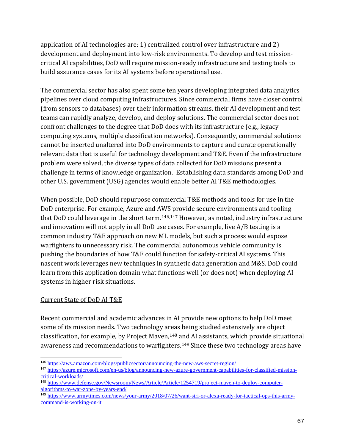application of AI technologies are: 1) centralized control over infrastructure and 2) development and deployment into low-risk environments. To develop and test missioncritical AI capabilities, DoD will require mission-ready infrastructure and testing tools to build assurance cases for its AI systems before operational use.

The commercial sector has also spent some ten years developing integrated data analytics pipelines over cloud computing infrastructures. Since commercial firms have closer control (from sensors to databases) over their information streams, their AI development and test teams can rapidly analyze, develop, and deploy solutions. The commercial sector does not confront challenges to the degree that DoD does with its infrastructure (e.g., legacy computing systems, multiple classification networks). Consequently, commercial solutions cannot be inserted unaltered into DoD environments to capture and curate operationally relevant data that is useful for technology development and T&E. Even if the infrastructure problem were solved, the diverse types of data collected for DoD missions present a challenge in terms of knowledge organization. Establishing data standards among DoD and other U.S. government (USG) agencies would enable better AI T&E methodologies.

When possible, DoD should repurpose commercial T&E methods and tools for use in the DoD enterprise. For example, Azure and AWS provide secure environments and tooling that DoD could leverage in the short term.<sup>[146](#page-66-0),[147](#page-66-1)</sup> However, as noted, industry infrastructure and innovation will not apply in all DoD use cases. For example, live A/B testing is a common industry T&E approach on new ML models, but such a process would expose warfighters to unnecessary risk. The commercial autonomous vehicle community is pushing the boundaries of how T&E could function for safety-critical AI systems. This nascent work leverages new techniques in synthetic data generation and M&S. DoD could learn from this application domain what functions well (or does not) when deploying AI systems in higher risk situations.

### Current State of DoD AI T&E

Recent commercial and academic advances in AI provide new options to help DoD meet some of its mission needs. Two technology areas being studied extensively are object classification, for example, by Project Maven[,148](#page-66-2) and AI assistants, which provide situational awareness and recommendations to warfighters.<sup>[149](#page-66-3)</sup> Since these two technology areas have

 $\overline{a}$ <sup>146</sup> <https://aws.amazon.com/blogs/publicsector/announcing-the-new-aws-secret-region/>

<span id="page-66-1"></span><span id="page-66-0"></span><sup>147</sup> [https://azure.microsoft.com/en-us/blog/announcing-new-azure-government-capabilities-for-classified-mission](https://azure.microsoft.com/en-us/blog/announcing-new-azure-government-capabilities-for-classified-mission-critical-workloads/)[critical-workloads/](https://azure.microsoft.com/en-us/blog/announcing-new-azure-government-capabilities-for-classified-mission-critical-workloads/)

<span id="page-66-2"></span><sup>&</sup>lt;sup>148</sup> [https://www.defense.gov/Newsroom/News/Article/Article/1254719/project-maven-to-deploy-computer](https://www.defense.gov/Newsroom/News/Article/Article/1254719/project-maven-to-deploy-computer-algorithms-to-war-zone-by-years-end/)[algorithms-to-war-zone-by-years-end/](https://www.defense.gov/Newsroom/News/Article/Article/1254719/project-maven-to-deploy-computer-algorithms-to-war-zone-by-years-end/)

<span id="page-66-3"></span><sup>149</sup> [https://www.armytimes.com/news/your-army/2018/07/26/want-siri-or-alexa-ready-for-tactical-ops-this-army](https://www.armytimes.com/news/your-army/2018/07/26/want-siri-or-alexa-ready-for-tactical-ops-this-army-command-is-working-on-it)[command-is-working-on-it](https://www.armytimes.com/news/your-army/2018/07/26/want-siri-or-alexa-ready-for-tactical-ops-this-army-command-is-working-on-it)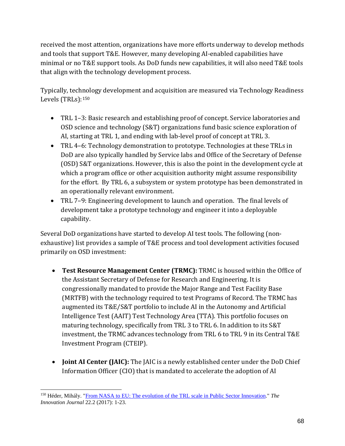received the most attention, organizations have more efforts underway to develop methods and tools that support T&E. However, many developing AI-enabled capabilities have minimal or no T&E support tools. As DoD funds new capabilities, it will also need T&E tools that align with the technology development process.

Typically, technology development and acquisition are measured via Technology Readiness Levels (TRLs):[150](#page-67-0)

- TRL 1–3: Basic research and establishing proof of concept. Service laboratories and OSD science and technology (S&T) organizations fund basic science exploration of AI, starting at TRL 1, and ending with lab-level proof of concept at TRL 3.
- TRL 4–6: Technology demonstration to prototype. Technologies at these TRLs in DoD are also typically handled by Service labs and Office of the Secretary of Defense (OSD) S&T organizations. However, this is also the point in the development cycle at which a program office or other acquisition authority might assume responsibility for the effort. By TRL 6, a subsystem or system prototype has been demonstrated in an operationally relevant environment.
- TRL 7–9: Engineering development to launch and operation. The final levels of development take a prototype technology and engineer it into a deployable capability.

Several DoD organizations have started to develop AI test tools. The following (nonexhaustive) list provides a sample of T&E process and tool development activities focused primarily on OSD investment:

- **Test Resource Management Center (TRMC):** TRMC is housed within the Office of the Assistant Secretary of Defense for Research and Engineering. It is congressionally mandated to provide the Major Range and Test Facility Base (MRTFB) with the technology required to test Programs of Record. The TRMC has augmented its T&E/S&T portfolio to include AI in the Autonomy and Artificial Intelligence Test (AAIT) Test Technology Area (TTA). This portfolio focuses on maturing technology, specifically from TRL 3 to TRL 6. In addition to its S&T investment, the TRMC advances technology from TRL 6 to TRL 9 in its Central T&E Investment Program (CTEIP).
- **Joint AI Center (JAIC):** The JAIC is a newly established center under the DoD Chief Information Officer (CIO) that is mandated to accelerate the adoption of AI

<span id="page-67-0"></span> $\overline{a}$ <sup>150</sup> Héder, Mihály. ["From NASA to EU: The evolution of the TRL scale in Public Sector Innovation.](https://core.ac.uk/download/pdf/94310086.pdf)" *The Innovation Journal* 22.2 (2017): 1-23.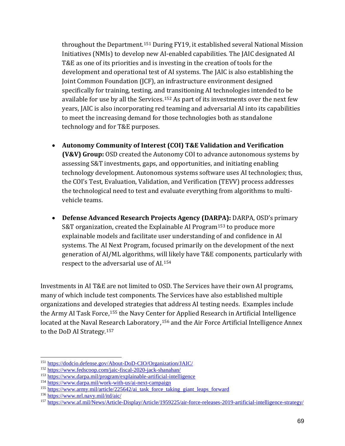throughout the Department.[151](#page-68-0) During FY19, it established several National Mission Initiatives (NMIs) to develop new AI-enabled capabilities. The JAIC designated AI T&E as one of its priorities and is investing in the creation of tools for the development and operational test of AI systems. The JAIC is also establishing the Joint Common Foundation (JCF), an infrastructure environment designed specifically for training, testing, and transitioning AI technologies intended to be available for use by all the Services.[152](#page-68-1) As part of its investments over the next few years, JAIC is also incorporating red teaming and adversarial AI into its capabilities to meet the increasing demand for those technologies both as standalone technology and for T&E purposes.

- **Autonomy Community of Interest (COI) T&E Validation and Verification (V&V) Group:** OSD created the Autonomy COI to advance autonomous systems by assessing S&T investments, gaps, and opportunities, and initiating enabling technology development. Autonomous systems software uses AI technologies; thus, the COI's Test, Evaluation, Validation, and Verification (TEVV) process addresses the technological need to test and evaluate everything from algorithms to multivehicle teams.
- **Defense Advanced Research Projects Agency (DARPA):** DARPA, OSD's primary S&T organization, created the Explainable AI Program[153](#page-68-2) to produce more explainable models and facilitate user understanding of and confidence in AI systems. The AI Next Program, focused primarily on the development of the next generation of AI/ML algorithms, will likely have T&E components, particularly with respect to the adversarial use of AI.[154](#page-68-3)

Investments in AI T&E are not limited to OSD. The Services have their own AI programs, many of which include test components. The Services have also established multiple organizations and developed strategies that address AI testing needs. Examples include the Army AI Task Force,<sup>[155](#page-68-4)</sup> the Navy Cent[er fo](#page-68-5)r Applied Research in Artificial Intelligence located at the Naval Research Laboratory ,<sup>156</sup> and the Air Force Artificial Intelligence Annex to the DoD AI Strategy.[157](#page-68-6)

 $\overline{a}$ <sup>151</sup> <https://dodcio.defense.gov/About-DoD-CIO/Organization/JAIC/>

<span id="page-68-1"></span><span id="page-68-0"></span><sup>152</sup> <https://www.fedscoop.com/jaic-fiscal-2020-jack-shanahan/>

<span id="page-68-2"></span><sup>153</sup> <https://www.darpa.mil/program/explainable-artificial-intelligence>

<span id="page-68-3"></span><sup>154</sup> <https://www.darpa.mil/work-with-us/ai-next-campaign>

<span id="page-68-4"></span><sup>155</sup> [https://www.army.mil/article/225642/ai\\_task\\_force\\_taking\\_giant\\_leaps\\_forward](https://www.army.mil/article/225642/ai_task_force_taking_giant_leaps_forward)

<span id="page-68-5"></span><sup>156</sup> <https://www.nrl.navy.mil/itd/aic/>

<span id="page-68-6"></span><sup>157</sup> <https://www.af.mil/News/Article-Display/Article/1959225/air-force-releases-2019-artificial-intelligence-strategy/>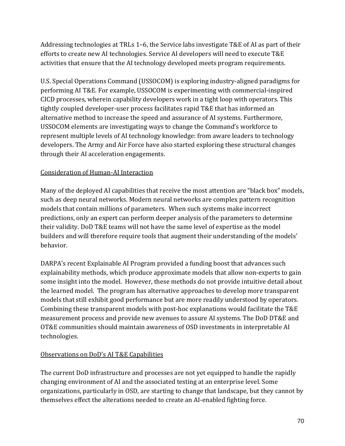Addressing technologies at TRLs 1–6, the Service labs investigate T&E of AI as part of their efforts to create new AI technologies. Service AI developers will need to execute T&E activities that ensure that the AI technology developed meets program requirements.

U.S. Special Operations Command (USSOCOM) is exploring industry-aligned paradigms for performing AI T&E. For example, USSOCOM is experimenting with commercial-inspired CICD processes, wherein capability developers work in a tight loop with operators. This tightly coupled developer-user process facilitates rapid T&E that has informed an alternative method to increase the speed and assurance of AI systems. Furthermore, USSOCOM elements are investigating ways to change the Command's workforce to represent multiple levels of AI technology knowledge: from aware leaders to technology developers. The Army and Air Force have also started exploring these structural changes through their AI acceleration engagements.

## Consideration of Human-AI Interaction

Many of the deployed AI capabilities that receive the most attention are "black box" models, such as deep neural networks. Modern neural networks are complex pattern recognition models that contain millions of parameters. When such systems make incorrect predictions, only an expert can perform deeper analysis of the parameters to determine their validity. DoD T&E teams will not have the same level of expertise as the model builders and will therefore require tools that augment their understanding of the models' behavior.

DARPA's recent Explainable AI Program provided a funding boost that advances such explainability methods, which produce approximate models that allow non-experts to gain some insight into the model. However, these methods do not provide intuitive detail about the learned model. The program has alternative approaches to develop more transparent models that still exhibit good performance but are more readily understood by operators. Combining these transparent models with post-hoc explanations would facilitate the T&E measurement process and provide new avenues to assure AI systems. The DoD DT&E and OT&E communities should maintain awareness of OSD investments in interpretable AI technologies.

### Observations on DoD's AI T&E Capabilities

The current DoD infrastructure and processes are not yet equipped to handle the rapidly changing environment of AI and the associated testing at an enterprise level. Some organizations, particularly in OSD, are starting to change that landscape, but they cannot by themselves effect the alterations needed to create an AI-enabled fighting force.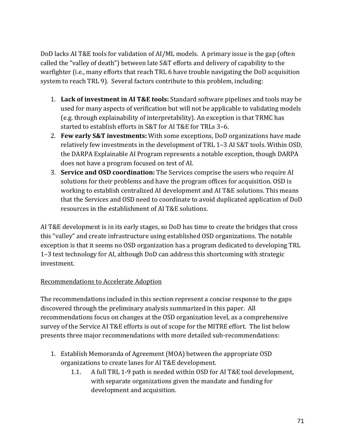DoD lacks AI T&E tools for validation of AI/ML models. A primary issue is the gap (often called the "valley of death") between late S&T efforts and delivery of capability to the warfighter (i.e., many efforts that reach TRL 6 have trouble navigating the DoD acquisition system to reach TRL 9). Several factors contribute to this problem, including:

- 1. **Lack of investment in AI T&E tools:** Standard software pipelines and tools may be used for many aspects of verification but will not be applicable to validating models (e.g. through explainability of interpretability). An exception is that TRMC has started to establish efforts in S&T for AI T&E for TRLs 3–6.
- 2. **Few early S&T investments:** With some exceptions, DoD organizations have made relatively few investments in the development of TRL 1–3 AI S&T tools. Within OSD, the DARPA Explainable AI Program represents a notable exception, though DARPA does not have a program focused on test of AI.
- 3. **Service and OSD coordination:** The Services comprise the users who require AI solutions for their problems and have the program offices for acquisition. OSD is working to establish centralized AI development and AI T&E solutions. This means that the Services and OSD need to coordinate to avoid duplicated application of DoD resources in the establishment of AI T&E solutions.

AI T&E development is in its early stages, so DoD has time to create the bridges that cross this "valley" and create infrastructure using established OSD organizations. The notable exception is that it seems no OSD organization has a program dedicated to developing TRL 1–3 test technology for AI, although DoD can address this shortcoming with strategic investment.

## Recommendations to Accelerate Adoption

The recommendations included in this section represent a concise response to the gaps discovered through the preliminary analysis summarized in this paper. All recommendations focus on changes at the OSD organization level, as a comprehensive survey of the Service AI T&E efforts is out of scope for the MITRE effort. The list below presents three major recommendations with more detailed sub-recommendations:

- 1. Establish Memoranda of Agreement (MOA) between the appropriate OSD organizations to create lanes for AI T&E development.
	- 1.1. A full TRL 1-9 path is needed within OSD for AI T&E tool development, with separate organizations given the mandate and funding for development and acquisition.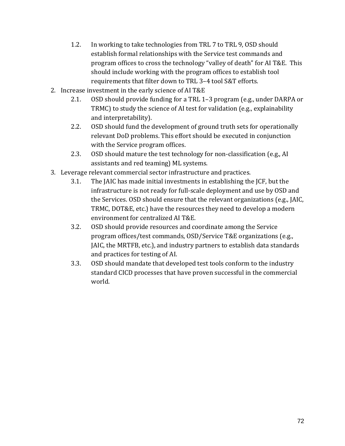- 1.2. In working to take technologies from TRL 7 to TRL 9, OSD should establish formal relationships with the Service test commands and program offices to cross the technology "valley of death" for AI T&E. This should include working with the program offices to establish tool requirements that filter down to TRL 3–4 tool S&T efforts.
- 2. Increase investment in the early science of AI T&E
	- 2.1. OSD should provide funding for a TRL 1–3 program (e.g., under DARPA or TRMC) to study the science of AI test for validation (e.g., explainability and interpretability).
	- 2.2. OSD should fund the development of ground truth sets for operationally relevant DoD problems. This effort should be executed in conjunction with the Service program offices.
	- 2.3. OSD should mature the test technology for non-classification (e.g., AI assistants and red teaming) ML systems.
- 3. Leverage relevant commercial sector infrastructure and practices.
	- 3.1. The JAIC has made initial investments in establishing the JCF, but the infrastructure is not ready for full-scale deployment and use by OSD and the Services. OSD should ensure that the relevant organizations (e.g., JAIC, TRMC, DOT&E, etc.) have the resources they need to develop a modern environment for centralized AI T&E.
	- 3.2. OSD should provide resources and coordinate among the Service program offices/test commands, OSD/Service T&E organizations (e.g., JAIC, the MRTFB, etc.), and industry partners to establish data standards and practices for testing of AI.
	- 3.3. OSD should mandate that developed test tools conform to the industry standard CICD processes that have proven successful in the commercial world.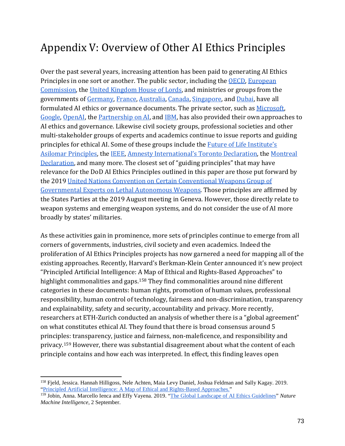## Appendix V: Overview of Other AI Ethics Principles

Over the past several years, increasing attention has been paid to generating AI Ethics Principles in one sort or another. The public sector, including the [OECD,](https://www.oecd.org/going-digital/ai/principles/) [European](https://ec.europa.eu/digital-single-market/en/high-level-expert-group-artificial-intelligence)  [Commission,](https://ec.europa.eu/digital-single-market/en/high-level-expert-group-artificial-intelligence) the [United Kingdom House of Lords,](https://publications.parliament.uk/pa/ld201719/ldselect/ldai/100/100.pdf) and ministries or groups from the governments of [Germany,](https://www.de.digital/DIGITAL/Redaktion/EN/Standardartikel/artificial-intelligence-strategy.html) [France,](https://www.aiforhumanity.fr/en/) [Australia,](https://consult.industry.gov.au/strategic-policy/artificial-intelligence-ethics-framework/supporting_documents/ArtificialIntelligenceethicsframeworkdiscussionpaper.pdf) [Canada,](https://www.canada.ca/en/government/system/digital-government/modern-emerging-technologies/responsible-use-ai.html) [Singapore,](https://www.law.berkeley.edu/wp-content/uploads/2019/04/Yeong-Zee-Kin-1.pdf) and [Dubai,](https://www.smartdubai.ae/initiatives/ai-principles-ethics) have all formulated AI ethics or governance documents. The private sector, such as Microsoft, [Google,](https://www.blog.google/technology/ai/ai-principles/) [OpenAI,](https://openai.com/charter/) the [Partnership on AI,](https://www.partnershiponai.org/tenets/) an[d IBM,](https://www.ibm.com/watson/assets/duo/pdf/everydayethics.pdf) has also provided their own approaches to AI ethics and governance. Likewise civil society groups, professional societies and other multi-stakeholder groups of experts and academics continue to issue reports and guiding principles for ethical AI. Some of these groups include the [Future of Life Institute's](https://futureoflife.org/ai-principles/)  [Asilomar Principles,](https://futureoflife.org/ai-principles/) th[e IEEE,](https://standards.ieee.org/industry-connections/ec/autonomous-systems.html) [Amnesty International's Toronto Declaration,](https://www.accessnow.org/the-toronto-declaration-protecting-the-rights-to-equality-and-non-discrimination-in-machine-learning-systems/) th[e Montreal](https://www.canasean.com/the-montreal-declaration-for-the-responsible-development-of-artificial-intelligence-launched/)  [Declaration,](https://www.canasean.com/the-montreal-declaration-for-the-responsible-development-of-artificial-intelligence-launched/) and many more. The closest set of "guiding principles" that may have relevance for the DoD AI Ethics Principles outlined in this paper are those put forward by the 2019 United Nations Convention on [Certain Conventional Weapons Group of](https://www.unog.ch/80256EDD006B8954/(httpAssets)/5497DF9B01E5D9CFC125845E00308E44/$file/CCW_GGE.1_2019_CRP.1_Rev2.pdf)  [Governmental Experts on Lethal Autonomous Weapons.](https://www.unog.ch/80256EDD006B8954/(httpAssets)/5497DF9B01E5D9CFC125845E00308E44/$file/CCW_GGE.1_2019_CRP.1_Rev2.pdf) Those principles are affirmed by the States Parties at the 2019 August meeting in Geneva. However, those directly relate to weapon systems and emerging weapon systems, and do not consider the use of AI more broadly by states' militaries.

As these activities gain in prominence, more sets of principles continue to emerge from all corners of governments, industries, civil society and even academics. Indeed the proliferation of AI Ethics Principles projects has now garnered a need for mapping all of the existing approaches. Recently, Harvard's Berkman-Klein Center announced it's new project "Principled Artificial Intelligence: A Map of Ethical and Rights-Based Approaches" to highlight commonalities and gaps.<sup>[158](#page-72-0)</sup> They find commonalities around nine different categories in these documents: human rights, promotion of human values, professional responsibility, human control of technology, fairness and non-discrimination, transparency and explainability, safety and security, accountability and privacy. More recently, researchers at ETH-Zurich conducted an analysis of whether there is a "global agreement" on what constitutes ethical AI. They found that there is broad consensus around 5 principles: transparency, justice and fairness, non-maleficence, and responsibility and privacy.[159](#page-72-1) However, there was substantial disagreement about what the content of each principle contains and how each was interpreted. In effect, this finding leaves open

 $\overline{a}$ 

<span id="page-72-0"></span><sup>158</sup> Fjeld, Jessica. Hannah Hilligoss, Nele Achten, Maia Levy Daniel, Joshua Feldman and Sally Kagay. 2019. ["Principled Artificial Intelligence: A Map of Ethical and Rights-Based Approaches."](https://ai-hr.cyber.harvard.edu/primp-viz.html)

<span id="page-72-1"></span><sup>159</sup> Jobin, Anna. Marcello Ienca and Effy Vayena. 2019. ["The Global Landscape of AI Ethics Guidelines"](https://www.nature.com/articles/s42256-019-0088-2) *Nature Machine Intelligence*, 2 September.